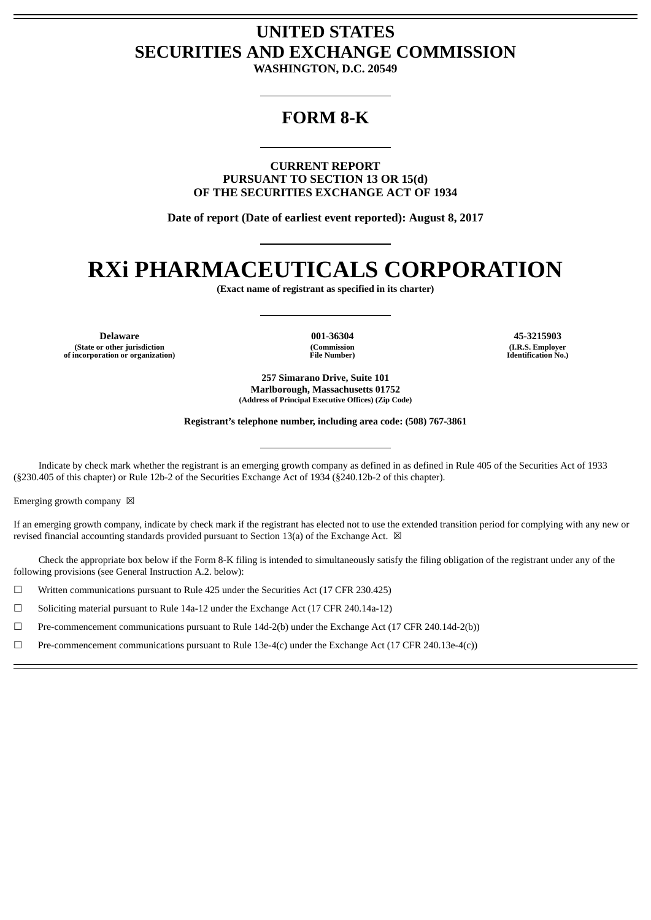# **UNITED STATES SECURITIES AND EXCHANGE COMMISSION**

**WASHINGTON, D.C. 20549**

# **FORM 8-K**

**CURRENT REPORT PURSUANT TO SECTION 13 OR 15(d) OF THE SECURITIES EXCHANGE ACT OF 1934**

**Date of report (Date of earliest event reported): August 8, 2017**

# **RXi PHARMACEUTICALS CORPORATION**

**(Exact name of registrant as specified in its charter)**

**Delaware 001-36304 45-3215903 (State or other jurisdiction of incorporation or organization)**

**(Commission File Number)**

**(I.R.S. Employer Identification No.)**

**257 Simarano Drive, Suite 101 Marlborough, Massachusetts 01752 (Address of Principal Executive Offices) (Zip Code)**

**Registrant's telephone number, including area code: (508) 767-3861**

Indicate by check mark whether the registrant is an emerging growth company as defined in as defined in Rule 405 of the Securities Act of 1933 (§230.405 of this chapter) or Rule 12b-2 of the Securities Exchange Act of 1934 (§240.12b-2 of this chapter).

Emerging growth company  $\boxtimes$ 

If an emerging growth company, indicate by check mark if the registrant has elected not to use the extended transition period for complying with any new or revised financial accounting standards provided pursuant to Section 13(a) of the Exchange Act.  $\boxtimes$ 

Check the appropriate box below if the Form 8-K filing is intended to simultaneously satisfy the filing obligation of the registrant under any of the following provisions (see General Instruction A.2. below):

☐ Written communications pursuant to Rule 425 under the Securities Act (17 CFR 230.425)

☐ Soliciting material pursuant to Rule 14a-12 under the Exchange Act (17 CFR 240.14a-12)

☐ Pre-commencement communications pursuant to Rule 14d-2(b) under the Exchange Act (17 CFR 240.14d-2(b))

 $□$  Pre-commencement communications pursuant to Rule 13e-4(c) under the Exchange Act (17 CFR 240.13e-4(c))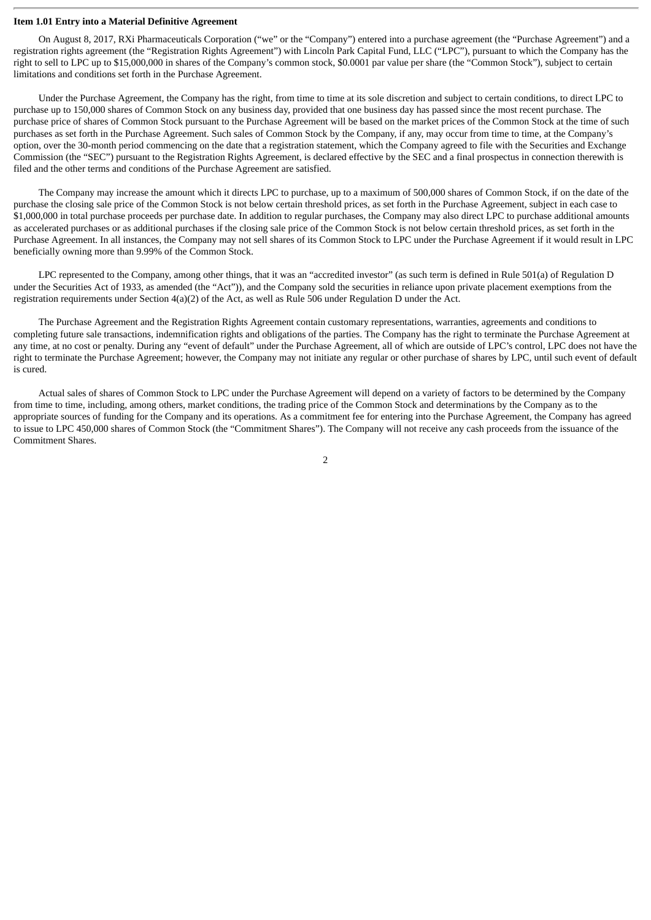# **Item 1.01 Entry into a Material Definitive Agreement**

On August 8, 2017, RXi Pharmaceuticals Corporation ("we" or the "Company") entered into a purchase agreement (the "Purchase Agreement") and a registration rights agreement (the "Registration Rights Agreement") with Lincoln Park Capital Fund, LLC ("LPC"), pursuant to which the Company has the right to sell to LPC up to \$15,000,000 in shares of the Company's common stock, \$0.0001 par value per share (the "Common Stock"), subject to certain limitations and conditions set forth in the Purchase Agreement.

Under the Purchase Agreement, the Company has the right, from time to time at its sole discretion and subject to certain conditions, to direct LPC to purchase up to 150,000 shares of Common Stock on any business day, provided that one business day has passed since the most recent purchase. The purchase price of shares of Common Stock pursuant to the Purchase Agreement will be based on the market prices of the Common Stock at the time of such purchases as set forth in the Purchase Agreement. Such sales of Common Stock by the Company, if any, may occur from time to time, at the Company's option, over the 30-month period commencing on the date that a registration statement, which the Company agreed to file with the Securities and Exchange Commission (the "SEC") pursuant to the Registration Rights Agreement, is declared effective by the SEC and a final prospectus in connection therewith is filed and the other terms and conditions of the Purchase Agreement are satisfied.

The Company may increase the amount which it directs LPC to purchase, up to a maximum of 500,000 shares of Common Stock, if on the date of the purchase the closing sale price of the Common Stock is not below certain threshold prices, as set forth in the Purchase Agreement, subject in each case to \$1,000,000 in total purchase proceeds per purchase date. In addition to regular purchases, the Company may also direct LPC to purchase additional amounts as accelerated purchases or as additional purchases if the closing sale price of the Common Stock is not below certain threshold prices, as set forth in the Purchase Agreement. In all instances, the Company may not sell shares of its Common Stock to LPC under the Purchase Agreement if it would result in LPC beneficially owning more than 9.99% of the Common Stock.

LPC represented to the Company, among other things, that it was an "accredited investor" (as such term is defined in Rule 501(a) of Regulation D under the Securities Act of 1933, as amended (the "Act")), and the Company sold the securities in reliance upon private placement exemptions from the registration requirements under Section 4(a)(2) of the Act, as well as Rule 506 under Regulation D under the Act.

The Purchase Agreement and the Registration Rights Agreement contain customary representations, warranties, agreements and conditions to completing future sale transactions, indemnification rights and obligations of the parties. The Company has the right to terminate the Purchase Agreement at any time, at no cost or penalty. During any "event of default" under the Purchase Agreement, all of which are outside of LPC's control, LPC does not have the right to terminate the Purchase Agreement; however, the Company may not initiate any regular or other purchase of shares by LPC, until such event of default is cured.

Actual sales of shares of Common Stock to LPC under the Purchase Agreement will depend on a variety of factors to be determined by the Company from time to time, including, among others, market conditions, the trading price of the Common Stock and determinations by the Company as to the appropriate sources of funding for the Company and its operations. As a commitment fee for entering into the Purchase Agreement, the Company has agreed to issue to LPC 450,000 shares of Common Stock (the "Commitment Shares"). The Company will not receive any cash proceeds from the issuance of the Commitment Shares.

2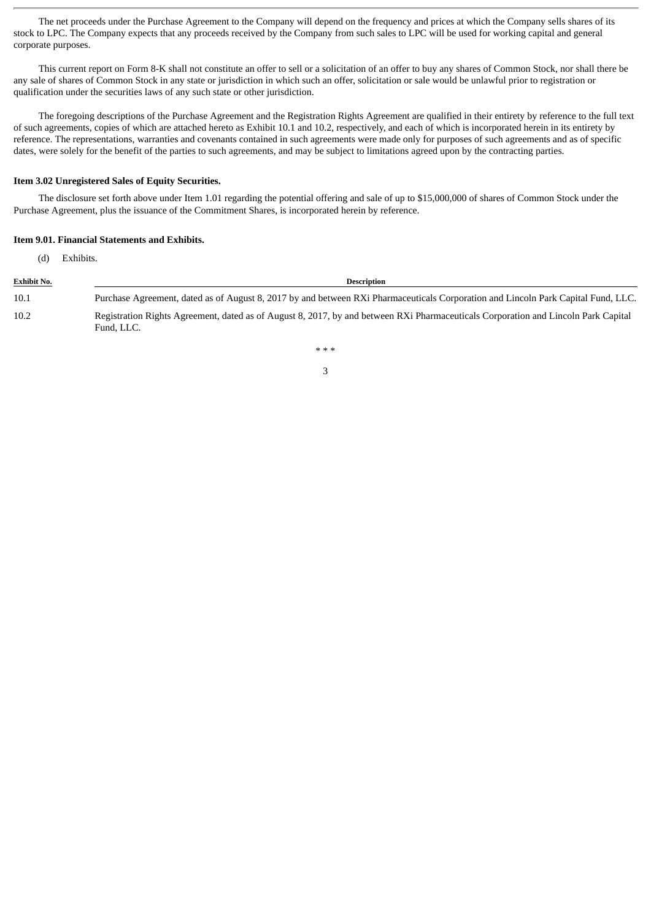The net proceeds under the Purchase Agreement to the Company will depend on the frequency and prices at which the Company sells shares of its stock to LPC. The Company expects that any proceeds received by the Company from such sales to LPC will be used for working capital and general corporate purposes.

This current report on Form 8-K shall not constitute an offer to sell or a solicitation of an offer to buy any shares of Common Stock, nor shall there be any sale of shares of Common Stock in any state or jurisdiction in which such an offer, solicitation or sale would be unlawful prior to registration or qualification under the securities laws of any such state or other jurisdiction.

The foregoing descriptions of the Purchase Agreement and the Registration Rights Agreement are qualified in their entirety by reference to the full text of such agreements, copies of which are attached hereto as Exhibit 10.1 and 10.2, respectively, and each of which is incorporated herein in its entirety by reference. The representations, warranties and covenants contained in such agreements were made only for purposes of such agreements and as of specific dates, were solely for the benefit of the parties to such agreements, and may be subject to limitations agreed upon by the contracting parties.

# **Item 3.02 Unregistered Sales of Equity Securities.**

The disclosure set forth above under Item 1.01 regarding the potential offering and sale of up to \$15,000,000 of shares of Common Stock under the Purchase Agreement, plus the issuance of the Commitment Shares, is incorporated herein by reference.

#### **Item 9.01. Financial Statements and Exhibits.**

(d) Exhibits.

| <b>Exhibit No.</b> | <b>Description</b>                                                                                                                               |
|--------------------|--------------------------------------------------------------------------------------------------------------------------------------------------|
| 10.1               | Purchase Agreement, dated as of August 8, 2017 by and between RXi Pharmaceuticals Corporation and Lincoln Park Capital Fund, LLC.                |
| 10.2               | Registration Rights Agreement, dated as of August 8, 2017, by and between RXi Pharmaceuticals Corporation and Lincoln Park Capital<br>Fund, LLC. |

\* \* \* 3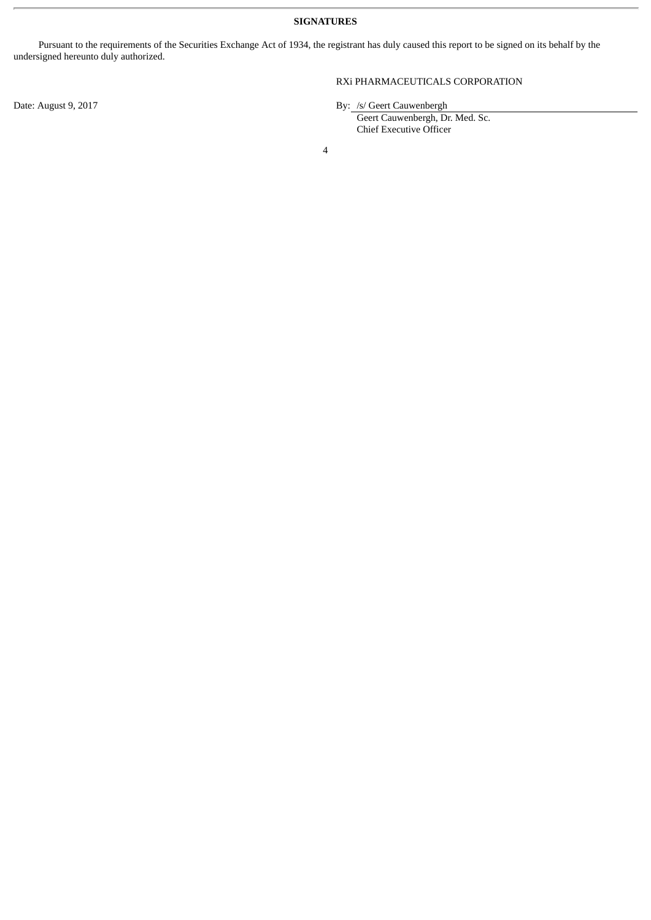**SIGNATURES**

Pursuant to the requirements of the Securities Exchange Act of 1934, the registrant has duly caused this report to be signed on its behalf by the undersigned hereunto duly authorized.

# RXi PHARMACEUTICALS CORPORATION

Date: August 9, 2017 **By:** /s/ Geert Cauwenbergh

| Geert Cauwenbergh, Dr. Med. Sc. |  |
|---------------------------------|--|
| <b>Chief Executive Officer</b>  |  |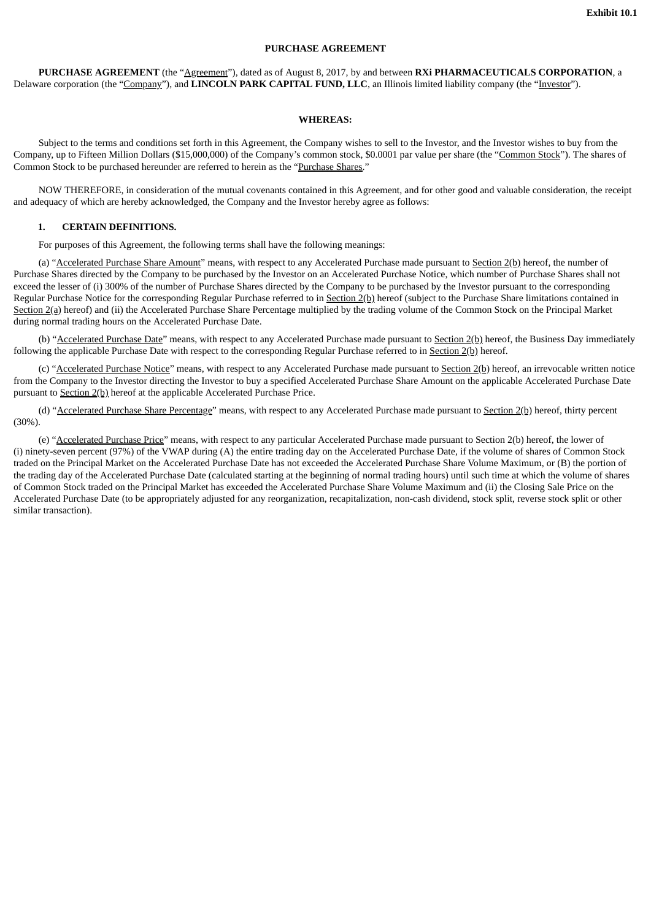#### **PURCHASE AGREEMENT**

**PURCHASE AGREEMENT** (the "Agreement"), dated as of August 8, 2017, by and between **RXi PHARMACEUTICALS CORPORATION**, a Delaware corporation (the "Company"), and **LINCOLN PARK CAPITAL FUND, LLC**, an Illinois limited liability company (the "Investor").

#### **WHEREAS:**

Subject to the terms and conditions set forth in this Agreement, the Company wishes to sell to the Investor, and the Investor wishes to buy from the Company, up to Fifteen Million Dollars (\$15,000,000) of the Company's common stock, \$0.0001 par value per share (the "Common Stock"). The shares of Common Stock to be purchased hereunder are referred to herein as the "Purchase Shares."

NOW THEREFORE, in consideration of the mutual covenants contained in this Agreement, and for other good and valuable consideration, the receipt and adequacy of which are hereby acknowledged, the Company and the Investor hereby agree as follows:

# **1. CERTAIN DEFINITIONS.**

For purposes of this Agreement, the following terms shall have the following meanings:

(a) "Accelerated Purchase Share Amount" means, with respect to any Accelerated Purchase made pursuant to Section 2(b) hereof, the number of Purchase Shares directed by the Company to be purchased by the Investor on an Accelerated Purchase Notice, which number of Purchase Shares shall not exceed the lesser of (i) 300% of the number of Purchase Shares directed by the Company to be purchased by the Investor pursuant to the corresponding Regular Purchase Notice for the corresponding Regular Purchase referred to in Section 2(b) hereof (subject to the Purchase Share limitations contained in Section 2(a) hereof) and (ii) the Accelerated Purchase Share Percentage multiplied by the trading volume of the Common Stock on the Principal Market during normal trading hours on the Accelerated Purchase Date.

(b) "Accelerated Purchase Date" means, with respect to any Accelerated Purchase made pursuant to Section 2(b) hereof, the Business Day immediately following the applicable Purchase Date with respect to the corresponding Regular Purchase referred to in Section 2(b) hereof.

(c) "Accelerated Purchase Notice" means, with respect to any Accelerated Purchase made pursuant to Section 2(b) hereof, an irrevocable written notice from the Company to the Investor directing the Investor to buy a specified Accelerated Purchase Share Amount on the applicable Accelerated Purchase Date pursuant to Section 2(b) hereof at the applicable Accelerated Purchase Price.

(d) "Accelerated Purchase Share Percentage" means, with respect to any Accelerated Purchase made pursuant to Section 2(b) hereof, thirty percent (30%).

(e) "Accelerated Purchase Price" means, with respect to any particular Accelerated Purchase made pursuant to Section 2(b) hereof, the lower of (i) ninety-seven percent (97%) of the VWAP during (A) the entire trading day on the Accelerated Purchase Date, if the volume of shares of Common Stock traded on the Principal Market on the Accelerated Purchase Date has not exceeded the Accelerated Purchase Share Volume Maximum, or (B) the portion of the trading day of the Accelerated Purchase Date (calculated starting at the beginning of normal trading hours) until such time at which the volume of shares of Common Stock traded on the Principal Market has exceeded the Accelerated Purchase Share Volume Maximum and (ii) the Closing Sale Price on the Accelerated Purchase Date (to be appropriately adjusted for any reorganization, recapitalization, non-cash dividend, stock split, reverse stock split or other similar transaction).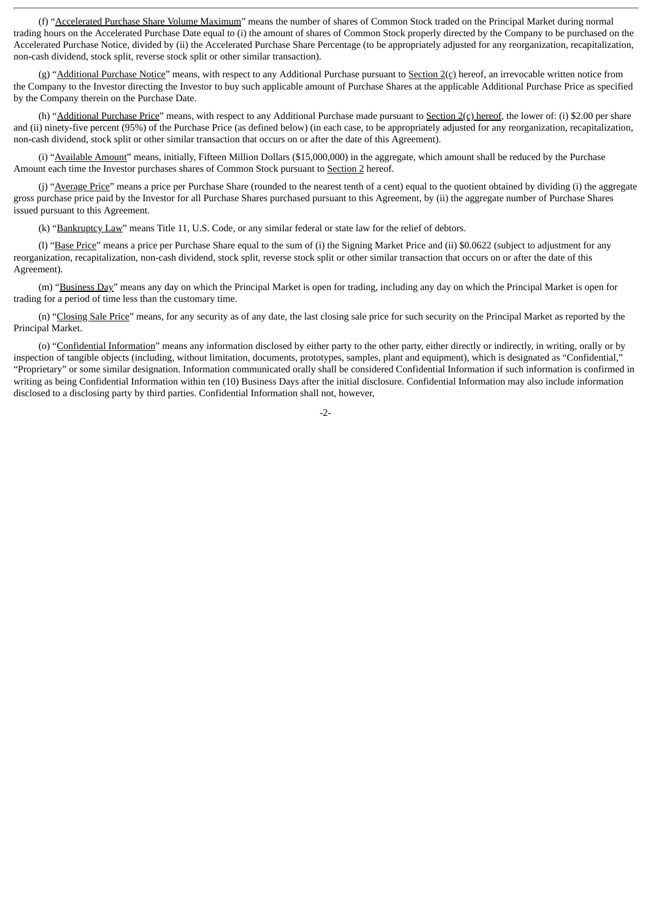(f) "Accelerated Purchase Share Volume Maximum" means the number of shares of Common Stock traded on the Principal Market during normal trading hours on the Accelerated Purchase Date equal to (i) the amount of shares of Common Stock properly directed by the Company to be purchased on the Accelerated Purchase Notice, divided by (ii) the Accelerated Purchase Share Percentage (to be appropriately adjusted for any reorganization, recapitalization, non-cash dividend, stock split, reverse stock split or other similar transaction).

(g) "Additional Purchase Notice" means, with respect to any Additional Purchase pursuant to Section  $2(c)$  hereof, an irrevocable written notice from the Company to the Investor directing the Investor to buy such applicable amount of Purchase Shares at the applicable Additional Purchase Price as specified by the Company therein on the Purchase Date.

(h) "Additional Purchase Price" means, with respect to any Additional Purchase made pursuant to Section  $2(c)$  hereof, the lower of: (i) \$2.00 per share and (ii) ninety-five percent (95%) of the Purchase Price (as defined below) (in each case, to be appropriately adjusted for any reorganization, recapitalization, non-cash dividend, stock split or other similar transaction that occurs on or after the date of this Agreement).

(i) "Available Amount" means, initially, Fifteen Million Dollars (\$15,000,000) in the aggregate, which amount shall be reduced by the Purchase Amount each time the Investor purchases shares of Common Stock pursuant to Section 2 hereof.

(j) "Average Price" means a price per Purchase Share (rounded to the nearest tenth of a cent) equal to the quotient obtained by dividing (i) the aggregate gross purchase price paid by the Investor for all Purchase Shares purchased pursuant to this Agreement, by (ii) the aggregate number of Purchase Shares issued pursuant to this Agreement.

(k) "Bankruptcy Law" means Title 11, U.S. Code, or any similar federal or state law for the relief of debtors.

(l) "Base Price" means a price per Purchase Share equal to the sum of (i) the Signing Market Price and (ii) \$0.0622 (subject to adjustment for any reorganization, recapitalization, non-cash dividend, stock split, reverse stock split or other similar transaction that occurs on or after the date of this Agreement).

(m) "Business Day" means any day on which the Principal Market is open for trading, including any day on which the Principal Market is open for trading for a period of time less than the customary time.

(n) "Closing Sale Price" means, for any security as of any date, the last closing sale price for such security on the Principal Market as reported by the Principal Market.

(o) "Confidential Information" means any information disclosed by either party to the other party, either directly or indirectly, in writing, orally or by inspection of tangible objects (including, without limitation, documents, prototypes, samples, plant and equipment), which is designated as "Confidential," "Proprietary" or some similar designation. Information communicated orally shall be considered Confidential Information if such information is confirmed in writing as being Confidential Information within ten (10) Business Days after the initial disclosure. Confidential Information may also include information disclosed to a disclosing party by third parties. Confidential Information shall not, however,

 $-2-$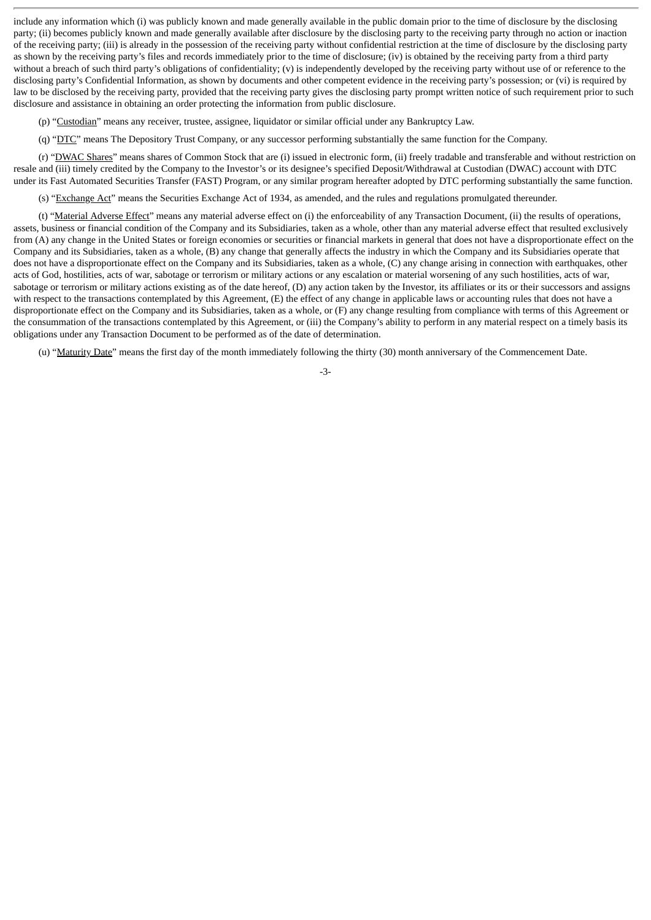include any information which (i) was publicly known and made generally available in the public domain prior to the time of disclosure by the disclosing party; (ii) becomes publicly known and made generally available after disclosure by the disclosing party to the receiving party through no action or inaction of the receiving party; (iii) is already in the possession of the receiving party without confidential restriction at the time of disclosure by the disclosing party as shown by the receiving party's files and records immediately prior to the time of disclosure; (iv) is obtained by the receiving party from a third party without a breach of such third party's obligations of confidentiality; (v) is independently developed by the receiving party without use of or reference to the disclosing party's Confidential Information, as shown by documents and other competent evidence in the receiving party's possession; or (vi) is required by law to be disclosed by the receiving party, provided that the receiving party gives the disclosing party prompt written notice of such requirement prior to such disclosure and assistance in obtaining an order protecting the information from public disclosure.

(p) "Custodian" means any receiver, trustee, assignee, liquidator or similar official under any Bankruptcy Law.

(q) "DTC" means The Depository Trust Company, or any successor performing substantially the same function for the Company.

(r) "DWAC Shares" means shares of Common Stock that are (i) issued in electronic form, (ii) freely tradable and transferable and without restriction on resale and (iii) timely credited by the Company to the Investor's or its designee's specified Deposit/Withdrawal at Custodian (DWAC) account with DTC under its Fast Automated Securities Transfer (FAST) Program, or any similar program hereafter adopted by DTC performing substantially the same function.

(s) "Exchange Act" means the Securities Exchange Act of 1934, as amended, and the rules and regulations promulgated thereunder.

(t) "Material Adverse Effect" means any material adverse effect on (i) the enforceability of any Transaction Document, (ii) the results of operations, assets, business or financial condition of the Company and its Subsidiaries, taken as a whole, other than any material adverse effect that resulted exclusively from (A) any change in the United States or foreign economies or securities or financial markets in general that does not have a disproportionate effect on the Company and its Subsidiaries, taken as a whole, (B) any change that generally affects the industry in which the Company and its Subsidiaries operate that does not have a disproportionate effect on the Company and its Subsidiaries, taken as a whole, (C) any change arising in connection with earthquakes, other acts of God, hostilities, acts of war, sabotage or terrorism or military actions or any escalation or material worsening of any such hostilities, acts of war, sabotage or terrorism or military actions existing as of the date hereof, (D) any action taken by the Investor, its affiliates or its or their successors and assigns with respect to the transactions contemplated by this Agreement, (E) the effect of any change in applicable laws or accounting rules that does not have a disproportionate effect on the Company and its Subsidiaries, taken as a whole, or (F) any change resulting from compliance with terms of this Agreement or the consummation of the transactions contemplated by this Agreement, or (iii) the Company's ability to perform in any material respect on a timely basis its obligations under any Transaction Document to be performed as of the date of determination.

(u) "Maturity Date" means the first day of the month immediately following the thirty (30) month anniversary of the Commencement Date.

-3-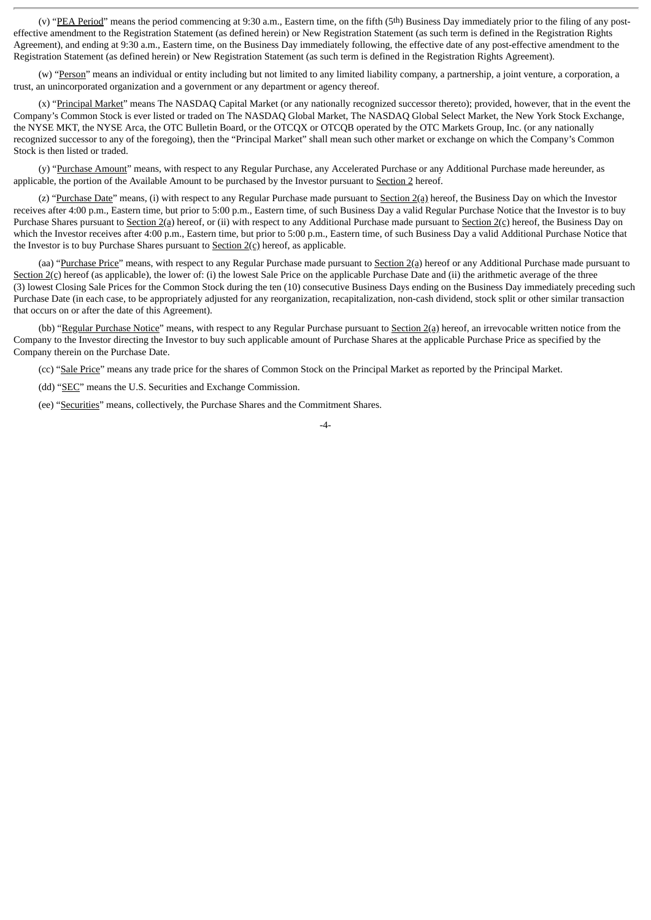(v) "PEA Period" means the period commencing at 9:30 a.m., Eastern time, on the fifth (5th) Business Day immediately prior to the filing of any posteffective amendment to the Registration Statement (as defined herein) or New Registration Statement (as such term is defined in the Registration Rights Agreement), and ending at 9:30 a.m., Eastern time, on the Business Day immediately following, the effective date of any post-effective amendment to the Registration Statement (as defined herein) or New Registration Statement (as such term is defined in the Registration Rights Agreement).

(w) "Person" means an individual or entity including but not limited to any limited liability company, a partnership, a joint venture, a corporation, a trust, an unincorporated organization and a government or any department or agency thereof.

(x) "Principal Market" means The NASDAQ Capital Market (or any nationally recognized successor thereto); provided, however, that in the event the Company's Common Stock is ever listed or traded on The NASDAQ Global Market, The NASDAQ Global Select Market, the New York Stock Exchange, the NYSE MKT, the NYSE Arca, the OTC Bulletin Board, or the OTCQX or OTCQB operated by the OTC Markets Group, Inc. (or any nationally recognized successor to any of the foregoing), then the "Principal Market" shall mean such other market or exchange on which the Company's Common Stock is then listed or traded.

(y) "Purchase Amount" means, with respect to any Regular Purchase, any Accelerated Purchase or any Additional Purchase made hereunder, as applicable, the portion of the Available Amount to be purchased by the Investor pursuant to Section 2 hereof.

(z) "Purchase Date" means, (i) with respect to any Regular Purchase made pursuant to Section  $2(a)$  hereof, the Business Day on which the Investor receives after 4:00 p.m., Eastern time, but prior to 5:00 p.m., Eastern time, of such Business Day a valid Regular Purchase Notice that the Investor is to buy Purchase Shares pursuant to Section  $2(a)$  hereof, or (ii) with respect to any Additional Purchase made pursuant to Section  $2(c)$  hereof, the Business Day on which the Investor receives after 4:00 p.m., Eastern time, but prior to 5:00 p.m., Eastern time, of such Business Day a valid Additional Purchase Notice that the Investor is to buy Purchase Shares pursuant to  $Section 2(c)$  hereof, as applicable.

(aa) "Purchase Price" means, with respect to any Regular Purchase made pursuant to Section 2(a) hereof or any Additional Purchase made pursuant to Section 2(c) hereof (as applicable), the lower of: (i) the lowest Sale Price on the applicable Purchase Date and (ii) the arithmetic average of the three (3) lowest Closing Sale Prices for the Common Stock during the ten (10) consecutive Business Days ending on the Business Day immediately preceding such Purchase Date (in each case, to be appropriately adjusted for any reorganization, recapitalization, non-cash dividend, stock split or other similar transaction that occurs on or after the date of this Agreement).

(bb) "Regular Purchase Notice" means, with respect to any Regular Purchase pursuant to Section 2(a) hereof, an irrevocable written notice from the Company to the Investor directing the Investor to buy such applicable amount of Purchase Shares at the applicable Purchase Price as specified by the Company therein on the Purchase Date.

(cc) "Sale Price" means any trade price for the shares of Common Stock on the Principal Market as reported by the Principal Market.

(dd) "SEC" means the U.S. Securities and Exchange Commission.

(ee) "Securities" means, collectively, the Purchase Shares and the Commitment Shares.

<sup>-4-</sup>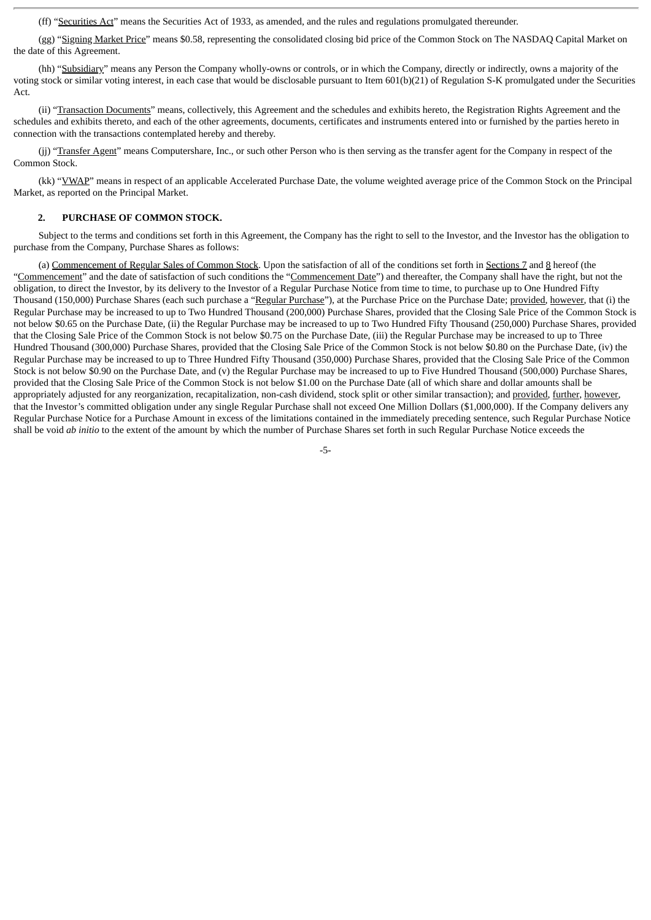(ff) "Securities Act" means the Securities Act of 1933, as amended, and the rules and regulations promulgated thereunder.

(gg) "Signing Market Price" means \$0.58, representing the consolidated closing bid price of the Common Stock on The NASDAQ Capital Market on the date of this Agreement.

(hh) "Subsidiary" means any Person the Company wholly-owns or controls, or in which the Company, directly or indirectly, owns a majority of the voting stock or similar voting interest, in each case that would be disclosable pursuant to Item 601(b)(21) of Regulation S-K promulgated under the Securities Act.

(ii) "Transaction Documents" means, collectively, this Agreement and the schedules and exhibits hereto, the Registration Rights Agreement and the schedules and exhibits thereto, and each of the other agreements, documents, certificates and instruments entered into or furnished by the parties hereto in connection with the transactions contemplated hereby and thereby.

(jj) "Transfer Agent" means Computershare, Inc., or such other Person who is then serving as the transfer agent for the Company in respect of the Common Stock.

(kk) "VWAP" means in respect of an applicable Accelerated Purchase Date, the volume weighted average price of the Common Stock on the Principal Market, as reported on the Principal Market.

# **2. PURCHASE OF COMMON STOCK.**

Subject to the terms and conditions set forth in this Agreement, the Company has the right to sell to the Investor, and the Investor has the obligation to purchase from the Company, Purchase Shares as follows:

(a) Commencement of Regular Sales of Common Stock. Upon the satisfaction of all of the conditions set forth in Sections 7 and 8 hereof (the "Commencement" and the date of satisfaction of such conditions the "Commencement Date") and thereafter, the Company shall have the right, but not the obligation, to direct the Investor, by its delivery to the Investor of a Regular Purchase Notice from time to time, to purchase up to One Hundred Fifty Thousand (150,000) Purchase Shares (each such purchase a "Regular Purchase"), at the Purchase Price on the Purchase Date; provided, however, that (i) the Regular Purchase may be increased to up to Two Hundred Thousand (200,000) Purchase Shares, provided that the Closing Sale Price of the Common Stock is not below \$0.65 on the Purchase Date, (ii) the Regular Purchase may be increased to up to Two Hundred Fifty Thousand (250,000) Purchase Shares, provided that the Closing Sale Price of the Common Stock is not below \$0.75 on the Purchase Date, (iii) the Regular Purchase may be increased to up to Three Hundred Thousand (300,000) Purchase Shares, provided that the Closing Sale Price of the Common Stock is not below \$0.80 on the Purchase Date, (iv) the Regular Purchase may be increased to up to Three Hundred Fifty Thousand (350,000) Purchase Shares, provided that the Closing Sale Price of the Common Stock is not below \$0.90 on the Purchase Date, and (v) the Regular Purchase may be increased to up to Five Hundred Thousand (500,000) Purchase Shares, provided that the Closing Sale Price of the Common Stock is not below \$1.00 on the Purchase Date (all of which share and dollar amounts shall be appropriately adjusted for any reorganization, recapitalization, non-cash dividend, stock split or other similar transaction); and provided, further, however, that the Investor's committed obligation under any single Regular Purchase shall not exceed One Million Dollars (\$1,000,000). If the Company delivers any Regular Purchase Notice for a Purchase Amount in excess of the limitations contained in the immediately preceding sentence, such Regular Purchase Notice shall be void *ab initio* to the extent of the amount by which the number of Purchase Shares set forth in such Regular Purchase Notice exceeds the

-5-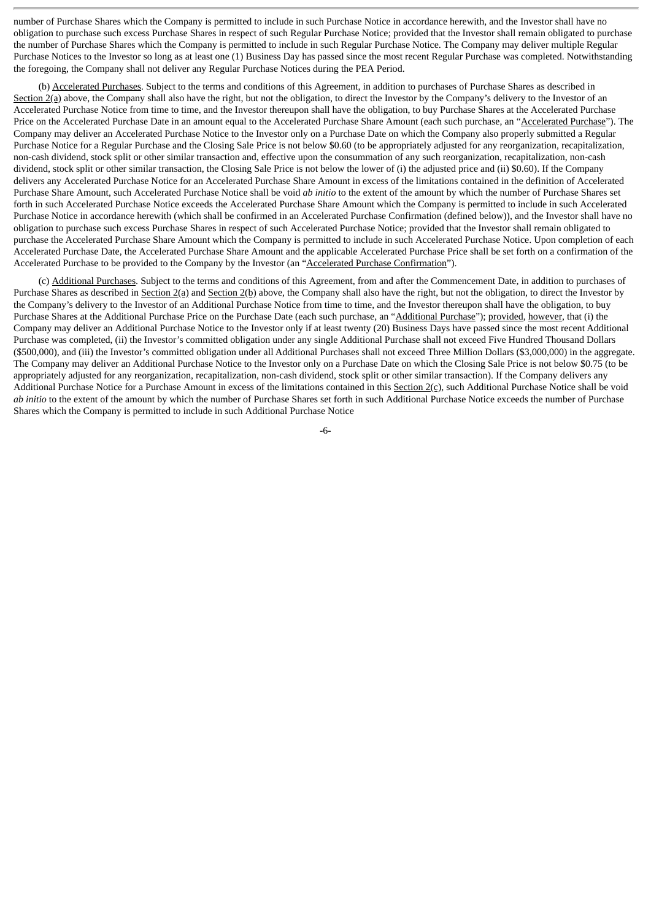number of Purchase Shares which the Company is permitted to include in such Purchase Notice in accordance herewith, and the Investor shall have no obligation to purchase such excess Purchase Shares in respect of such Regular Purchase Notice; provided that the Investor shall remain obligated to purchase the number of Purchase Shares which the Company is permitted to include in such Regular Purchase Notice. The Company may deliver multiple Regular Purchase Notices to the Investor so long as at least one (1) Business Day has passed since the most recent Regular Purchase was completed. Notwithstanding the foregoing, the Company shall not deliver any Regular Purchase Notices during the PEA Period.

(b) Accelerated Purchases. Subject to the terms and conditions of this Agreement, in addition to purchases of Purchase Shares as described in Section 2(a) above, the Company shall also have the right, but not the obligation, to direct the Investor by the Company's delivery to the Investor of an Accelerated Purchase Notice from time to time, and the Investor thereupon shall have the obligation, to buy Purchase Shares at the Accelerated Purchase Price on the Accelerated Purchase Date in an amount equal to the Accelerated Purchase Share Amount (each such purchase, an "Accelerated Purchase"). The Company may deliver an Accelerated Purchase Notice to the Investor only on a Purchase Date on which the Company also properly submitted a Regular Purchase Notice for a Regular Purchase and the Closing Sale Price is not below \$0.60 (to be appropriately adjusted for any reorganization, recapitalization, non-cash dividend, stock split or other similar transaction and, effective upon the consummation of any such reorganization, recapitalization, non-cash dividend, stock split or other similar transaction, the Closing Sale Price is not below the lower of (i) the adjusted price and (ii) \$0.60). If the Company delivers any Accelerated Purchase Notice for an Accelerated Purchase Share Amount in excess of the limitations contained in the definition of Accelerated Purchase Share Amount, such Accelerated Purchase Notice shall be void *ab initio* to the extent of the amount by which the number of Purchase Shares set forth in such Accelerated Purchase Notice exceeds the Accelerated Purchase Share Amount which the Company is permitted to include in such Accelerated Purchase Notice in accordance herewith (which shall be confirmed in an Accelerated Purchase Confirmation (defined below)), and the Investor shall have no obligation to purchase such excess Purchase Shares in respect of such Accelerated Purchase Notice; provided that the Investor shall remain obligated to purchase the Accelerated Purchase Share Amount which the Company is permitted to include in such Accelerated Purchase Notice. Upon completion of each Accelerated Purchase Date, the Accelerated Purchase Share Amount and the applicable Accelerated Purchase Price shall be set forth on a confirmation of the Accelerated Purchase to be provided to the Company by the Investor (an "Accelerated Purchase Confirmation").

(c) Additional Purchases. Subject to the terms and conditions of this Agreement, from and after the Commencement Date, in addition to purchases of Purchase Shares as described in Section 2(a) and Section 2(b) above, the Company shall also have the right, but not the obligation, to direct the Investor by the Company's delivery to the Investor of an Additional Purchase Notice from time to time, and the Investor thereupon shall have the obligation, to buy Purchase Shares at the Additional Purchase Price on the Purchase Date (each such purchase, an "Additional Purchase"); provided, however, that (i) the Company may deliver an Additional Purchase Notice to the Investor only if at least twenty (20) Business Days have passed since the most recent Additional Purchase was completed, (ii) the Investor's committed obligation under any single Additional Purchase shall not exceed Five Hundred Thousand Dollars (\$500,000), and (iii) the Investor's committed obligation under all Additional Purchases shall not exceed Three Million Dollars (\$3,000,000) in the aggregate. The Company may deliver an Additional Purchase Notice to the Investor only on a Purchase Date on which the Closing Sale Price is not below \$0.75 (to be appropriately adjusted for any reorganization, recapitalization, non-cash dividend, stock split or other similar transaction). If the Company delivers any Additional Purchase Notice for a Purchase Amount in excess of the limitations contained in this  $Section 2(c)$ , such Additional Purchase Notice shall be void *ab initio* to the extent of the amount by which the number of Purchase Shares set forth in such Additional Purchase Notice exceeds the number of Purchase Shares which the Company is permitted to include in such Additional Purchase Notice

-6-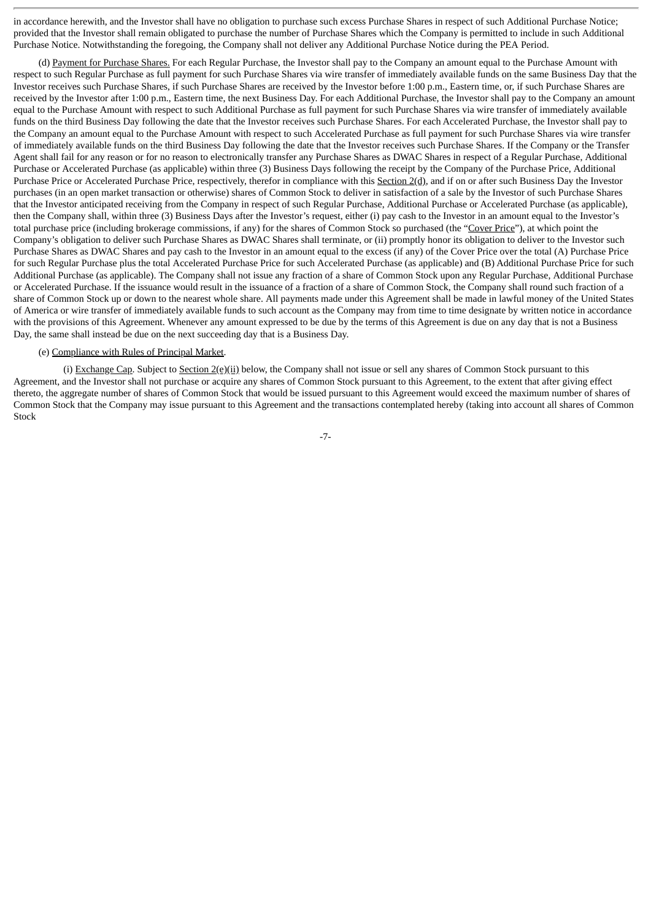in accordance herewith, and the Investor shall have no obligation to purchase such excess Purchase Shares in respect of such Additional Purchase Notice; provided that the Investor shall remain obligated to purchase the number of Purchase Shares which the Company is permitted to include in such Additional Purchase Notice. Notwithstanding the foregoing, the Company shall not deliver any Additional Purchase Notice during the PEA Period.

(d) Payment for Purchase Shares. For each Regular Purchase, the Investor shall pay to the Company an amount equal to the Purchase Amount with respect to such Regular Purchase as full payment for such Purchase Shares via wire transfer of immediately available funds on the same Business Day that the Investor receives such Purchase Shares, if such Purchase Shares are received by the Investor before 1:00 p.m., Eastern time, or, if such Purchase Shares are received by the Investor after 1:00 p.m., Eastern time, the next Business Day. For each Additional Purchase, the Investor shall pay to the Company an amount equal to the Purchase Amount with respect to such Additional Purchase as full payment for such Purchase Shares via wire transfer of immediately available funds on the third Business Day following the date that the Investor receives such Purchase Shares. For each Accelerated Purchase, the Investor shall pay to the Company an amount equal to the Purchase Amount with respect to such Accelerated Purchase as full payment for such Purchase Shares via wire transfer of immediately available funds on the third Business Day following the date that the Investor receives such Purchase Shares. If the Company or the Transfer Agent shall fail for any reason or for no reason to electronically transfer any Purchase Shares as DWAC Shares in respect of a Regular Purchase, Additional Purchase or Accelerated Purchase (as applicable) within three (3) Business Days following the receipt by the Company of the Purchase Price, Additional Purchase Price or Accelerated Purchase Price, respectively, therefor in compliance with this Section 2(d), and if on or after such Business Day the Investor purchases (in an open market transaction or otherwise) shares of Common Stock to deliver in satisfaction of a sale by the Investor of such Purchase Shares that the Investor anticipated receiving from the Company in respect of such Regular Purchase, Additional Purchase or Accelerated Purchase (as applicable), then the Company shall, within three (3) Business Days after the Investor's request, either (i) pay cash to the Investor in an amount equal to the Investor's total purchase price (including brokerage commissions, if any) for the shares of Common Stock so purchased (the "Cover Price"), at which point the Company's obligation to deliver such Purchase Shares as DWAC Shares shall terminate, or (ii) promptly honor its obligation to deliver to the Investor such Purchase Shares as DWAC Shares and pay cash to the Investor in an amount equal to the excess (if any) of the Cover Price over the total (A) Purchase Price for such Regular Purchase plus the total Accelerated Purchase Price for such Accelerated Purchase (as applicable) and (B) Additional Purchase Price for such Additional Purchase (as applicable). The Company shall not issue any fraction of a share of Common Stock upon any Regular Purchase, Additional Purchase or Accelerated Purchase. If the issuance would result in the issuance of a fraction of a share of Common Stock, the Company shall round such fraction of a share of Common Stock up or down to the nearest whole share. All payments made under this Agreement shall be made in lawful money of the United States of America or wire transfer of immediately available funds to such account as the Company may from time to time designate by written notice in accordance with the provisions of this Agreement. Whenever any amount expressed to be due by the terms of this Agreement is due on any day that is not a Business Day, the same shall instead be due on the next succeeding day that is a Business Day.

# (e) Compliance with Rules of Principal Market.

(i) Exchange Cap. Subject to Section  $2(e)(ii)$  below, the Company shall not issue or sell any shares of Common Stock pursuant to this Agreement, and the Investor shall not purchase or acquire any shares of Common Stock pursuant to this Agreement, to the extent that after giving effect thereto, the aggregate number of shares of Common Stock that would be issued pursuant to this Agreement would exceed the maximum number of shares of Common Stock that the Company may issue pursuant to this Agreement and the transactions contemplated hereby (taking into account all shares of Common Stock

-7-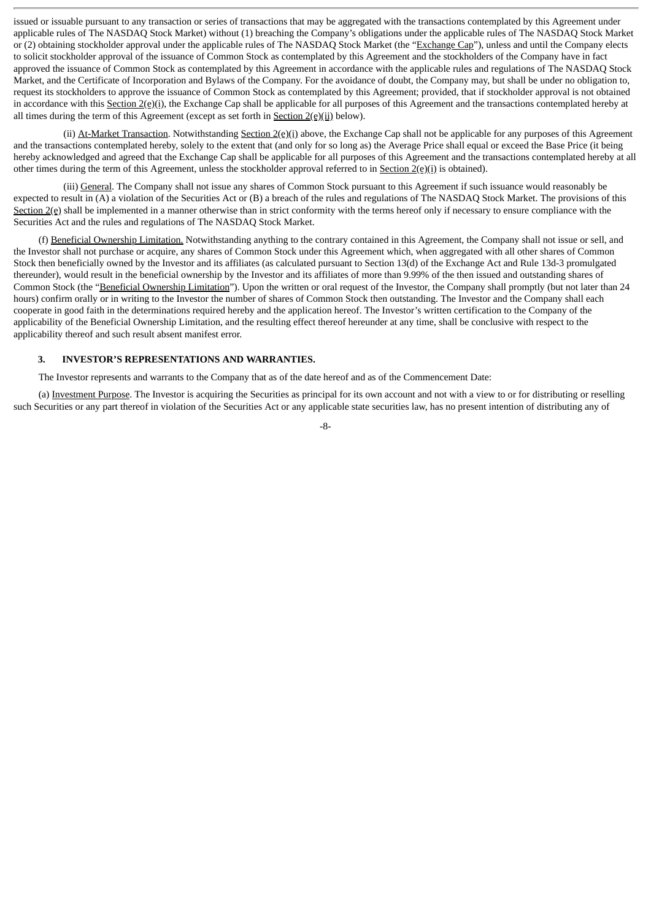issued or issuable pursuant to any transaction or series of transactions that may be aggregated with the transactions contemplated by this Agreement under applicable rules of The NASDAQ Stock Market) without (1) breaching the Company's obligations under the applicable rules of The NASDAQ Stock Market or (2) obtaining stockholder approval under the applicable rules of The NASDAQ Stock Market (the "Exchange Cap"), unless and until the Company elects to solicit stockholder approval of the issuance of Common Stock as contemplated by this Agreement and the stockholders of the Company have in fact approved the issuance of Common Stock as contemplated by this Agreement in accordance with the applicable rules and regulations of The NASDAQ Stock Market, and the Certificate of Incorporation and Bylaws of the Company. For the avoidance of doubt, the Company may, but shall be under no obligation to, request its stockholders to approve the issuance of Common Stock as contemplated by this Agreement; provided, that if stockholder approval is not obtained in accordance with this Section  $2(e)(i)$ , the Exchange Cap shall be applicable for all purposes of this Agreement and the transactions contemplated hereby at all times during the term of this Agreement (except as set forth in  $Section 2(e)(ii)$  below).

(ii) At-Market Transaction. Notwithstanding Section  $2(e)(i)$  above, the Exchange Cap shall not be applicable for any purposes of this Agreement and the transactions contemplated hereby, solely to the extent that (and only for so long as) the Average Price shall equal or exceed the Base Price (it being hereby acknowledged and agreed that the Exchange Cap shall be applicable for all purposes of this Agreement and the transactions contemplated hereby at all other times during the term of this Agreement, unless the stockholder approval referred to in Section 2(e)(i) is obtained).

(iii) General. The Company shall not issue any shares of Common Stock pursuant to this Agreement if such issuance would reasonably be expected to result in (A) a violation of the Securities Act or (B) a breach of the rules and regulations of The NASDAQ Stock Market. The provisions of this Section  $2(e)$  shall be implemented in a manner otherwise than in strict conformity with the terms hereof only if necessary to ensure compliance with the Securities Act and the rules and regulations of The NASDAQ Stock Market.

(f) Beneficial Ownership Limitation. Notwithstanding anything to the contrary contained in this Agreement, the Company shall not issue or sell, and the Investor shall not purchase or acquire, any shares of Common Stock under this Agreement which, when aggregated with all other shares of Common Stock then beneficially owned by the Investor and its affiliates (as calculated pursuant to Section 13(d) of the Exchange Act and Rule 13d-3 promulgated thereunder), would result in the beneficial ownership by the Investor and its affiliates of more than 9.99% of the then issued and outstanding shares of Common Stock (the "Beneficial Ownership Limitation"). Upon the written or oral request of the Investor, the Company shall promptly (but not later than 24 hours) confirm orally or in writing to the Investor the number of shares of Common Stock then outstanding. The Investor and the Company shall each cooperate in good faith in the determinations required hereby and the application hereof. The Investor's written certification to the Company of the applicability of the Beneficial Ownership Limitation, and the resulting effect thereof hereunder at any time, shall be conclusive with respect to the applicability thereof and such result absent manifest error.

# **3. INVESTOR'S REPRESENTATIONS AND WARRANTIES.**

The Investor represents and warrants to the Company that as of the date hereof and as of the Commencement Date:

(a) Investment Purpose. The Investor is acquiring the Securities as principal for its own account and not with a view to or for distributing or reselling such Securities or any part thereof in violation of the Securities Act or any applicable state securities law, has no present intention of distributing any of

-8-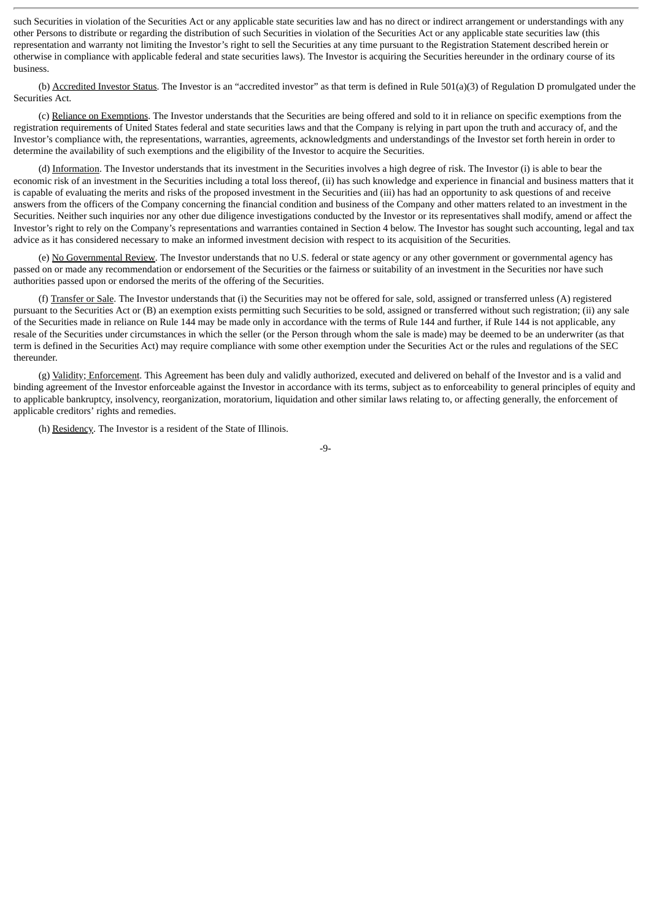such Securities in violation of the Securities Act or any applicable state securities law and has no direct or indirect arrangement or understandings with any other Persons to distribute or regarding the distribution of such Securities in violation of the Securities Act or any applicable state securities law (this representation and warranty not limiting the Investor's right to sell the Securities at any time pursuant to the Registration Statement described herein or otherwise in compliance with applicable federal and state securities laws). The Investor is acquiring the Securities hereunder in the ordinary course of its business.

(b) Accredited Investor Status. The Investor is an "accredited investor" as that term is defined in Rule 501(a)(3) of Regulation D promulgated under the Securities Act.

(c) Reliance on Exemptions. The Investor understands that the Securities are being offered and sold to it in reliance on specific exemptions from the registration requirements of United States federal and state securities laws and that the Company is relying in part upon the truth and accuracy of, and the Investor's compliance with, the representations, warranties, agreements, acknowledgments and understandings of the Investor set forth herein in order to determine the availability of such exemptions and the eligibility of the Investor to acquire the Securities.

(d) Information. The Investor understands that its investment in the Securities involves a high degree of risk. The Investor (i) is able to bear the economic risk of an investment in the Securities including a total loss thereof, (ii) has such knowledge and experience in financial and business matters that it is capable of evaluating the merits and risks of the proposed investment in the Securities and (iii) has had an opportunity to ask questions of and receive answers from the officers of the Company concerning the financial condition and business of the Company and other matters related to an investment in the Securities. Neither such inquiries nor any other due diligence investigations conducted by the Investor or its representatives shall modify, amend or affect the Investor's right to rely on the Company's representations and warranties contained in Section 4 below. The Investor has sought such accounting, legal and tax advice as it has considered necessary to make an informed investment decision with respect to its acquisition of the Securities.

(e) No Governmental Review. The Investor understands that no U.S. federal or state agency or any other government or governmental agency has passed on or made any recommendation or endorsement of the Securities or the fairness or suitability of an investment in the Securities nor have such authorities passed upon or endorsed the merits of the offering of the Securities.

(f) Transfer or Sale. The Investor understands that (i) the Securities may not be offered for sale, sold, assigned or transferred unless (A) registered pursuant to the Securities Act or (B) an exemption exists permitting such Securities to be sold, assigned or transferred without such registration; (ii) any sale of the Securities made in reliance on Rule 144 may be made only in accordance with the terms of Rule 144 and further, if Rule 144 is not applicable, any resale of the Securities under circumstances in which the seller (or the Person through whom the sale is made) may be deemed to be an underwriter (as that term is defined in the Securities Act) may require compliance with some other exemption under the Securities Act or the rules and regulations of the SEC thereunder.

(g) Validity; Enforcement. This Agreement has been duly and validly authorized, executed and delivered on behalf of the Investor and is a valid and binding agreement of the Investor enforceable against the Investor in accordance with its terms, subject as to enforceability to general principles of equity and to applicable bankruptcy, insolvency, reorganization, moratorium, liquidation and other similar laws relating to, or affecting generally, the enforcement of applicable creditors' rights and remedies.

(h) Residency. The Investor is a resident of the State of Illinois.

-9-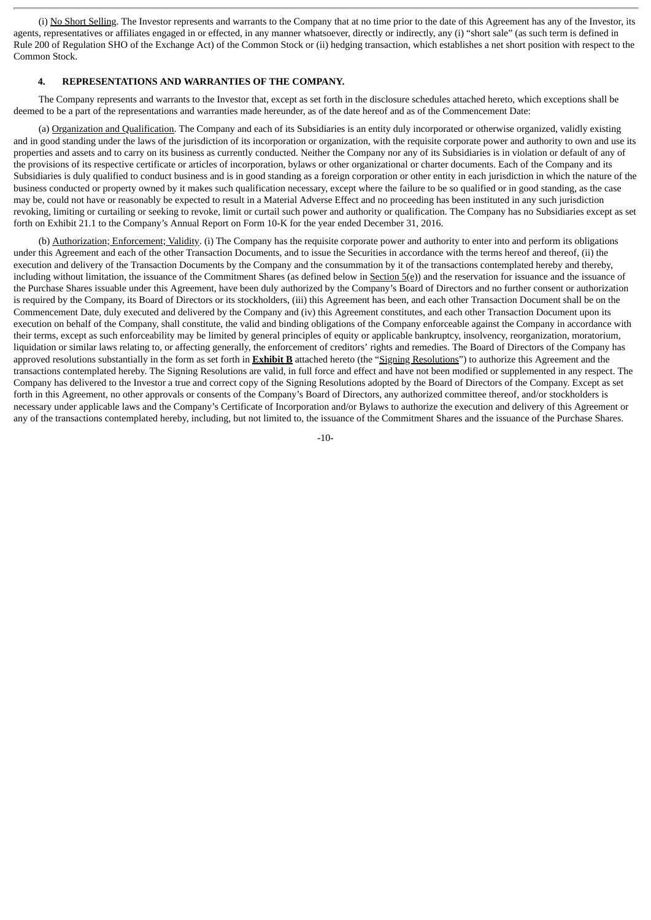(i) No Short Selling. The Investor represents and warrants to the Company that at no time prior to the date of this Agreement has any of the Investor, its agents, representatives or affiliates engaged in or effected, in any manner whatsoever, directly or indirectly, any (i) "short sale" (as such term is defined in Rule 200 of Regulation SHO of the Exchange Act) of the Common Stock or (ii) hedging transaction, which establishes a net short position with respect to the Common Stock.

#### **4. REPRESENTATIONS AND WARRANTIES OF THE COMPANY.**

The Company represents and warrants to the Investor that, except as set forth in the disclosure schedules attached hereto, which exceptions shall be deemed to be a part of the representations and warranties made hereunder, as of the date hereof and as of the Commencement Date:

(a) Organization and Qualification. The Company and each of its Subsidiaries is an entity duly incorporated or otherwise organized, validly existing and in good standing under the laws of the jurisdiction of its incorporation or organization, with the requisite corporate power and authority to own and use its properties and assets and to carry on its business as currently conducted. Neither the Company nor any of its Subsidiaries is in violation or default of any of the provisions of its respective certificate or articles of incorporation, bylaws or other organizational or charter documents. Each of the Company and its Subsidiaries is duly qualified to conduct business and is in good standing as a foreign corporation or other entity in each jurisdiction in which the nature of the business conducted or property owned by it makes such qualification necessary, except where the failure to be so qualified or in good standing, as the case may be, could not have or reasonably be expected to result in a Material Adverse Effect and no proceeding has been instituted in any such jurisdiction revoking, limiting or curtailing or seeking to revoke, limit or curtail such power and authority or qualification. The Company has no Subsidiaries except as set forth on Exhibit 21.1 to the Company's Annual Report on Form 10-K for the year ended December 31, 2016.

(b) Authorization; Enforcement; Validity. (i) The Company has the requisite corporate power and authority to enter into and perform its obligations under this Agreement and each of the other Transaction Documents, and to issue the Securities in accordance with the terms hereof and thereof, (ii) the execution and delivery of the Transaction Documents by the Company and the consummation by it of the transactions contemplated hereby and thereby, including without limitation, the issuance of the Commitment Shares (as defined below in **Section 5(e)**) and the reservation for issuance and the issuance of the Purchase Shares issuable under this Agreement, have been duly authorized by the Company's Board of Directors and no further consent or authorization is required by the Company, its Board of Directors or its stockholders, (iii) this Agreement has been, and each other Transaction Document shall be on the Commencement Date, duly executed and delivered by the Company and (iv) this Agreement constitutes, and each other Transaction Document upon its execution on behalf of the Company, shall constitute, the valid and binding obligations of the Company enforceable against the Company in accordance with their terms, except as such enforceability may be limited by general principles of equity or applicable bankruptcy, insolvency, reorganization, moratorium, liquidation or similar laws relating to, or affecting generally, the enforcement of creditors' rights and remedies. The Board of Directors of the Company has approved resolutions substantially in the form as set forth in **Exhibit B** attached hereto (the "Signing Resolutions") to authorize this Agreement and the transactions contemplated hereby. The Signing Resolutions are valid, in full force and effect and have not been modified or supplemented in any respect. The Company has delivered to the Investor a true and correct copy of the Signing Resolutions adopted by the Board of Directors of the Company. Except as set forth in this Agreement, no other approvals or consents of the Company's Board of Directors, any authorized committee thereof, and/or stockholders is necessary under applicable laws and the Company's Certificate of Incorporation and/or Bylaws to authorize the execution and delivery of this Agreement or any of the transactions contemplated hereby, including, but not limited to, the issuance of the Commitment Shares and the issuance of the Purchase Shares.

-10-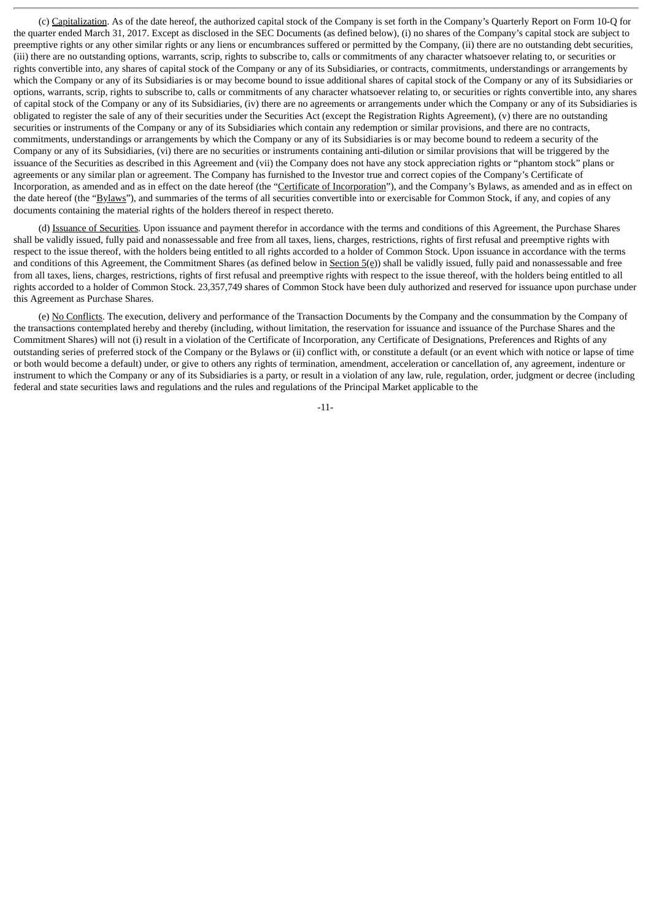(c) Capitalization. As of the date hereof, the authorized capital stock of the Company is set forth in the Company's Quarterly Report on Form 10-Q for the quarter ended March 31, 2017. Except as disclosed in the SEC Documents (as defined below), (i) no shares of the Company's capital stock are subject to preemptive rights or any other similar rights or any liens or encumbrances suffered or permitted by the Company, (ii) there are no outstanding debt securities, (iii) there are no outstanding options, warrants, scrip, rights to subscribe to, calls or commitments of any character whatsoever relating to, or securities or rights convertible into, any shares of capital stock of the Company or any of its Subsidiaries, or contracts, commitments, understandings or arrangements by which the Company or any of its Subsidiaries is or may become bound to issue additional shares of capital stock of the Company or any of its Subsidiaries or options, warrants, scrip, rights to subscribe to, calls or commitments of any character whatsoever relating to, or securities or rights convertible into, any shares of capital stock of the Company or any of its Subsidiaries, (iv) there are no agreements or arrangements under which the Company or any of its Subsidiaries is obligated to register the sale of any of their securities under the Securities Act (except the Registration Rights Agreement), (v) there are no outstanding securities or instruments of the Company or any of its Subsidiaries which contain any redemption or similar provisions, and there are no contracts, commitments, understandings or arrangements by which the Company or any of its Subsidiaries is or may become bound to redeem a security of the Company or any of its Subsidiaries, (vi) there are no securities or instruments containing anti-dilution or similar provisions that will be triggered by the issuance of the Securities as described in this Agreement and (vii) the Company does not have any stock appreciation rights or "phantom stock" plans or agreements or any similar plan or agreement. The Company has furnished to the Investor true and correct copies of the Company's Certificate of Incorporation, as amended and as in effect on the date hereof (the "Certificate of Incorporation"), and the Company's Bylaws, as amended and as in effect on the date hereof (the "Bylaws"), and summaries of the terms of all securities convertible into or exercisable for Common Stock, if any, and copies of any documents containing the material rights of the holders thereof in respect thereto.

(d) Issuance of Securities. Upon issuance and payment therefor in accordance with the terms and conditions of this Agreement, the Purchase Shares shall be validly issued, fully paid and nonassessable and free from all taxes, liens, charges, restrictions, rights of first refusal and preemptive rights with respect to the issue thereof, with the holders being entitled to all rights accorded to a holder of Common Stock. Upon issuance in accordance with the terms and conditions of this Agreement, the Commitment Shares (as defined below in Section 5(e)) shall be validly issued, fully paid and nonassessable and free from all taxes, liens, charges, restrictions, rights of first refusal and preemptive rights with respect to the issue thereof, with the holders being entitled to all rights accorded to a holder of Common Stock. 23,357,749 shares of Common Stock have been duly authorized and reserved for issuance upon purchase under this Agreement as Purchase Shares.

(e) No Conflicts. The execution, delivery and performance of the Transaction Documents by the Company and the consummation by the Company of the transactions contemplated hereby and thereby (including, without limitation, the reservation for issuance and issuance of the Purchase Shares and the Commitment Shares) will not (i) result in a violation of the Certificate of Incorporation, any Certificate of Designations, Preferences and Rights of any outstanding series of preferred stock of the Company or the Bylaws or (ii) conflict with, or constitute a default (or an event which with notice or lapse of time or both would become a default) under, or give to others any rights of termination, amendment, acceleration or cancellation of, any agreement, indenture or instrument to which the Company or any of its Subsidiaries is a party, or result in a violation of any law, rule, regulation, order, judgment or decree (including federal and state securities laws and regulations and the rules and regulations of the Principal Market applicable to the

-11-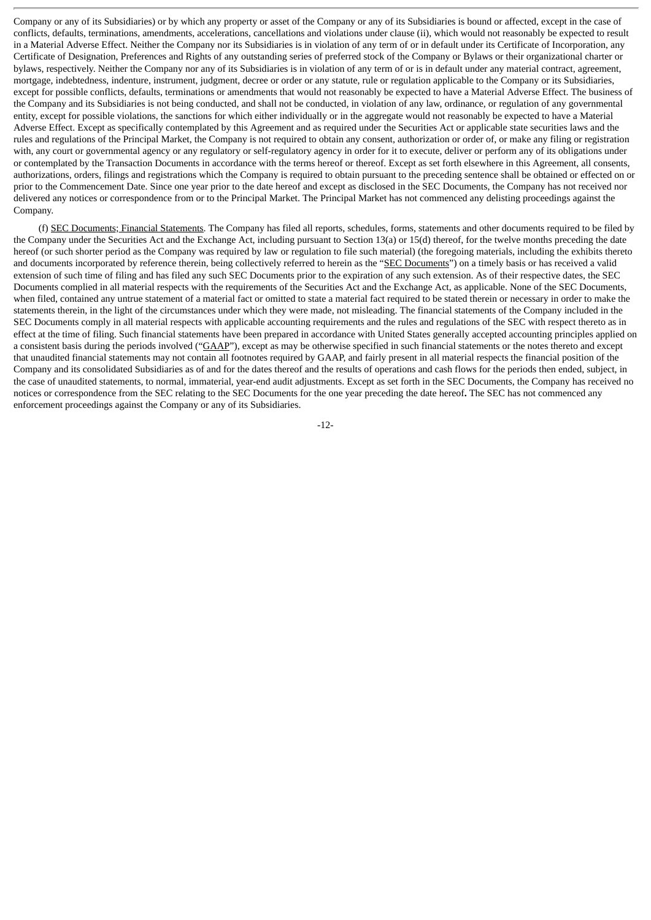Company or any of its Subsidiaries) or by which any property or asset of the Company or any of its Subsidiaries is bound or affected, except in the case of conflicts, defaults, terminations, amendments, accelerations, cancellations and violations under clause (ii), which would not reasonably be expected to result in a Material Adverse Effect. Neither the Company nor its Subsidiaries is in violation of any term of or in default under its Certificate of Incorporation, any Certificate of Designation, Preferences and Rights of any outstanding series of preferred stock of the Company or Bylaws or their organizational charter or bylaws, respectively. Neither the Company nor any of its Subsidiaries is in violation of any term of or is in default under any material contract, agreement, mortgage, indebtedness, indenture, instrument, judgment, decree or order or any statute, rule or regulation applicable to the Company or its Subsidiaries, except for possible conflicts, defaults, terminations or amendments that would not reasonably be expected to have a Material Adverse Effect. The business of the Company and its Subsidiaries is not being conducted, and shall not be conducted, in violation of any law, ordinance, or regulation of any governmental entity, except for possible violations, the sanctions for which either individually or in the aggregate would not reasonably be expected to have a Material Adverse Effect. Except as specifically contemplated by this Agreement and as required under the Securities Act or applicable state securities laws and the rules and regulations of the Principal Market, the Company is not required to obtain any consent, authorization or order of, or make any filing or registration with, any court or governmental agency or any regulatory or self-regulatory agency in order for it to execute, deliver or perform any of its obligations under or contemplated by the Transaction Documents in accordance with the terms hereof or thereof. Except as set forth elsewhere in this Agreement, all consents, authorizations, orders, filings and registrations which the Company is required to obtain pursuant to the preceding sentence shall be obtained or effected on or prior to the Commencement Date. Since one year prior to the date hereof and except as disclosed in the SEC Documents, the Company has not received nor delivered any notices or correspondence from or to the Principal Market. The Principal Market has not commenced any delisting proceedings against the Company.

(f) SEC Documents; Financial Statements. The Company has filed all reports, schedules, forms, statements and other documents required to be filed by the Company under the Securities Act and the Exchange Act, including pursuant to Section 13(a) or 15(d) thereof, for the twelve months preceding the date hereof (or such shorter period as the Company was required by law or regulation to file such material) (the foregoing materials, including the exhibits thereto and documents incorporated by reference therein, being collectively referred to herein as the "SEC Documents") on a timely basis or has received a valid extension of such time of filing and has filed any such SEC Documents prior to the expiration of any such extension. As of their respective dates, the SEC Documents complied in all material respects with the requirements of the Securities Act and the Exchange Act, as applicable. None of the SEC Documents, when filed, contained any untrue statement of a material fact or omitted to state a material fact required to be stated therein or necessary in order to make the statements therein, in the light of the circumstances under which they were made, not misleading. The financial statements of the Company included in the SEC Documents comply in all material respects with applicable accounting requirements and the rules and regulations of the SEC with respect thereto as in effect at the time of filing. Such financial statements have been prepared in accordance with United States generally accepted accounting principles applied on a consistent basis during the periods involved ("GAAP"), except as may be otherwise specified in such financial statements or the notes thereto and except that unaudited financial statements may not contain all footnotes required by GAAP, and fairly present in all material respects the financial position of the Company and its consolidated Subsidiaries as of and for the dates thereof and the results of operations and cash flows for the periods then ended, subject, in the case of unaudited statements, to normal, immaterial, year-end audit adjustments. Except as set forth in the SEC Documents, the Company has received no notices or correspondence from the SEC relating to the SEC Documents for the one year preceding the date hereof**.** The SEC has not commenced any enforcement proceedings against the Company or any of its Subsidiaries.

-12-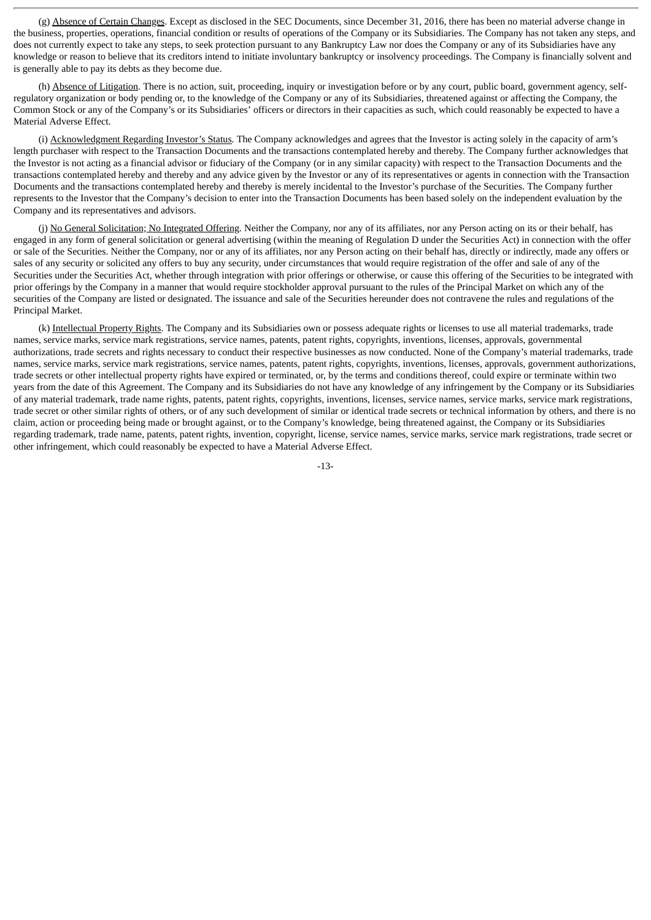(g) Absence of Certain Changes. Except as disclosed in the SEC Documents, since December 31, 2016, there has been no material adverse change in the business, properties, operations, financial condition or results of operations of the Company or its Subsidiaries. The Company has not taken any steps, and does not currently expect to take any steps, to seek protection pursuant to any Bankruptcy Law nor does the Company or any of its Subsidiaries have any knowledge or reason to believe that its creditors intend to initiate involuntary bankruptcy or insolvency proceedings. The Company is financially solvent and is generally able to pay its debts as they become due.

(h) Absence of Litigation. There is no action, suit, proceeding, inquiry or investigation before or by any court, public board, government agency, selfregulatory organization or body pending or, to the knowledge of the Company or any of its Subsidiaries, threatened against or affecting the Company, the Common Stock or any of the Company's or its Subsidiaries' officers or directors in their capacities as such, which could reasonably be expected to have a Material Adverse Effect.

(i) Acknowledgment Regarding Investor's Status. The Company acknowledges and agrees that the Investor is acting solely in the capacity of arm's length purchaser with respect to the Transaction Documents and the transactions contemplated hereby and thereby. The Company further acknowledges that the Investor is not acting as a financial advisor or fiduciary of the Company (or in any similar capacity) with respect to the Transaction Documents and the transactions contemplated hereby and thereby and any advice given by the Investor or any of its representatives or agents in connection with the Transaction Documents and the transactions contemplated hereby and thereby is merely incidental to the Investor's purchase of the Securities. The Company further represents to the Investor that the Company's decision to enter into the Transaction Documents has been based solely on the independent evaluation by the Company and its representatives and advisors.

(j) No General Solicitation; No Integrated Offering. Neither the Company, nor any of its affiliates, nor any Person acting on its or their behalf, has engaged in any form of general solicitation or general advertising (within the meaning of Regulation D under the Securities Act) in connection with the offer or sale of the Securities. Neither the Company, nor or any of its affiliates, nor any Person acting on their behalf has, directly or indirectly, made any offers or sales of any security or solicited any offers to buy any security, under circumstances that would require registration of the offer and sale of any of the Securities under the Securities Act, whether through integration with prior offerings or otherwise, or cause this offering of the Securities to be integrated with prior offerings by the Company in a manner that would require stockholder approval pursuant to the rules of the Principal Market on which any of the securities of the Company are listed or designated. The issuance and sale of the Securities hereunder does not contravene the rules and regulations of the Principal Market.

(k) Intellectual Property Rights. The Company and its Subsidiaries own or possess adequate rights or licenses to use all material trademarks, trade names, service marks, service mark registrations, service names, patents, patent rights, copyrights, inventions, licenses, approvals, governmental authorizations, trade secrets and rights necessary to conduct their respective businesses as now conducted. None of the Company's material trademarks, trade names, service marks, service mark registrations, service names, patents, patent rights, copyrights, inventions, licenses, approvals, government authorizations, trade secrets or other intellectual property rights have expired or terminated, or, by the terms and conditions thereof, could expire or terminate within two years from the date of this Agreement. The Company and its Subsidiaries do not have any knowledge of any infringement by the Company or its Subsidiaries of any material trademark, trade name rights, patents, patent rights, copyrights, inventions, licenses, service names, service marks, service mark registrations, trade secret or other similar rights of others, or of any such development of similar or identical trade secrets or technical information by others, and there is no claim, action or proceeding being made or brought against, or to the Company's knowledge, being threatened against, the Company or its Subsidiaries regarding trademark, trade name, patents, patent rights, invention, copyright, license, service names, service marks, service mark registrations, trade secret or other infringement, which could reasonably be expected to have a Material Adverse Effect.

-13-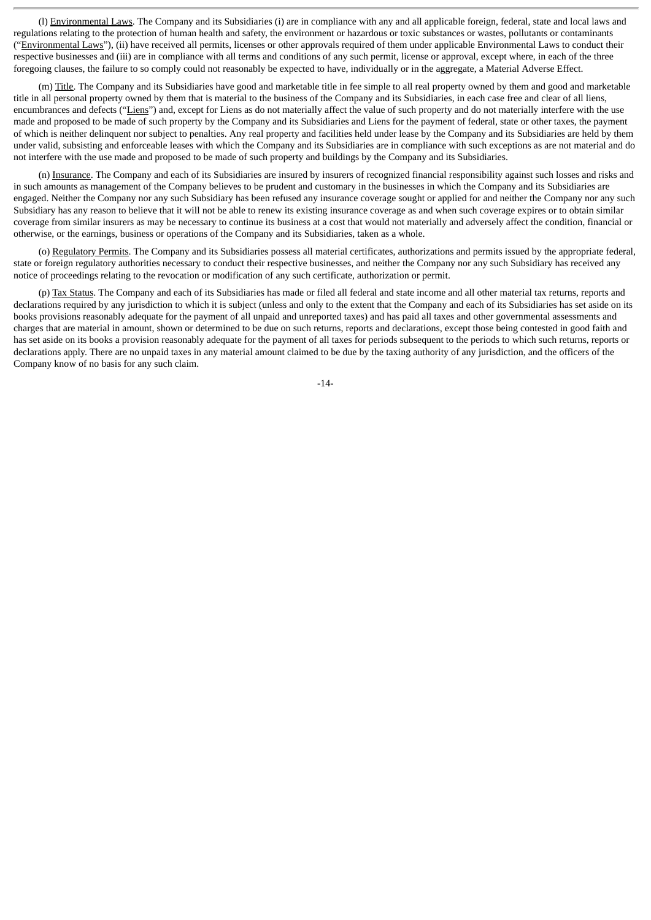(l) Environmental Laws. The Company and its Subsidiaries (i) are in compliance with any and all applicable foreign, federal, state and local laws and regulations relating to the protection of human health and safety, the environment or hazardous or toxic substances or wastes, pollutants or contaminants ("Environmental Laws"), (ii) have received all permits, licenses or other approvals required of them under applicable Environmental Laws to conduct their respective businesses and (iii) are in compliance with all terms and conditions of any such permit, license or approval, except where, in each of the three foregoing clauses, the failure to so comply could not reasonably be expected to have, individually or in the aggregate, a Material Adverse Effect.

(m) Title. The Company and its Subsidiaries have good and marketable title in fee simple to all real property owned by them and good and marketable title in all personal property owned by them that is material to the business of the Company and its Subsidiaries, in each case free and clear of all liens, encumbrances and defects ("Liens") and, except for Liens as do not materially affect the value of such property and do not materially interfere with the use made and proposed to be made of such property by the Company and its Subsidiaries and Liens for the payment of federal, state or other taxes, the payment of which is neither delinquent nor subject to penalties. Any real property and facilities held under lease by the Company and its Subsidiaries are held by them under valid, subsisting and enforceable leases with which the Company and its Subsidiaries are in compliance with such exceptions as are not material and do not interfere with the use made and proposed to be made of such property and buildings by the Company and its Subsidiaries.

(n) Insurance. The Company and each of its Subsidiaries are insured by insurers of recognized financial responsibility against such losses and risks and in such amounts as management of the Company believes to be prudent and customary in the businesses in which the Company and its Subsidiaries are engaged. Neither the Company nor any such Subsidiary has been refused any insurance coverage sought or applied for and neither the Company nor any such Subsidiary has any reason to believe that it will not be able to renew its existing insurance coverage as and when such coverage expires or to obtain similar coverage from similar insurers as may be necessary to continue its business at a cost that would not materially and adversely affect the condition, financial or otherwise, or the earnings, business or operations of the Company and its Subsidiaries, taken as a whole.

(o) Regulatory Permits. The Company and its Subsidiaries possess all material certificates, authorizations and permits issued by the appropriate federal, state or foreign regulatory authorities necessary to conduct their respective businesses, and neither the Company nor any such Subsidiary has received any notice of proceedings relating to the revocation or modification of any such certificate, authorization or permit.

(p) Tax Status. The Company and each of its Subsidiaries has made or filed all federal and state income and all other material tax returns, reports and declarations required by any jurisdiction to which it is subject (unless and only to the extent that the Company and each of its Subsidiaries has set aside on its books provisions reasonably adequate for the payment of all unpaid and unreported taxes) and has paid all taxes and other governmental assessments and charges that are material in amount, shown or determined to be due on such returns, reports and declarations, except those being contested in good faith and has set aside on its books a provision reasonably adequate for the payment of all taxes for periods subsequent to the periods to which such returns, reports or declarations apply. There are no unpaid taxes in any material amount claimed to be due by the taxing authority of any jurisdiction, and the officers of the Company know of no basis for any such claim.

-14-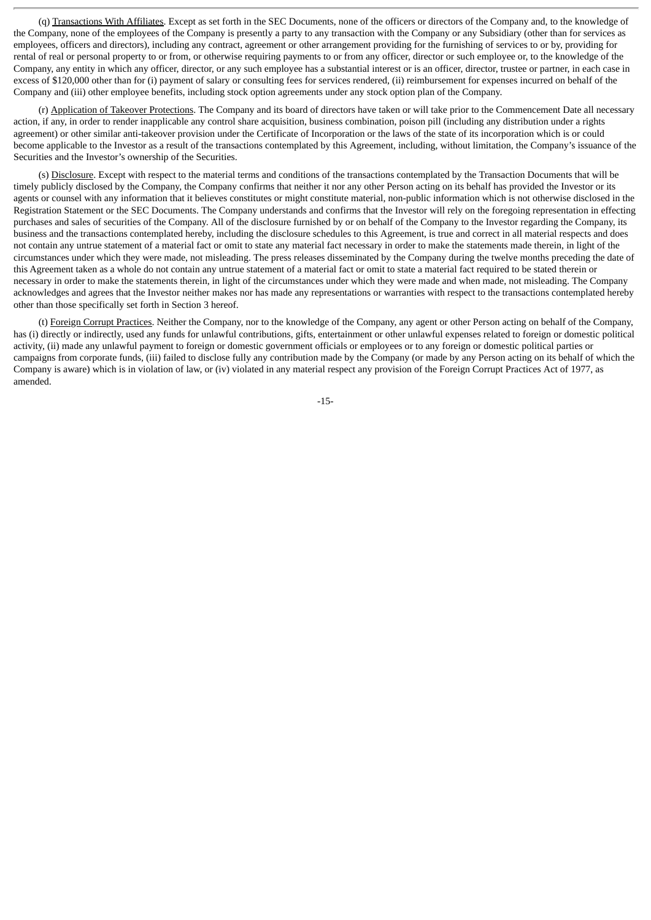(q) Transactions With Affiliates. Except as set forth in the SEC Documents, none of the officers or directors of the Company and, to the knowledge of the Company, none of the employees of the Company is presently a party to any transaction with the Company or any Subsidiary (other than for services as employees, officers and directors), including any contract, agreement or other arrangement providing for the furnishing of services to or by, providing for rental of real or personal property to or from, or otherwise requiring payments to or from any officer, director or such employee or, to the knowledge of the Company, any entity in which any officer, director, or any such employee has a substantial interest or is an officer, director, trustee or partner, in each case in excess of \$120,000 other than for (i) payment of salary or consulting fees for services rendered, (ii) reimbursement for expenses incurred on behalf of the Company and (iii) other employee benefits, including stock option agreements under any stock option plan of the Company.

(r) Application of Takeover Protections. The Company and its board of directors have taken or will take prior to the Commencement Date all necessary action, if any, in order to render inapplicable any control share acquisition, business combination, poison pill (including any distribution under a rights agreement) or other similar anti-takeover provision under the Certificate of Incorporation or the laws of the state of its incorporation which is or could become applicable to the Investor as a result of the transactions contemplated by this Agreement, including, without limitation, the Company's issuance of the Securities and the Investor's ownership of the Securities.

(s) Disclosure. Except with respect to the material terms and conditions of the transactions contemplated by the Transaction Documents that will be timely publicly disclosed by the Company, the Company confirms that neither it nor any other Person acting on its behalf has provided the Investor or its agents or counsel with any information that it believes constitutes or might constitute material, non-public information which is not otherwise disclosed in the Registration Statement or the SEC Documents. The Company understands and confirms that the Investor will rely on the foregoing representation in effecting purchases and sales of securities of the Company. All of the disclosure furnished by or on behalf of the Company to the Investor regarding the Company, its business and the transactions contemplated hereby, including the disclosure schedules to this Agreement, is true and correct in all material respects and does not contain any untrue statement of a material fact or omit to state any material fact necessary in order to make the statements made therein, in light of the circumstances under which they were made, not misleading. The press releases disseminated by the Company during the twelve months preceding the date of this Agreement taken as a whole do not contain any untrue statement of a material fact or omit to state a material fact required to be stated therein or necessary in order to make the statements therein, in light of the circumstances under which they were made and when made, not misleading. The Company acknowledges and agrees that the Investor neither makes nor has made any representations or warranties with respect to the transactions contemplated hereby other than those specifically set forth in Section 3 hereof.

(t) Foreign Corrupt Practices. Neither the Company, nor to the knowledge of the Company, any agent or other Person acting on behalf of the Company, has (i) directly or indirectly, used any funds for unlawful contributions, gifts, entertainment or other unlawful expenses related to foreign or domestic political activity, (ii) made any unlawful payment to foreign or domestic government officials or employees or to any foreign or domestic political parties or campaigns from corporate funds, (iii) failed to disclose fully any contribution made by the Company (or made by any Person acting on its behalf of which the Company is aware) which is in violation of law, or (iv) violated in any material respect any provision of the Foreign Corrupt Practices Act of 1977, as amended.

-15-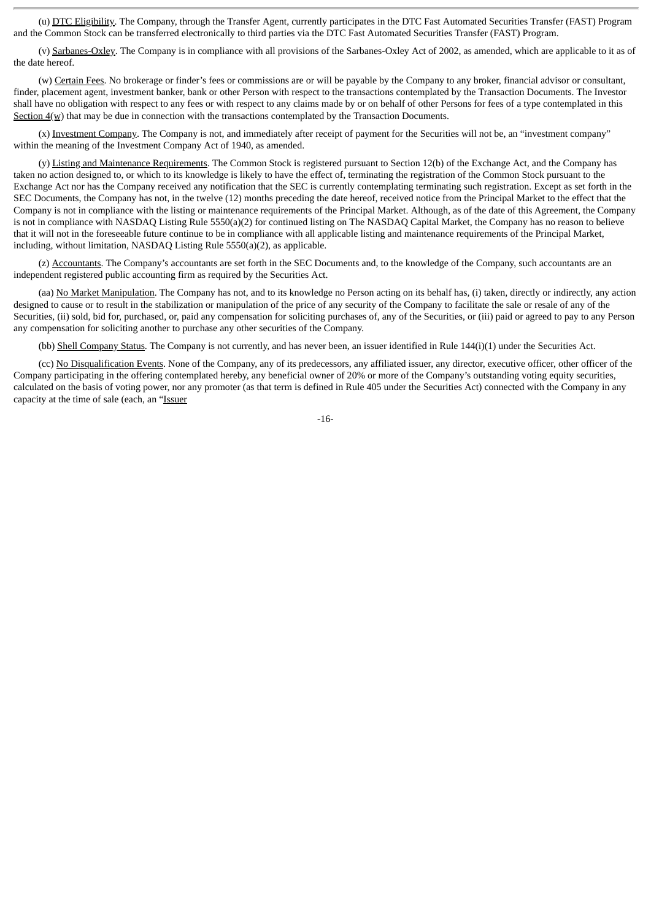(u) DTC Eligibility. The Company, through the Transfer Agent, currently participates in the DTC Fast Automated Securities Transfer (FAST) Program and the Common Stock can be transferred electronically to third parties via the DTC Fast Automated Securities Transfer (FAST) Program.

(v) Sarbanes-Oxley. The Company is in compliance with all provisions of the Sarbanes-Oxley Act of 2002, as amended, which are applicable to it as of the date hereof.

(w) Certain Fees. No brokerage or finder's fees or commissions are or will be payable by the Company to any broker, financial advisor or consultant, finder, placement agent, investment banker, bank or other Person with respect to the transactions contemplated by the Transaction Documents. The Investor shall have no obligation with respect to any fees or with respect to any claims made by or on behalf of other Persons for fees of a type contemplated in this Section  $4(w)$  that may be due in connection with the transactions contemplated by the Transaction Documents.

(x) Investment Company. The Company is not, and immediately after receipt of payment for the Securities will not be, an "investment company" within the meaning of the Investment Company Act of 1940, as amended.

(y) Listing and Maintenance Requirements. The Common Stock is registered pursuant to Section 12(b) of the Exchange Act, and the Company has taken no action designed to, or which to its knowledge is likely to have the effect of, terminating the registration of the Common Stock pursuant to the Exchange Act nor has the Company received any notification that the SEC is currently contemplating terminating such registration. Except as set forth in the SEC Documents, the Company has not, in the twelve (12) months preceding the date hereof, received notice from the Principal Market to the effect that the Company is not in compliance with the listing or maintenance requirements of the Principal Market. Although, as of the date of this Agreement, the Company is not in compliance with NASDAQ Listing Rule 5550(a)(2) for continued listing on The NASDAQ Capital Market, the Company has no reason to believe that it will not in the foreseeable future continue to be in compliance with all applicable listing and maintenance requirements of the Principal Market, including, without limitation, NASDAQ Listing Rule 5550(a)(2), as applicable.

(z) Accountants. The Company's accountants are set forth in the SEC Documents and, to the knowledge of the Company, such accountants are an independent registered public accounting firm as required by the Securities Act.

(aa) No Market Manipulation. The Company has not, and to its knowledge no Person acting on its behalf has, (i) taken, directly or indirectly, any action designed to cause or to result in the stabilization or manipulation of the price of any security of the Company to facilitate the sale or resale of any of the Securities, (ii) sold, bid for, purchased, or, paid any compensation for soliciting purchases of, any of the Securities, or (iii) paid or agreed to pay to any Person any compensation for soliciting another to purchase any other securities of the Company.

(bb) Shell Company Status. The Company is not currently, and has never been, an issuer identified in Rule 144(i)(1) under the Securities Act.

(cc) No Disqualification Events. None of the Company, any of its predecessors, any affiliated issuer, any director, executive officer, other officer of the Company participating in the offering contemplated hereby, any beneficial owner of 20% or more of the Company's outstanding voting equity securities, calculated on the basis of voting power, nor any promoter (as that term is defined in Rule 405 under the Securities Act) connected with the Company in any capacity at the time of sale (each, an "Issuer

-16-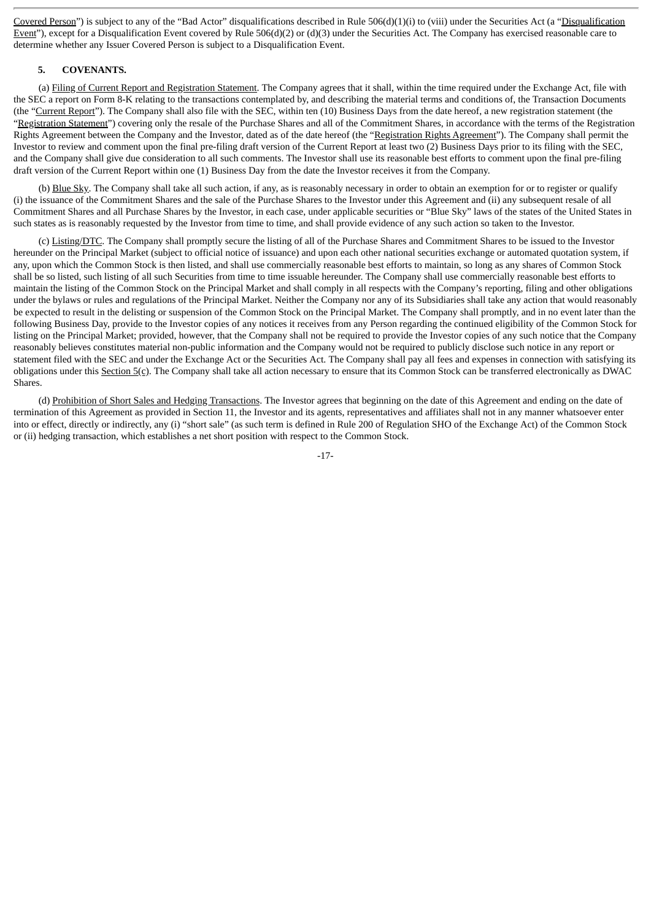Covered Person") is subject to any of the "Bad Actor" disqualifications described in Rule 506(d)(1)(i) to (viii) under the Securities Act (a "Disqualification Event"), except for a Disqualification Event covered by Rule  $506(d)(2)$  or (d)(3) under the Securities Act. The Company has exercised reasonable care to determine whether any Issuer Covered Person is subject to a Disqualification Event.

# **5. COVENANTS.**

(a) Filing of Current Report and Registration Statement. The Company agrees that it shall, within the time required under the Exchange Act, file with the SEC a report on Form 8-K relating to the transactions contemplated by, and describing the material terms and conditions of, the Transaction Documents (the "Current Report"). The Company shall also file with the SEC, within ten (10) Business Days from the date hereof, a new registration statement (the "Registration Statement") covering only the resale of the Purchase Shares and all of the Commitment Shares, in accordance with the terms of the Registration Rights Agreement between the Company and the Investor, dated as of the date hereof (the "Registration Rights Agreement"). The Company shall permit the Investor to review and comment upon the final pre-filing draft version of the Current Report at least two (2) Business Days prior to its filing with the SEC, and the Company shall give due consideration to all such comments. The Investor shall use its reasonable best efforts to comment upon the final pre-filing draft version of the Current Report within one (1) Business Day from the date the Investor receives it from the Company.

(b) Blue Sky. The Company shall take all such action, if any, as is reasonably necessary in order to obtain an exemption for or to register or qualify (i) the issuance of the Commitment Shares and the sale of the Purchase Shares to the Investor under this Agreement and (ii) any subsequent resale of all Commitment Shares and all Purchase Shares by the Investor, in each case, under applicable securities or "Blue Sky" laws of the states of the United States in such states as is reasonably requested by the Investor from time to time, and shall provide evidence of any such action so taken to the Investor.

(c) Listing/DTC. The Company shall promptly secure the listing of all of the Purchase Shares and Commitment Shares to be issued to the Investor hereunder on the Principal Market (subject to official notice of issuance) and upon each other national securities exchange or automated quotation system, if any, upon which the Common Stock is then listed, and shall use commercially reasonable best efforts to maintain, so long as any shares of Common Stock shall be so listed, such listing of all such Securities from time to time issuable hereunder. The Company shall use commercially reasonable best efforts to maintain the listing of the Common Stock on the Principal Market and shall comply in all respects with the Company's reporting, filing and other obligations under the bylaws or rules and regulations of the Principal Market. Neither the Company nor any of its Subsidiaries shall take any action that would reasonably be expected to result in the delisting or suspension of the Common Stock on the Principal Market. The Company shall promptly, and in no event later than the following Business Day, provide to the Investor copies of any notices it receives from any Person regarding the continued eligibility of the Common Stock for listing on the Principal Market; provided, however, that the Company shall not be required to provide the Investor copies of any such notice that the Company reasonably believes constitutes material non-public information and the Company would not be required to publicly disclose such notice in any report or statement filed with the SEC and under the Exchange Act or the Securities Act. The Company shall pay all fees and expenses in connection with satisfying its obligations under this Section 5(c). The Company shall take all action necessary to ensure that its Common Stock can be transferred electronically as DWAC Shares.

(d) Prohibition of Short Sales and Hedging Transactions. The Investor agrees that beginning on the date of this Agreement and ending on the date of termination of this Agreement as provided in Section 11, the Investor and its agents, representatives and affiliates shall not in any manner whatsoever enter into or effect, directly or indirectly, any (i) "short sale" (as such term is defined in Rule 200 of Regulation SHO of the Exchange Act) of the Common Stock or (ii) hedging transaction, which establishes a net short position with respect to the Common Stock.

-17-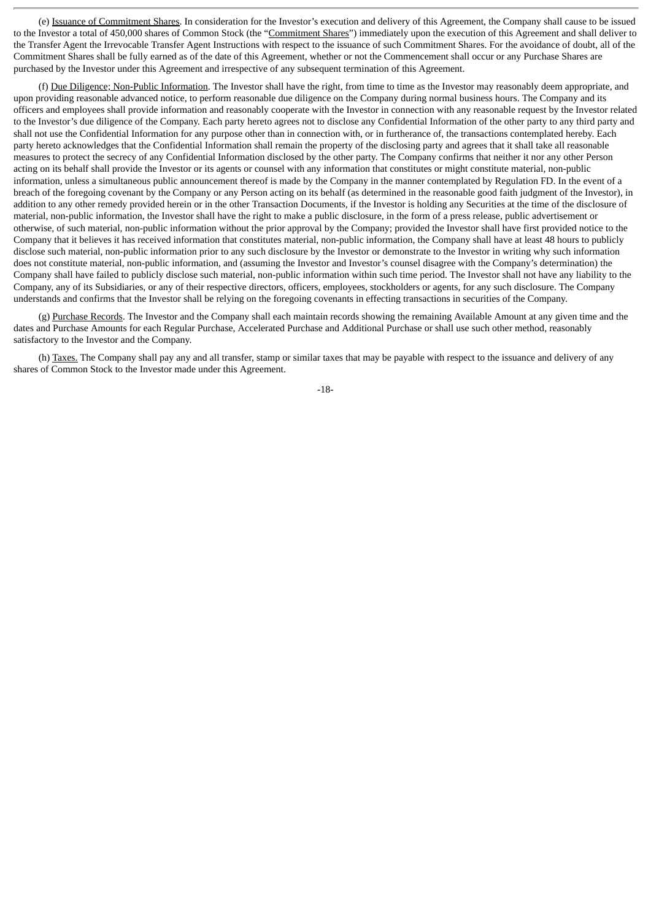(e) Issuance of Commitment Shares. In consideration for the Investor's execution and delivery of this Agreement, the Company shall cause to be issued to the Investor a total of 450,000 shares of Common Stock (the "Commitment Shares") immediately upon the execution of this Agreement and shall deliver to the Transfer Agent the Irrevocable Transfer Agent Instructions with respect to the issuance of such Commitment Shares. For the avoidance of doubt, all of the Commitment Shares shall be fully earned as of the date of this Agreement, whether or not the Commencement shall occur or any Purchase Shares are purchased by the Investor under this Agreement and irrespective of any subsequent termination of this Agreement.

(f) Due Diligence; Non-Public Information. The Investor shall have the right, from time to time as the Investor may reasonably deem appropriate, and upon providing reasonable advanced notice, to perform reasonable due diligence on the Company during normal business hours. The Company and its officers and employees shall provide information and reasonably cooperate with the Investor in connection with any reasonable request by the Investor related to the Investor's due diligence of the Company. Each party hereto agrees not to disclose any Confidential Information of the other party to any third party and shall not use the Confidential Information for any purpose other than in connection with, or in furtherance of, the transactions contemplated hereby. Each party hereto acknowledges that the Confidential Information shall remain the property of the disclosing party and agrees that it shall take all reasonable measures to protect the secrecy of any Confidential Information disclosed by the other party. The Company confirms that neither it nor any other Person acting on its behalf shall provide the Investor or its agents or counsel with any information that constitutes or might constitute material, non-public information, unless a simultaneous public announcement thereof is made by the Company in the manner contemplated by Regulation FD. In the event of a breach of the foregoing covenant by the Company or any Person acting on its behalf (as determined in the reasonable good faith judgment of the Investor), in addition to any other remedy provided herein or in the other Transaction Documents, if the Investor is holding any Securities at the time of the disclosure of material, non-public information, the Investor shall have the right to make a public disclosure, in the form of a press release, public advertisement or otherwise, of such material, non-public information without the prior approval by the Company; provided the Investor shall have first provided notice to the Company that it believes it has received information that constitutes material, non-public information, the Company shall have at least 48 hours to publicly disclose such material, non-public information prior to any such disclosure by the Investor or demonstrate to the Investor in writing why such information does not constitute material, non-public information, and (assuming the Investor and Investor's counsel disagree with the Company's determination) the Company shall have failed to publicly disclose such material, non-public information within such time period. The Investor shall not have any liability to the Company, any of its Subsidiaries, or any of their respective directors, officers, employees, stockholders or agents, for any such disclosure. The Company understands and confirms that the Investor shall be relying on the foregoing covenants in effecting transactions in securities of the Company.

(g) Purchase Records. The Investor and the Company shall each maintain records showing the remaining Available Amount at any given time and the dates and Purchase Amounts for each Regular Purchase, Accelerated Purchase and Additional Purchase or shall use such other method, reasonably satisfactory to the Investor and the Company.

(h) Taxes. The Company shall pay any and all transfer, stamp or similar taxes that may be payable with respect to the issuance and delivery of any shares of Common Stock to the Investor made under this Agreement.

-18-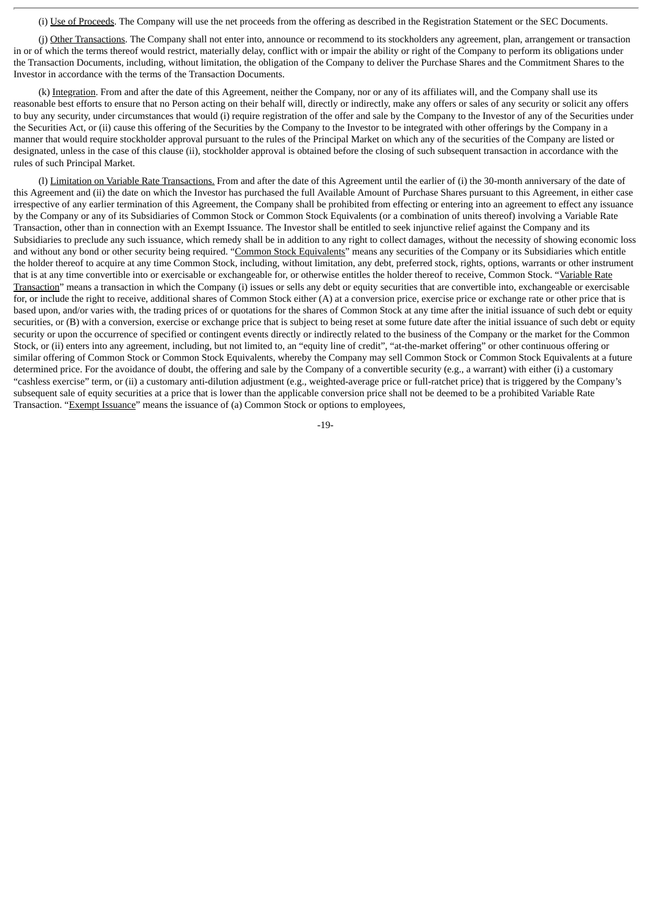(i) Use of Proceeds. The Company will use the net proceeds from the offering as described in the Registration Statement or the SEC Documents.

(j) Other Transactions. The Company shall not enter into, announce or recommend to its stockholders any agreement, plan, arrangement or transaction in or of which the terms thereof would restrict, materially delay, conflict with or impair the ability or right of the Company to perform its obligations under the Transaction Documents, including, without limitation, the obligation of the Company to deliver the Purchase Shares and the Commitment Shares to the Investor in accordance with the terms of the Transaction Documents.

(k) Integration. From and after the date of this Agreement, neither the Company, nor or any of its affiliates will, and the Company shall use its reasonable best efforts to ensure that no Person acting on their behalf will, directly or indirectly, make any offers or sales of any security or solicit any offers to buy any security, under circumstances that would (i) require registration of the offer and sale by the Company to the Investor of any of the Securities under the Securities Act, or (ii) cause this offering of the Securities by the Company to the Investor to be integrated with other offerings by the Company in a manner that would require stockholder approval pursuant to the rules of the Principal Market on which any of the securities of the Company are listed or designated, unless in the case of this clause (ii), stockholder approval is obtained before the closing of such subsequent transaction in accordance with the rules of such Principal Market.

(l) Limitation on Variable Rate Transactions. From and after the date of this Agreement until the earlier of (i) the 30-month anniversary of the date of this Agreement and (ii) the date on which the Investor has purchased the full Available Amount of Purchase Shares pursuant to this Agreement, in either case irrespective of any earlier termination of this Agreement, the Company shall be prohibited from effecting or entering into an agreement to effect any issuance by the Company or any of its Subsidiaries of Common Stock or Common Stock Equivalents (or a combination of units thereof) involving a Variable Rate Transaction, other than in connection with an Exempt Issuance. The Investor shall be entitled to seek injunctive relief against the Company and its Subsidiaries to preclude any such issuance, which remedy shall be in addition to any right to collect damages, without the necessity of showing economic loss and without any bond or other security being required. "Common Stock Equivalents" means any securities of the Company or its Subsidiaries which entitle the holder thereof to acquire at any time Common Stock, including, without limitation, any debt, preferred stock, rights, options, warrants or other instrument that is at any time convertible into or exercisable or exchangeable for, or otherwise entitles the holder thereof to receive, Common Stock. "Variable Rate Transaction" means a transaction in which the Company (i) issues or sells any debt or equity securities that are convertible into, exchangeable or exercisable for, or include the right to receive, additional shares of Common Stock either (A) at a conversion price, exercise price or exchange rate or other price that is based upon, and/or varies with, the trading prices of or quotations for the shares of Common Stock at any time after the initial issuance of such debt or equity securities, or (B) with a conversion, exercise or exchange price that is subject to being reset at some future date after the initial issuance of such debt or equity security or upon the occurrence of specified or contingent events directly or indirectly related to the business of the Company or the market for the Common Stock, or (ii) enters into any agreement, including, but not limited to, an "equity line of credit", "at-the-market offering" or other continuous offering or similar offering of Common Stock or Common Stock Equivalents, whereby the Company may sell Common Stock or Common Stock Equivalents at a future determined price. For the avoidance of doubt, the offering and sale by the Company of a convertible security (e.g., a warrant) with either (i) a customary "cashless exercise" term, or (ii) a customary anti-dilution adjustment (e.g., weighted-average price or full-ratchet price) that is triggered by the Company's subsequent sale of equity securities at a price that is lower than the applicable conversion price shall not be deemed to be a prohibited Variable Rate Transaction. "Exempt Issuance" means the issuance of (a) Common Stock or options to employees,

-19-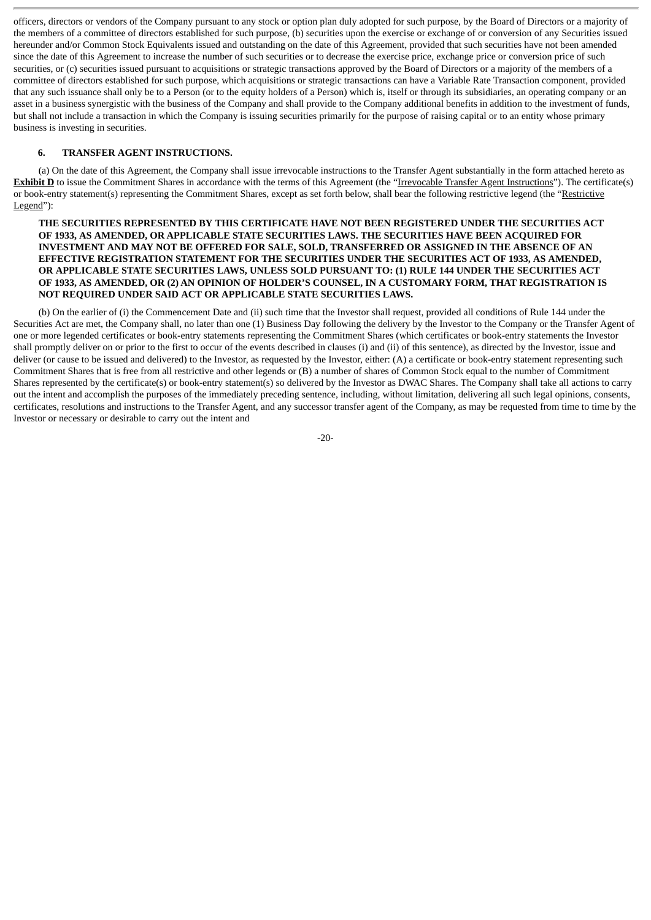officers, directors or vendors of the Company pursuant to any stock or option plan duly adopted for such purpose, by the Board of Directors or a majority of the members of a committee of directors established for such purpose, (b) securities upon the exercise or exchange of or conversion of any Securities issued hereunder and/or Common Stock Equivalents issued and outstanding on the date of this Agreement, provided that such securities have not been amended since the date of this Agreement to increase the number of such securities or to decrease the exercise price, exchange price or conversion price of such securities, or (c) securities issued pursuant to acquisitions or strategic transactions approved by the Board of Directors or a majority of the members of a committee of directors established for such purpose, which acquisitions or strategic transactions can have a Variable Rate Transaction component, provided that any such issuance shall only be to a Person (or to the equity holders of a Person) which is, itself or through its subsidiaries, an operating company or an asset in a business synergistic with the business of the Company and shall provide to the Company additional benefits in addition to the investment of funds, but shall not include a transaction in which the Company is issuing securities primarily for the purpose of raising capital or to an entity whose primary business is investing in securities.

# **6. TRANSFER AGENT INSTRUCTIONS.**

(a) On the date of this Agreement, the Company shall issue irrevocable instructions to the Transfer Agent substantially in the form attached hereto as **Exhibit D** to issue the Commitment Shares in accordance with the terms of this Agreement (the "Irrevocable Transfer Agent Instructions"). The certificate(s) or book-entry statement(s) representing the Commitment Shares, except as set forth below, shall bear the following restrictive legend (the "Restrictive Legend"):

# **THE SECURITIES REPRESENTED BY THIS CERTIFICATE HAVE NOT BEEN REGISTERED UNDER THE SECURITIES ACT OF 1933, AS AMENDED, OR APPLICABLE STATE SECURITIES LAWS. THE SECURITIES HAVE BEEN ACQUIRED FOR INVESTMENT AND MAY NOT BE OFFERED FOR SALE, SOLD, TRANSFERRED OR ASSIGNED IN THE ABSENCE OF AN EFFECTIVE REGISTRATION STATEMENT FOR THE SECURITIES UNDER THE SECURITIES ACT OF 1933, AS AMENDED, OR APPLICABLE STATE SECURITIES LAWS, UNLESS SOLD PURSUANT TO: (1) RULE 144 UNDER THE SECURITIES ACT** OF 1933, AS AMENDED, OR (2) AN OPINION OF HOLDER'S COUNSEL, IN A CUSTOMARY FORM, THAT REGISTRATION IS **NOT REQUIRED UNDER SAID ACT OR APPLICABLE STATE SECURITIES LAWS.**

(b) On the earlier of (i) the Commencement Date and (ii) such time that the Investor shall request, provided all conditions of Rule 144 under the Securities Act are met, the Company shall, no later than one (1) Business Day following the delivery by the Investor to the Company or the Transfer Agent of one or more legended certificates or book-entry statements representing the Commitment Shares (which certificates or book-entry statements the Investor shall promptly deliver on or prior to the first to occur of the events described in clauses (i) and (ii) of this sentence), as directed by the Investor, issue and deliver (or cause to be issued and delivered) to the Investor, as requested by the Investor, either: (A) a certificate or book-entry statement representing such Commitment Shares that is free from all restrictive and other legends or (B) a number of shares of Common Stock equal to the number of Commitment Shares represented by the certificate(s) or book-entry statement(s) so delivered by the Investor as DWAC Shares. The Company shall take all actions to carry out the intent and accomplish the purposes of the immediately preceding sentence, including, without limitation, delivering all such legal opinions, consents, certificates, resolutions and instructions to the Transfer Agent, and any successor transfer agent of the Company, as may be requested from time to time by the Investor or necessary or desirable to carry out the intent and

-20-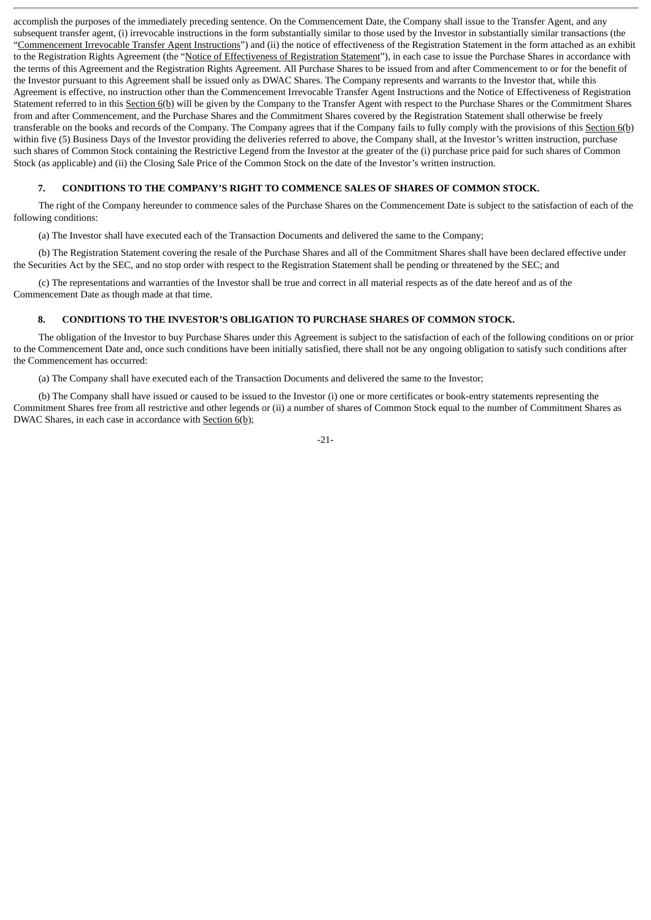accomplish the purposes of the immediately preceding sentence. On the Commencement Date, the Company shall issue to the Transfer Agent, and any subsequent transfer agent, (i) irrevocable instructions in the form substantially similar to those used by the Investor in substantially similar transactions (the "Commencement Irrevocable Transfer Agent Instructions") and (ii) the notice of effectiveness of the Registration Statement in the form attached as an exhibit to the Registration Rights Agreement (the "Notice of Effectiveness of Registration Statement"), in each case to issue the Purchase Shares in accordance with the terms of this Agreement and the Registration Rights Agreement. All Purchase Shares to be issued from and after Commencement to or for the benefit of the Investor pursuant to this Agreement shall be issued only as DWAC Shares. The Company represents and warrants to the Investor that, while this Agreement is effective, no instruction other than the Commencement Irrevocable Transfer Agent Instructions and the Notice of Effectiveness of Registration Statement referred to in this Section 6(b) will be given by the Company to the Transfer Agent with respect to the Purchase Shares or the Commitment Shares from and after Commencement, and the Purchase Shares and the Commitment Shares covered by the Registration Statement shall otherwise be freely transferable on the books and records of the Company. The Company agrees that if the Company fails to fully comply with the provisions of this Section 6(b) within five (5) Business Days of the Investor providing the deliveries referred to above, the Company shall, at the Investor's written instruction, purchase such shares of Common Stock containing the Restrictive Legend from the Investor at the greater of the (i) purchase price paid for such shares of Common Stock (as applicable) and (ii) the Closing Sale Price of the Common Stock on the date of the Investor's written instruction.

## **7. CONDITIONS TO THE COMPANY'S RIGHT TO COMMENCE SALES OF SHARES OF COMMON STOCK.**

The right of the Company hereunder to commence sales of the Purchase Shares on the Commencement Date is subject to the satisfaction of each of the following conditions:

(a) The Investor shall have executed each of the Transaction Documents and delivered the same to the Company;

(b) The Registration Statement covering the resale of the Purchase Shares and all of the Commitment Shares shall have been declared effective under the Securities Act by the SEC, and no stop order with respect to the Registration Statement shall be pending or threatened by the SEC; and

(c) The representations and warranties of the Investor shall be true and correct in all material respects as of the date hereof and as of the Commencement Date as though made at that time.

# **8. CONDITIONS TO THE INVESTOR'S OBLIGATION TO PURCHASE SHARES OF COMMON STOCK.**

The obligation of the Investor to buy Purchase Shares under this Agreement is subject to the satisfaction of each of the following conditions on or prior to the Commencement Date and, once such conditions have been initially satisfied, there shall not be any ongoing obligation to satisfy such conditions after the Commencement has occurred:

(a) The Company shall have executed each of the Transaction Documents and delivered the same to the Investor;

(b) The Company shall have issued or caused to be issued to the Investor (i) one or more certificates or book-entry statements representing the Commitment Shares free from all restrictive and other legends or (ii) a number of shares of Common Stock equal to the number of Commitment Shares as DWAC Shares, in each case in accordance with Section 6(b);

-21-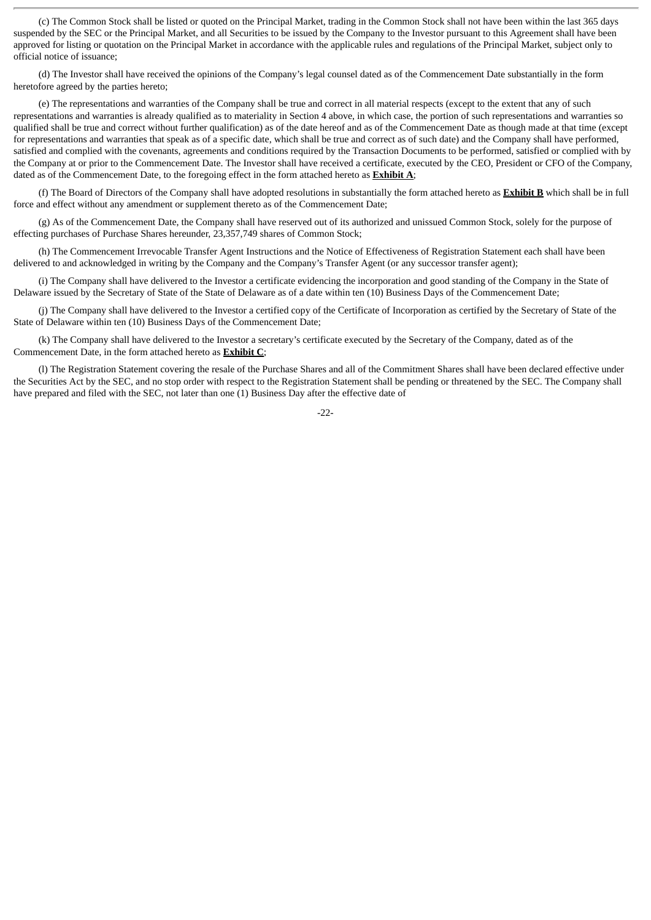(c) The Common Stock shall be listed or quoted on the Principal Market, trading in the Common Stock shall not have been within the last 365 days suspended by the SEC or the Principal Market, and all Securities to be issued by the Company to the Investor pursuant to this Agreement shall have been approved for listing or quotation on the Principal Market in accordance with the applicable rules and regulations of the Principal Market, subject only to official notice of issuance;

(d) The Investor shall have received the opinions of the Company's legal counsel dated as of the Commencement Date substantially in the form heretofore agreed by the parties hereto;

(e) The representations and warranties of the Company shall be true and correct in all material respects (except to the extent that any of such representations and warranties is already qualified as to materiality in Section 4 above, in which case, the portion of such representations and warranties so qualified shall be true and correct without further qualification) as of the date hereof and as of the Commencement Date as though made at that time (except for representations and warranties that speak as of a specific date, which shall be true and correct as of such date) and the Company shall have performed, satisfied and complied with the covenants, agreements and conditions required by the Transaction Documents to be performed, satisfied or complied with by the Company at or prior to the Commencement Date. The Investor shall have received a certificate, executed by the CEO, President or CFO of the Company, dated as of the Commencement Date, to the foregoing effect in the form attached hereto as **Exhibit A**;

(f) The Board of Directors of the Company shall have adopted resolutions in substantially the form attached hereto as **Exhibit B** which shall be in full force and effect without any amendment or supplement thereto as of the Commencement Date;

(g) As of the Commencement Date, the Company shall have reserved out of its authorized and unissued Common Stock, solely for the purpose of effecting purchases of Purchase Shares hereunder, 23,357,749 shares of Common Stock;

(h) The Commencement Irrevocable Transfer Agent Instructions and the Notice of Effectiveness of Registration Statement each shall have been delivered to and acknowledged in writing by the Company and the Company's Transfer Agent (or any successor transfer agent);

(i) The Company shall have delivered to the Investor a certificate evidencing the incorporation and good standing of the Company in the State of Delaware issued by the Secretary of State of the State of Delaware as of a date within ten (10) Business Days of the Commencement Date;

(j) The Company shall have delivered to the Investor a certified copy of the Certificate of Incorporation as certified by the Secretary of State of the State of Delaware within ten (10) Business Days of the Commencement Date;

(k) The Company shall have delivered to the Investor a secretary's certificate executed by the Secretary of the Company, dated as of the Commencement Date, in the form attached hereto as **Exhibit C**;

(l) The Registration Statement covering the resale of the Purchase Shares and all of the Commitment Shares shall have been declared effective under the Securities Act by the SEC, and no stop order with respect to the Registration Statement shall be pending or threatened by the SEC. The Company shall have prepared and filed with the SEC, not later than one (1) Business Day after the effective date of

 $-22-$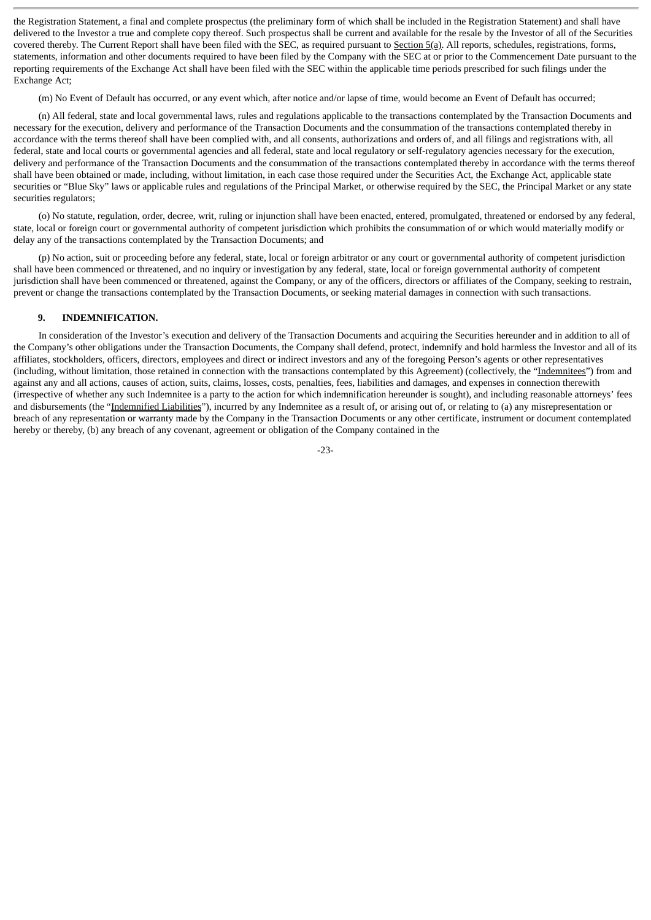the Registration Statement, a final and complete prospectus (the preliminary form of which shall be included in the Registration Statement) and shall have delivered to the Investor a true and complete copy thereof. Such prospectus shall be current and available for the resale by the Investor of all of the Securities covered thereby. The Current Report shall have been filed with the SEC, as required pursuant to Section 5(a). All reports, schedules, registrations, forms, statements, information and other documents required to have been filed by the Company with the SEC at or prior to the Commencement Date pursuant to the reporting requirements of the Exchange Act shall have been filed with the SEC within the applicable time periods prescribed for such filings under the Exchange Act;

(m) No Event of Default has occurred, or any event which, after notice and/or lapse of time, would become an Event of Default has occurred;

(n) All federal, state and local governmental laws, rules and regulations applicable to the transactions contemplated by the Transaction Documents and necessary for the execution, delivery and performance of the Transaction Documents and the consummation of the transactions contemplated thereby in accordance with the terms thereof shall have been complied with, and all consents, authorizations and orders of, and all filings and registrations with, all federal, state and local courts or governmental agencies and all federal, state and local regulatory or self-regulatory agencies necessary for the execution, delivery and performance of the Transaction Documents and the consummation of the transactions contemplated thereby in accordance with the terms thereof shall have been obtained or made, including, without limitation, in each case those required under the Securities Act, the Exchange Act, applicable state securities or "Blue Sky" laws or applicable rules and regulations of the Principal Market, or otherwise required by the SEC, the Principal Market or any state securities regulators;

(o) No statute, regulation, order, decree, writ, ruling or injunction shall have been enacted, entered, promulgated, threatened or endorsed by any federal, state, local or foreign court or governmental authority of competent jurisdiction which prohibits the consummation of or which would materially modify or delay any of the transactions contemplated by the Transaction Documents; and

(p) No action, suit or proceeding before any federal, state, local or foreign arbitrator or any court or governmental authority of competent jurisdiction shall have been commenced or threatened, and no inquiry or investigation by any federal, state, local or foreign governmental authority of competent jurisdiction shall have been commenced or threatened, against the Company, or any of the officers, directors or affiliates of the Company, seeking to restrain, prevent or change the transactions contemplated by the Transaction Documents, or seeking material damages in connection with such transactions.

#### **9. INDEMNIFICATION.**

In consideration of the Investor's execution and delivery of the Transaction Documents and acquiring the Securities hereunder and in addition to all of the Company's other obligations under the Transaction Documents, the Company shall defend, protect, indemnify and hold harmless the Investor and all of its affiliates, stockholders, officers, directors, employees and direct or indirect investors and any of the foregoing Person's agents or other representatives (including, without limitation, those retained in connection with the transactions contemplated by this Agreement) (collectively, the "Indemnitees") from and against any and all actions, causes of action, suits, claims, losses, costs, penalties, fees, liabilities and damages, and expenses in connection therewith (irrespective of whether any such Indemnitee is a party to the action for which indemnification hereunder is sought), and including reasonable attorneys' fees and disbursements (the "Indemnified Liabilities"), incurred by any Indemnitee as a result of, or arising out of, or relating to (a) any misrepresentation or breach of any representation or warranty made by the Company in the Transaction Documents or any other certificate, instrument or document contemplated hereby or thereby, (b) any breach of any covenant, agreement or obligation of the Company contained in the

-23-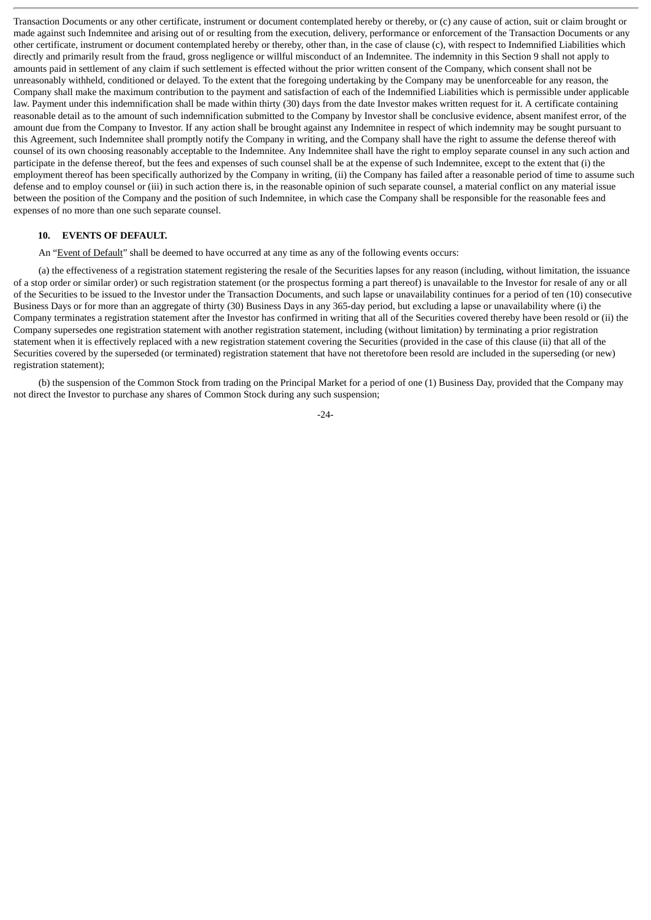Transaction Documents or any other certificate, instrument or document contemplated hereby or thereby, or (c) any cause of action, suit or claim brought or made against such Indemnitee and arising out of or resulting from the execution, delivery, performance or enforcement of the Transaction Documents or any other certificate, instrument or document contemplated hereby or thereby, other than, in the case of clause (c), with respect to Indemnified Liabilities which directly and primarily result from the fraud, gross negligence or willful misconduct of an Indemnitee. The indemnity in this Section 9 shall not apply to amounts paid in settlement of any claim if such settlement is effected without the prior written consent of the Company, which consent shall not be unreasonably withheld, conditioned or delayed. To the extent that the foregoing undertaking by the Company may be unenforceable for any reason, the Company shall make the maximum contribution to the payment and satisfaction of each of the Indemnified Liabilities which is permissible under applicable law. Payment under this indemnification shall be made within thirty (30) days from the date Investor makes written request for it. A certificate containing reasonable detail as to the amount of such indemnification submitted to the Company by Investor shall be conclusive evidence, absent manifest error, of the amount due from the Company to Investor. If any action shall be brought against any Indemnitee in respect of which indemnity may be sought pursuant to this Agreement, such Indemnitee shall promptly notify the Company in writing, and the Company shall have the right to assume the defense thereof with counsel of its own choosing reasonably acceptable to the Indemnitee. Any Indemnitee shall have the right to employ separate counsel in any such action and participate in the defense thereof, but the fees and expenses of such counsel shall be at the expense of such Indemnitee, except to the extent that (i) the employment thereof has been specifically authorized by the Company in writing, (ii) the Company has failed after a reasonable period of time to assume such defense and to employ counsel or (iii) in such action there is, in the reasonable opinion of such separate counsel, a material conflict on any material issue between the position of the Company and the position of such Indemnitee, in which case the Company shall be responsible for the reasonable fees and expenses of no more than one such separate counsel.

#### **10. EVENTS OF DEFAULT.**

An "Event of Default" shall be deemed to have occurred at any time as any of the following events occurs:

(a) the effectiveness of a registration statement registering the resale of the Securities lapses for any reason (including, without limitation, the issuance of a stop order or similar order) or such registration statement (or the prospectus forming a part thereof) is unavailable to the Investor for resale of any or all of the Securities to be issued to the Investor under the Transaction Documents, and such lapse or unavailability continues for a period of ten (10) consecutive Business Days or for more than an aggregate of thirty (30) Business Days in any 365-day period, but excluding a lapse or unavailability where (i) the Company terminates a registration statement after the Investor has confirmed in writing that all of the Securities covered thereby have been resold or (ii) the Company supersedes one registration statement with another registration statement, including (without limitation) by terminating a prior registration statement when it is effectively replaced with a new registration statement covering the Securities (provided in the case of this clause (ii) that all of the Securities covered by the superseded (or terminated) registration statement that have not theretofore been resold are included in the superseding (or new) registration statement);

(b) the suspension of the Common Stock from trading on the Principal Market for a period of one (1) Business Day, provided that the Company may not direct the Investor to purchase any shares of Common Stock during any such suspension;

-24-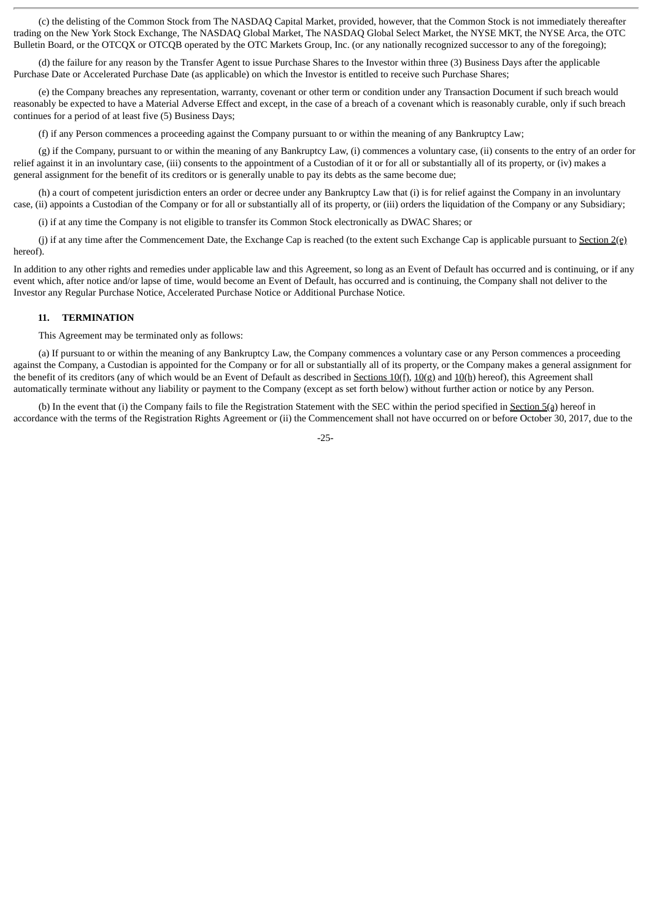(c) the delisting of the Common Stock from The NASDAQ Capital Market, provided, however, that the Common Stock is not immediately thereafter trading on the New York Stock Exchange, The NASDAQ Global Market, The NASDAQ Global Select Market, the NYSE MKT, the NYSE Arca, the OTC Bulletin Board, or the OTCQX or OTCQB operated by the OTC Markets Group, Inc. (or any nationally recognized successor to any of the foregoing);

(d) the failure for any reason by the Transfer Agent to issue Purchase Shares to the Investor within three (3) Business Days after the applicable Purchase Date or Accelerated Purchase Date (as applicable) on which the Investor is entitled to receive such Purchase Shares;

(e) the Company breaches any representation, warranty, covenant or other term or condition under any Transaction Document if such breach would reasonably be expected to have a Material Adverse Effect and except, in the case of a breach of a covenant which is reasonably curable, only if such breach continues for a period of at least five (5) Business Days;

(f) if any Person commences a proceeding against the Company pursuant to or within the meaning of any Bankruptcy Law;

(g) if the Company, pursuant to or within the meaning of any Bankruptcy Law, (i) commences a voluntary case, (ii) consents to the entry of an order for relief against it in an involuntary case, (iii) consents to the appointment of a Custodian of it or for all or substantially all of its property, or (iv) makes a general assignment for the benefit of its creditors or is generally unable to pay its debts as the same become due;

(h) a court of competent jurisdiction enters an order or decree under any Bankruptcy Law that (i) is for relief against the Company in an involuntary case, (ii) appoints a Custodian of the Company or for all or substantially all of its property, or (iii) orders the liquidation of the Company or any Subsidiary;

(i) if at any time the Company is not eligible to transfer its Common Stock electronically as DWAC Shares; or

(j) if at any time after the Commencement Date, the Exchange Cap is reached (to the extent such Exchange Cap is applicable pursuant to Section  $2(e)$ hereof).

In addition to any other rights and remedies under applicable law and this Agreement, so long as an Event of Default has occurred and is continuing, or if any event which, after notice and/or lapse of time, would become an Event of Default, has occurred and is continuing, the Company shall not deliver to the Investor any Regular Purchase Notice, Accelerated Purchase Notice or Additional Purchase Notice.

#### **11. TERMINATION**

This Agreement may be terminated only as follows:

(a) If pursuant to or within the meaning of any Bankruptcy Law, the Company commences a voluntary case or any Person commences a proceeding against the Company, a Custodian is appointed for the Company or for all or substantially all of its property, or the Company makes a general assignment for the benefit of its creditors (any of which would be an Event of Default as described in Sections 10(f), 10(g) and 10(h) hereof), this Agreement shall automatically terminate without any liability or payment to the Company (except as set forth below) without further action or notice by any Person.

(b) In the event that (i) the Company fails to file the Registration Statement with the SEC within the period specified in Section 5(a) hereof in accordance with the terms of the Registration Rights Agreement or (ii) the Commencement shall not have occurred on or before October 30, 2017, due to the

-25-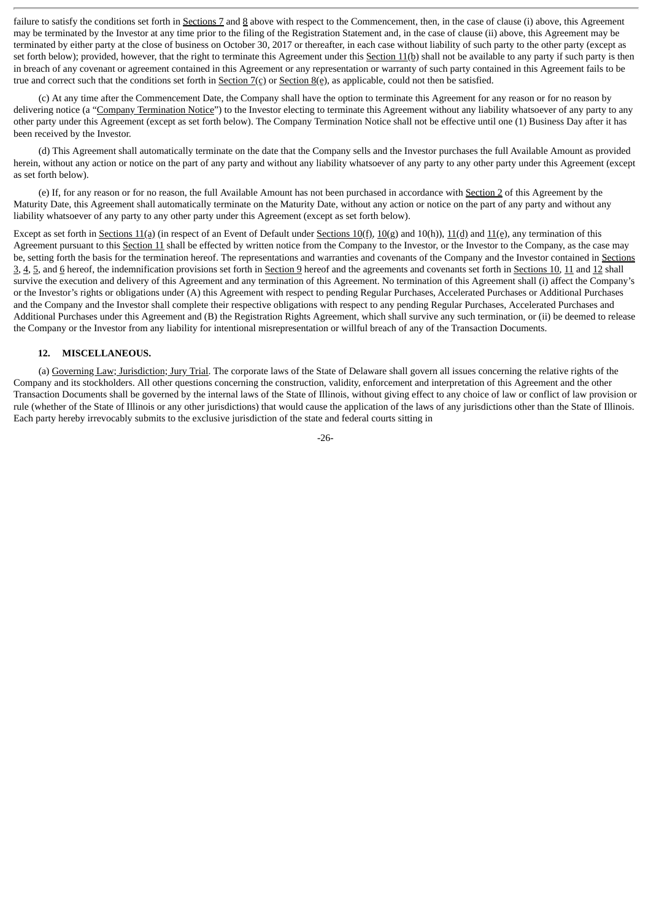failure to satisfy the conditions set forth in Sections 7 and 8 above with respect to the Commencement, then, in the case of clause (i) above, this Agreement may be terminated by the Investor at any time prior to the filing of the Registration Statement and, in the case of clause (ii) above, this Agreement may be terminated by either party at the close of business on October 30, 2017 or thereafter, in each case without liability of such party to the other party (except as set forth below); provided, however, that the right to terminate this Agreement under this Section 11(b) shall not be available to any party if such party is then in breach of any covenant or agreement contained in this Agreement or any representation or warranty of such party contained in this Agreement fails to be true and correct such that the conditions set forth in  $S_{\text{ection 7(c)}}$  or  $S_{\text{ection 8(e)}}$ , as applicable, could not then be satisfied.

(c) At any time after the Commencement Date, the Company shall have the option to terminate this Agreement for any reason or for no reason by delivering notice (a "Company Termination Notice") to the Investor electing to terminate this Agreement without any liability whatsoever of any party to any other party under this Agreement (except as set forth below). The Company Termination Notice shall not be effective until one (1) Business Day after it has been received by the Investor.

(d) This Agreement shall automatically terminate on the date that the Company sells and the Investor purchases the full Available Amount as provided herein, without any action or notice on the part of any party and without any liability whatsoever of any party to any other party under this Agreement (except as set forth below).

(e) If, for any reason or for no reason, the full Available Amount has not been purchased in accordance with Section 2 of this Agreement by the Maturity Date, this Agreement shall automatically terminate on the Maturity Date, without any action or notice on the part of any party and without any liability whatsoever of any party to any other party under this Agreement (except as set forth below).

Except as set forth in Sections 11(a) (in respect of an Event of Default under Sections 10(f), 10(g) and 10(h)), 11(d) and 11(e), any termination of this Agreement pursuant to this Section 11 shall be effected by written notice from the Company to the Investor, or the Investor to the Company, as the case may be, setting forth the basis for the termination hereof. The representations and warranties and covenants of the Company and the Investor contained in Sections 3, 4, 5, and 6 hereof, the indemnification provisions set forth in Section 9 hereof and the agreements and covenants set forth in Sections 10, 11 and 12 shall survive the execution and delivery of this Agreement and any termination of this Agreement. No termination of this Agreement shall (i) affect the Company's or the Investor's rights or obligations under (A) this Agreement with respect to pending Regular Purchases, Accelerated Purchases or Additional Purchases and the Company and the Investor shall complete their respective obligations with respect to any pending Regular Purchases, Accelerated Purchases and Additional Purchases under this Agreement and (B) the Registration Rights Agreement, which shall survive any such termination, or (ii) be deemed to release the Company or the Investor from any liability for intentional misrepresentation or willful breach of any of the Transaction Documents.

# **12. MISCELLANEOUS.**

(a) Governing Law; Jurisdiction; Jury Trial. The corporate laws of the State of Delaware shall govern all issues concerning the relative rights of the Company and its stockholders. All other questions concerning the construction, validity, enforcement and interpretation of this Agreement and the other Transaction Documents shall be governed by the internal laws of the State of Illinois, without giving effect to any choice of law or conflict of law provision or rule (whether of the State of Illinois or any other jurisdictions) that would cause the application of the laws of any jurisdictions other than the State of Illinois. Each party hereby irrevocably submits to the exclusive jurisdiction of the state and federal courts sitting in

-26-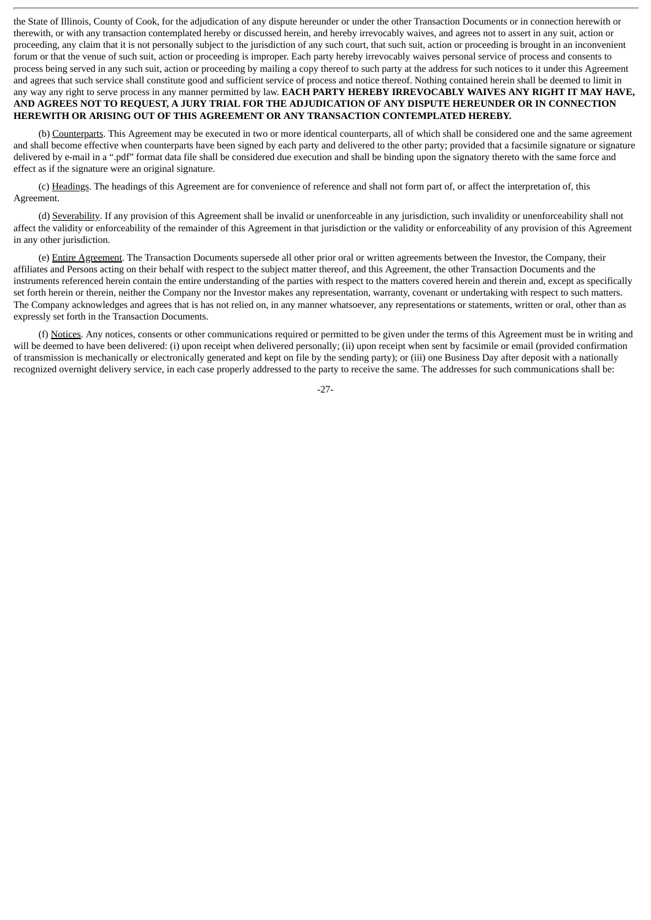the State of Illinois, County of Cook, for the adjudication of any dispute hereunder or under the other Transaction Documents or in connection herewith or therewith, or with any transaction contemplated hereby or discussed herein, and hereby irrevocably waives, and agrees not to assert in any suit, action or proceeding, any claim that it is not personally subject to the jurisdiction of any such court, that such suit, action or proceeding is brought in an inconvenient forum or that the venue of such suit, action or proceeding is improper. Each party hereby irrevocably waives personal service of process and consents to process being served in any such suit, action or proceeding by mailing a copy thereof to such party at the address for such notices to it under this Agreement and agrees that such service shall constitute good and sufficient service of process and notice thereof. Nothing contained herein shall be deemed to limit in any way any right to serve process in any manner permitted by law. **EACH PARTY HEREBY IRREVOCABLY WAIVES ANY RIGHT IT MAY HAVE,** AND AGREES NOT TO REQUEST, A JURY TRIAL FOR THE ADJUDICATION OF ANY DISPUTE HEREUNDER OR IN CONNECTION **HEREWITH OR ARISING OUT OF THIS AGREEMENT OR ANY TRANSACTION CONTEMPLATED HEREBY.**

(b) Counterparts. This Agreement may be executed in two or more identical counterparts, all of which shall be considered one and the same agreement and shall become effective when counterparts have been signed by each party and delivered to the other party; provided that a facsimile signature or signature delivered by e-mail in a ".pdf" format data file shall be considered due execution and shall be binding upon the signatory thereto with the same force and effect as if the signature were an original signature.

(c) Headings. The headings of this Agreement are for convenience of reference and shall not form part of, or affect the interpretation of, this Agreement.

(d) Severability. If any provision of this Agreement shall be invalid or unenforceable in any jurisdiction, such invalidity or unenforceability shall not affect the validity or enforceability of the remainder of this Agreement in that jurisdiction or the validity or enforceability of any provision of this Agreement in any other jurisdiction.

(e) Entire Agreement. The Transaction Documents supersede all other prior oral or written agreements between the Investor, the Company, their affiliates and Persons acting on their behalf with respect to the subject matter thereof, and this Agreement, the other Transaction Documents and the instruments referenced herein contain the entire understanding of the parties with respect to the matters covered herein and therein and, except as specifically set forth herein or therein, neither the Company nor the Investor makes any representation, warranty, covenant or undertaking with respect to such matters. The Company acknowledges and agrees that is has not relied on, in any manner whatsoever, any representations or statements, written or oral, other than as expressly set forth in the Transaction Documents.

(f) Notices. Any notices, consents or other communications required or permitted to be given under the terms of this Agreement must be in writing and will be deemed to have been delivered: (i) upon receipt when delivered personally; (ii) upon receipt when sent by facsimile or email (provided confirmation of transmission is mechanically or electronically generated and kept on file by the sending party); or (iii) one Business Day after deposit with a nationally recognized overnight delivery service, in each case properly addressed to the party to receive the same. The addresses for such communications shall be:

-27-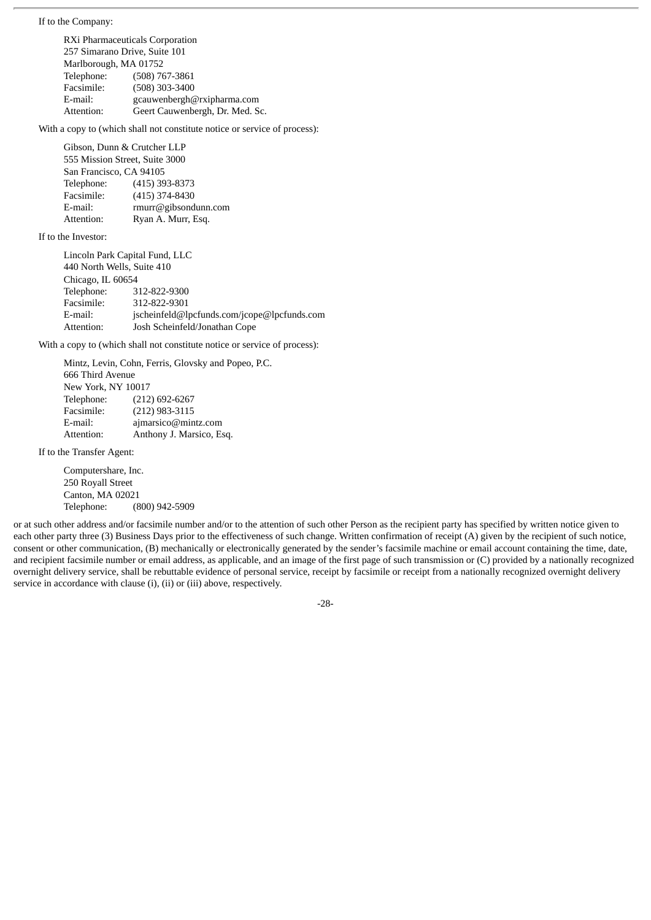If to the Company:

RXi Pharmaceuticals Corporation 257 Simarano Drive, Suite 101 Marlborough, MA 01752 Telephone: (508) 767-3861 Facsimile: (508) 303-3400 E-mail: gcauwenbergh@rxipharma.com Attention: Geert Cauwenbergh, Dr. Med. Sc.

With a copy to (which shall not constitute notice or service of process):

Gibson, Dunn & Crutcher LLP 555 Mission Street, Suite 3000 San Francisco, CA 94105 Telephone: (415) 393-8373 Facsimile: (415) 374-8430 E-mail: rmurr@gibsondunn.com Attention: Ryan A. Murr, Esq.

If to the Investor:

Lincoln Park Capital Fund, LLC 440 North Wells, Suite 410 Chicago, IL 60654 Telephone: 312-822-9300 Facsimile: 312-822-9301 E-mail: jscheinfeld@lpcfunds.com/jcope@lpcfunds.com Attention: Josh Scheinfeld/Jonathan Cope

With a copy to (which shall not constitute notice or service of process):

|                    | Mintz, Levin, Cohn, Ferris, Glovsky and Popeo, P.C. |  |  |  |
|--------------------|-----------------------------------------------------|--|--|--|
| 666 Third Avenue   |                                                     |  |  |  |
| New York, NY 10017 |                                                     |  |  |  |
| Telephone:         | $(212)$ 692-6267                                    |  |  |  |
| Facsimile:         | $(212)$ 983-3115                                    |  |  |  |
| E-mail:            | ajmarsico@mintz.com                                 |  |  |  |
| Attention:         | Anthony J. Marsico, Esq.                            |  |  |  |

If to the Transfer Agent:

Computershare, Inc. 250 Royall Street Canton, MA 02021 Telephone: (800) 942-5909

or at such other address and/or facsimile number and/or to the attention of such other Person as the recipient party has specified by written notice given to each other party three (3) Business Days prior to the effectiveness of such change. Written confirmation of receipt (A) given by the recipient of such notice, consent or other communication, (B) mechanically or electronically generated by the sender's facsimile machine or email account containing the time, date, and recipient facsimile number or email address, as applicable, and an image of the first page of such transmission or (C) provided by a nationally recognized overnight delivery service, shall be rebuttable evidence of personal service, receipt by facsimile or receipt from a nationally recognized overnight delivery service in accordance with clause (i), (ii) or (iii) above, respectively.

-28-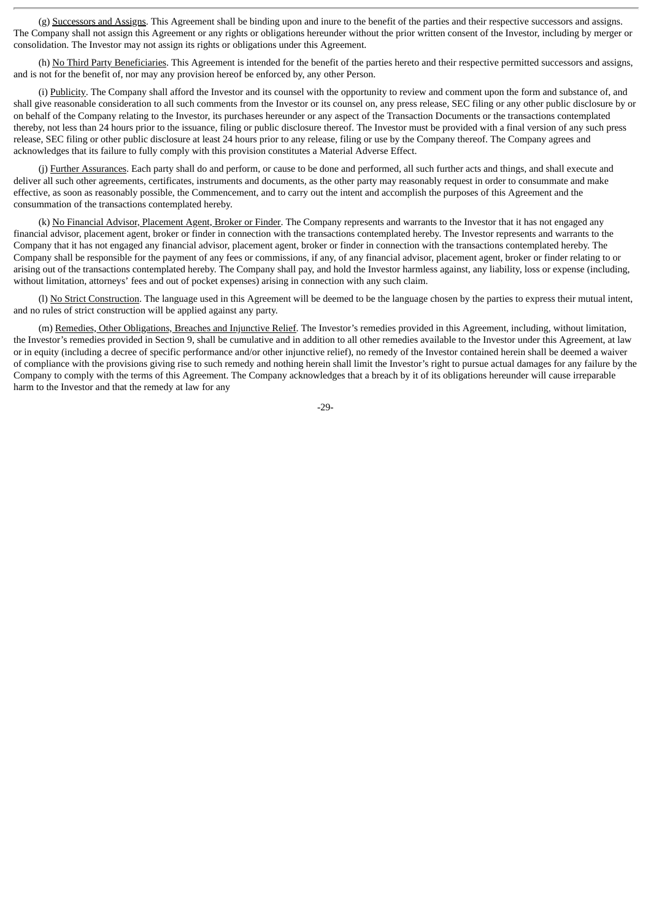(g) Successors and Assigns. This Agreement shall be binding upon and inure to the benefit of the parties and their respective successors and assigns. The Company shall not assign this Agreement or any rights or obligations hereunder without the prior written consent of the Investor, including by merger or consolidation. The Investor may not assign its rights or obligations under this Agreement.

(h) No Third Party Beneficiaries. This Agreement is intended for the benefit of the parties hereto and their respective permitted successors and assigns, and is not for the benefit of, nor may any provision hereof be enforced by, any other Person.

(i) Publicity. The Company shall afford the Investor and its counsel with the opportunity to review and comment upon the form and substance of, and shall give reasonable consideration to all such comments from the Investor or its counsel on, any press release, SEC filing or any other public disclosure by or on behalf of the Company relating to the Investor, its purchases hereunder or any aspect of the Transaction Documents or the transactions contemplated thereby, not less than 24 hours prior to the issuance, filing or public disclosure thereof. The Investor must be provided with a final version of any such press release, SEC filing or other public disclosure at least 24 hours prior to any release, filing or use by the Company thereof. The Company agrees and acknowledges that its failure to fully comply with this provision constitutes a Material Adverse Effect.

(j) Further Assurances. Each party shall do and perform, or cause to be done and performed, all such further acts and things, and shall execute and deliver all such other agreements, certificates, instruments and documents, as the other party may reasonably request in order to consummate and make effective, as soon as reasonably possible, the Commencement, and to carry out the intent and accomplish the purposes of this Agreement and the consummation of the transactions contemplated hereby.

(k) No Financial Advisor, Placement Agent, Broker or Finder. The Company represents and warrants to the Investor that it has not engaged any financial advisor, placement agent, broker or finder in connection with the transactions contemplated hereby. The Investor represents and warrants to the Company that it has not engaged any financial advisor, placement agent, broker or finder in connection with the transactions contemplated hereby. The Company shall be responsible for the payment of any fees or commissions, if any, of any financial advisor, placement agent, broker or finder relating to or arising out of the transactions contemplated hereby. The Company shall pay, and hold the Investor harmless against, any liability, loss or expense (including, without limitation, attorneys' fees and out of pocket expenses) arising in connection with any such claim.

(1) No Strict Construction. The language used in this Agreement will be deemed to be the language chosen by the parties to express their mutual intent, and no rules of strict construction will be applied against any party.

(m) Remedies, Other Obligations, Breaches and Injunctive Relief. The Investor's remedies provided in this Agreement, including, without limitation, the Investor's remedies provided in Section 9, shall be cumulative and in addition to all other remedies available to the Investor under this Agreement, at law or in equity (including a decree of specific performance and/or other injunctive relief), no remedy of the Investor contained herein shall be deemed a waiver of compliance with the provisions giving rise to such remedy and nothing herein shall limit the Investor's right to pursue actual damages for any failure by the Company to comply with the terms of this Agreement. The Company acknowledges that a breach by it of its obligations hereunder will cause irreparable harm to the Investor and that the remedy at law for any

-29-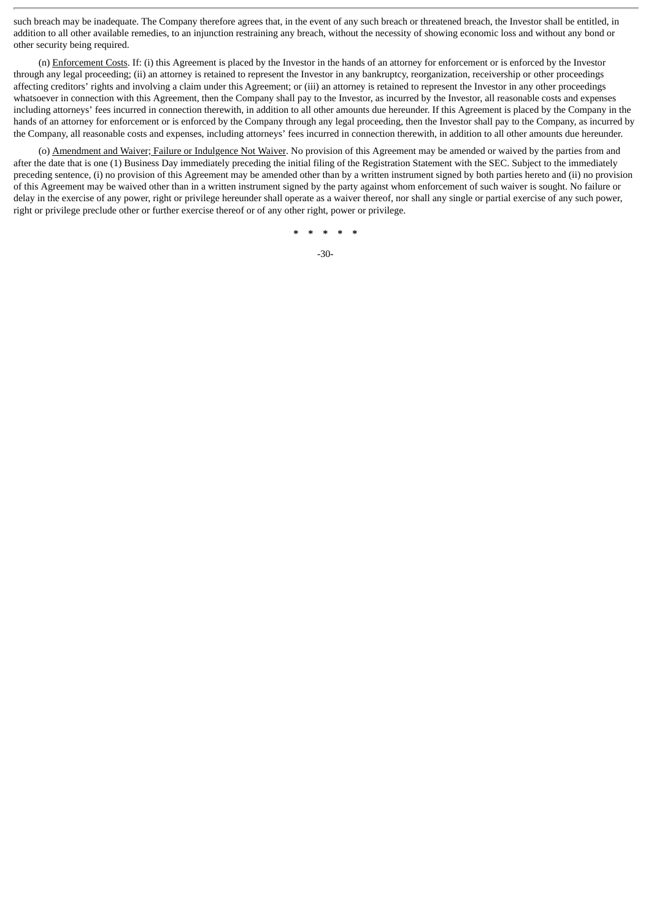such breach may be inadequate. The Company therefore agrees that, in the event of any such breach or threatened breach, the Investor shall be entitled, in addition to all other available remedies, to an injunction restraining any breach, without the necessity of showing economic loss and without any bond or other security being required.

(n) Enforcement Costs. If: (i) this Agreement is placed by the Investor in the hands of an attorney for enforcement or is enforced by the Investor through any legal proceeding; (ii) an attorney is retained to represent the Investor in any bankruptcy, reorganization, receivership or other proceedings affecting creditors' rights and involving a claim under this Agreement; or (iii) an attorney is retained to represent the Investor in any other proceedings whatsoever in connection with this Agreement, then the Company shall pay to the Investor, as incurred by the Investor, all reasonable costs and expenses including attorneys' fees incurred in connection therewith, in addition to all other amounts due hereunder. If this Agreement is placed by the Company in the hands of an attorney for enforcement or is enforced by the Company through any legal proceeding, then the Investor shall pay to the Company, as incurred by the Company, all reasonable costs and expenses, including attorneys' fees incurred in connection therewith, in addition to all other amounts due hereunder.

(o) Amendment and Waiver; Failure or Indulgence Not Waiver. No provision of this Agreement may be amended or waived by the parties from and after the date that is one (1) Business Day immediately preceding the initial filing of the Registration Statement with the SEC. Subject to the immediately preceding sentence, (i) no provision of this Agreement may be amended other than by a written instrument signed by both parties hereto and (ii) no provision of this Agreement may be waived other than in a written instrument signed by the party against whom enforcement of such waiver is sought. No failure or delay in the exercise of any power, right or privilege hereunder shall operate as a waiver thereof, nor shall any single or partial exercise of any such power, right or privilege preclude other or further exercise thereof or of any other right, power or privilege.

**\* \* \* \* \***

-30-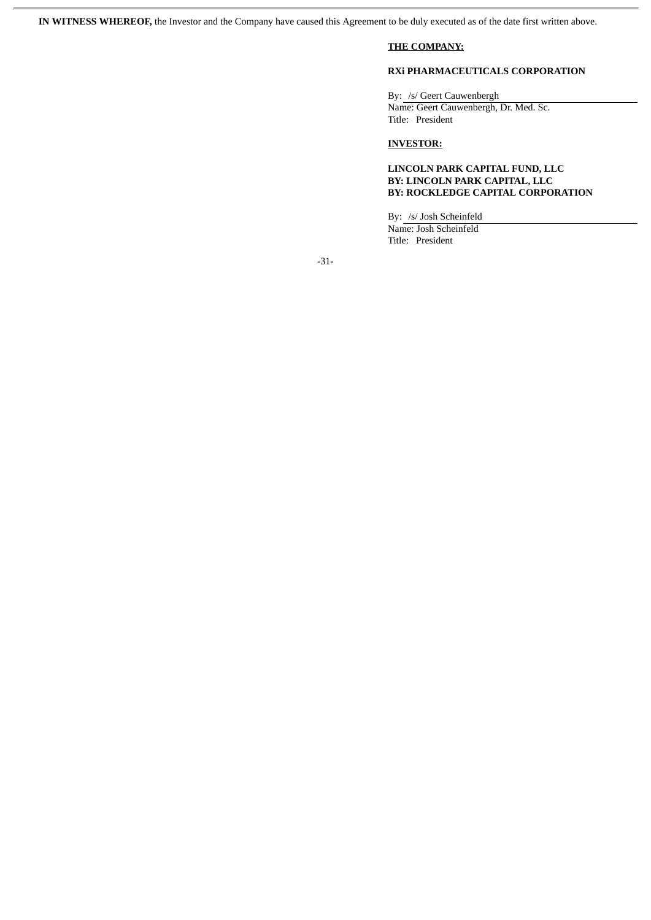**IN WITNESS WHEREOF,** the Investor and the Company have caused this Agreement to be duly executed as of the date first written above.

# **THE COMPANY:**

# **RXi PHARMACEUTICALS CORPORATION**

By: /s/ Geert Cauwenbergh Name: Geert Cauwenbergh, Dr. Med. Sc. Title: President

# **INVESTOR:**

# **LINCOLN PARK CAPITAL FUND, LLC BY: LINCOLN PARK CAPITAL, LLC BY: ROCKLEDGE CAPITAL CORPORATION**

By: /s/ Josh Scheinfeld Name: Josh Scheinfeld Title: President

-31-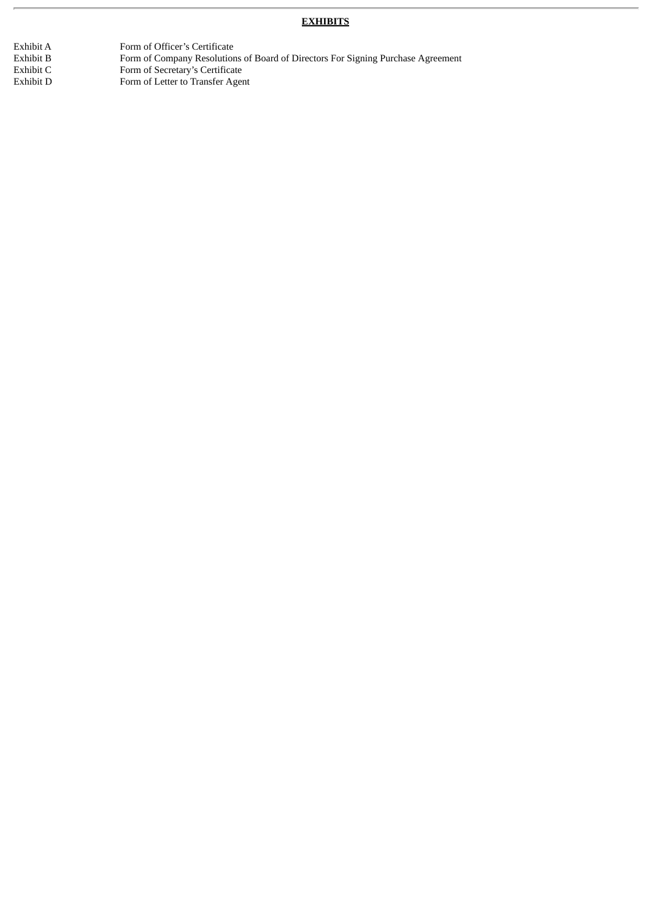# **EXHIBITS**

Exhibit A Form of Officer's Certificate<br>Exhibit B Form of Company Resolution Exhibit B Form of Company Resolutions of Board of Directors For Signing Purchase Agreement Exhibit C Form of Secretary's Certificate Exhibit D Form of Letter to Transfer Agent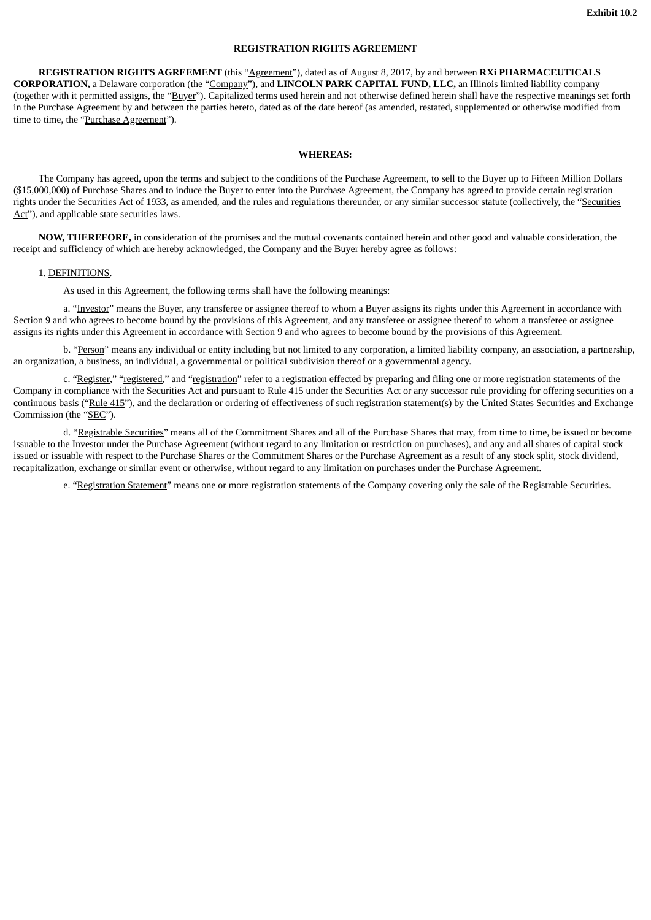# **REGISTRATION RIGHTS AGREEMENT**

**REGISTRATION RIGHTS AGREEMENT** (this "Agreement"), dated as of August 8, 2017, by and between **RXi PHARMACEUTICALS CORPORATION,** a Delaware corporation (the "Company"), and **LINCOLN PARK CAPITAL FUND, LLC,** an Illinois limited liability company (together with it permitted assigns, the "Buyer"). Capitalized terms used herein and not otherwise defined herein shall have the respective meanings set forth in the Purchase Agreement by and between the parties hereto, dated as of the date hereof (as amended, restated, supplemented or otherwise modified from time to time, the "Purchase Agreement").

# **WHEREAS:**

The Company has agreed, upon the terms and subject to the conditions of the Purchase Agreement, to sell to the Buyer up to Fifteen Million Dollars (\$15,000,000) of Purchase Shares and to induce the Buyer to enter into the Purchase Agreement, the Company has agreed to provide certain registration rights under the Securities Act of 1933, as amended, and the rules and regulations thereunder, or any similar successor statute (collectively, the "Securities Act"), and applicable state securities laws.

**NOW, THEREFORE,** in consideration of the promises and the mutual covenants contained herein and other good and valuable consideration, the receipt and sufficiency of which are hereby acknowledged, the Company and the Buyer hereby agree as follows:

#### 1. DEFINITIONS.

As used in this Agreement, the following terms shall have the following meanings:

a. "Investor" means the Buyer, any transferee or assignee thereof to whom a Buyer assigns its rights under this Agreement in accordance with Section 9 and who agrees to become bound by the provisions of this Agreement, and any transferee or assignee thereof to whom a transferee or assignee assigns its rights under this Agreement in accordance with Section 9 and who agrees to become bound by the provisions of this Agreement.

b. "Person" means any individual or entity including but not limited to any corporation, a limited liability company, an association, a partnership, an organization, a business, an individual, a governmental or political subdivision thereof or a governmental agency.

c. "Register," "registered," and "registration" refer to a registration effected by preparing and filing one or more registration statements of the Company in compliance with the Securities Act and pursuant to Rule 415 under the Securities Act or any successor rule providing for offering securities on a continuous basis ("Rule 415"), and the declaration or ordering of effectiveness of such registration statement(s) by the United States Securities and Exchange Commission (the "SEC").

d. "Registrable Securities" means all of the Commitment Shares and all of the Purchase Shares that may, from time to time, be issued or become issuable to the Investor under the Purchase Agreement (without regard to any limitation or restriction on purchases), and any and all shares of capital stock issued or issuable with respect to the Purchase Shares or the Commitment Shares or the Purchase Agreement as a result of any stock split, stock dividend, recapitalization, exchange or similar event or otherwise, without regard to any limitation on purchases under the Purchase Agreement.

e. "Registration Statement" means one or more registration statements of the Company covering only the sale of the Registrable Securities.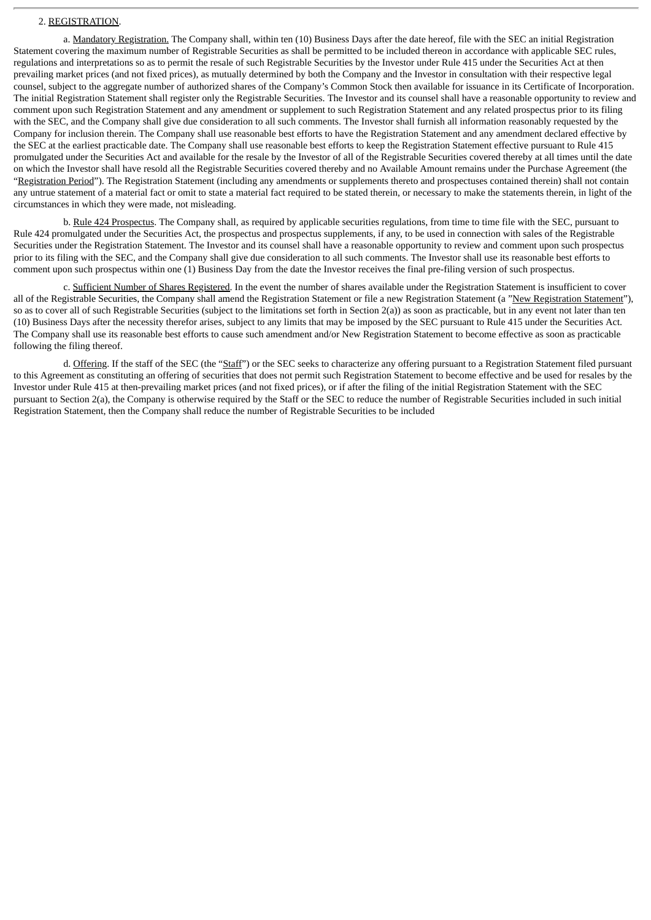# 2. REGISTRATION.

a. Mandatory Registration. The Company shall, within ten (10) Business Days after the date hereof, file with the SEC an initial Registration Statement covering the maximum number of Registrable Securities as shall be permitted to be included thereon in accordance with applicable SEC rules, regulations and interpretations so as to permit the resale of such Registrable Securities by the Investor under Rule 415 under the Securities Act at then prevailing market prices (and not fixed prices), as mutually determined by both the Company and the Investor in consultation with their respective legal counsel, subject to the aggregate number of authorized shares of the Company's Common Stock then available for issuance in its Certificate of Incorporation. The initial Registration Statement shall register only the Registrable Securities. The Investor and its counsel shall have a reasonable opportunity to review and comment upon such Registration Statement and any amendment or supplement to such Registration Statement and any related prospectus prior to its filing with the SEC, and the Company shall give due consideration to all such comments. The Investor shall furnish all information reasonably requested by the Company for inclusion therein. The Company shall use reasonable best efforts to have the Registration Statement and any amendment declared effective by the SEC at the earliest practicable date. The Company shall use reasonable best efforts to keep the Registration Statement effective pursuant to Rule 415 promulgated under the Securities Act and available for the resale by the Investor of all of the Registrable Securities covered thereby at all times until the date on which the Investor shall have resold all the Registrable Securities covered thereby and no Available Amount remains under the Purchase Agreement (the "Registration Period"). The Registration Statement (including any amendments or supplements thereto and prospectuses contained therein) shall not contain any untrue statement of a material fact or omit to state a material fact required to be stated therein, or necessary to make the statements therein, in light of the circumstances in which they were made, not misleading.

b. Rule 424 Prospectus. The Company shall, as required by applicable securities regulations, from time to time file with the SEC, pursuant to Rule 424 promulgated under the Securities Act, the prospectus and prospectus supplements, if any, to be used in connection with sales of the Registrable Securities under the Registration Statement. The Investor and its counsel shall have a reasonable opportunity to review and comment upon such prospectus prior to its filing with the SEC, and the Company shall give due consideration to all such comments. The Investor shall use its reasonable best efforts to comment upon such prospectus within one (1) Business Day from the date the Investor receives the final pre-filing version of such prospectus.

c. Sufficient Number of Shares Registered. In the event the number of shares available under the Registration Statement is insufficient to cover all of the Registrable Securities, the Company shall amend the Registration Statement or file a new Registration Statement (a "New Registration Statement"), so as to cover all of such Registrable Securities (subject to the limitations set forth in Section 2(a)) as soon as practicable, but in any event not later than ten (10) Business Days after the necessity therefor arises, subject to any limits that may be imposed by the SEC pursuant to Rule 415 under the Securities Act. The Company shall use its reasonable best efforts to cause such amendment and/or New Registration Statement to become effective as soon as practicable following the filing thereof.

d. Offering. If the staff of the SEC (the "Staff") or the SEC seeks to characterize any offering pursuant to a Registration Statement filed pursuant to this Agreement as constituting an offering of securities that does not permit such Registration Statement to become effective and be used for resales by the Investor under Rule 415 at then-prevailing market prices (and not fixed prices), or if after the filing of the initial Registration Statement with the SEC pursuant to Section 2(a), the Company is otherwise required by the Staff or the SEC to reduce the number of Registrable Securities included in such initial Registration Statement, then the Company shall reduce the number of Registrable Securities to be included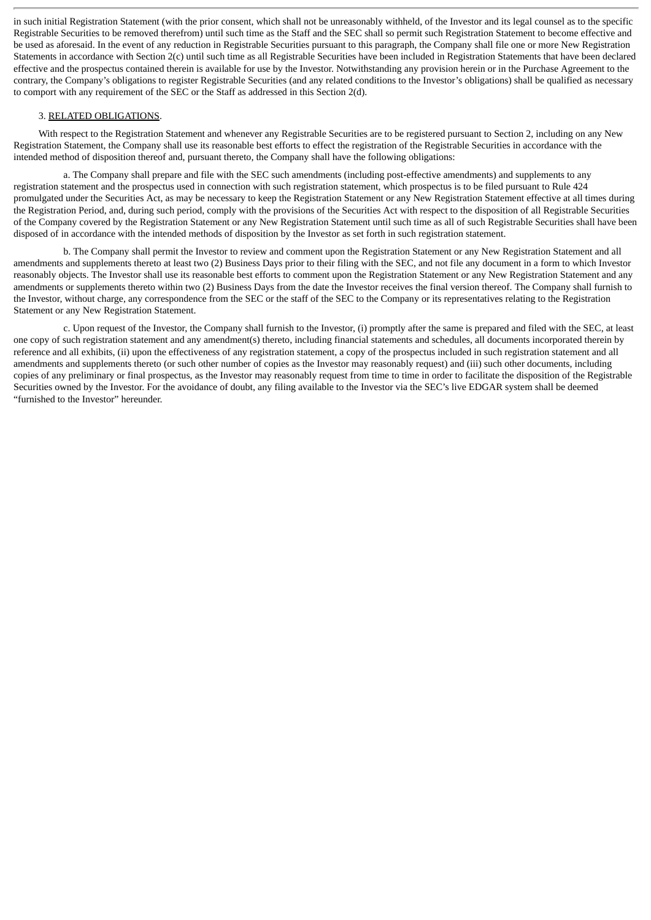in such initial Registration Statement (with the prior consent, which shall not be unreasonably withheld, of the Investor and its legal counsel as to the specific Registrable Securities to be removed therefrom) until such time as the Staff and the SEC shall so permit such Registration Statement to become effective and be used as aforesaid. In the event of any reduction in Registrable Securities pursuant to this paragraph, the Company shall file one or more New Registration Statements in accordance with Section 2(c) until such time as all Registrable Securities have been included in Registration Statements that have been declared effective and the prospectus contained therein is available for use by the Investor. Notwithstanding any provision herein or in the Purchase Agreement to the contrary, the Company's obligations to register Registrable Securities (and any related conditions to the Investor's obligations) shall be qualified as necessary to comport with any requirement of the SEC or the Staff as addressed in this Section 2(d).

### 3. RELATED OBLIGATIONS.

With respect to the Registration Statement and whenever any Registrable Securities are to be registered pursuant to Section 2, including on any New Registration Statement, the Company shall use its reasonable best efforts to effect the registration of the Registrable Securities in accordance with the intended method of disposition thereof and, pursuant thereto, the Company shall have the following obligations:

a. The Company shall prepare and file with the SEC such amendments (including post-effective amendments) and supplements to any registration statement and the prospectus used in connection with such registration statement, which prospectus is to be filed pursuant to Rule 424 promulgated under the Securities Act, as may be necessary to keep the Registration Statement or any New Registration Statement effective at all times during the Registration Period, and, during such period, comply with the provisions of the Securities Act with respect to the disposition of all Registrable Securities of the Company covered by the Registration Statement or any New Registration Statement until such time as all of such Registrable Securities shall have been disposed of in accordance with the intended methods of disposition by the Investor as set forth in such registration statement.

b. The Company shall permit the Investor to review and comment upon the Registration Statement or any New Registration Statement and all amendments and supplements thereto at least two (2) Business Days prior to their filing with the SEC, and not file any document in a form to which Investor reasonably objects. The Investor shall use its reasonable best efforts to comment upon the Registration Statement or any New Registration Statement and any amendments or supplements thereto within two (2) Business Days from the date the Investor receives the final version thereof. The Company shall furnish to the Investor, without charge, any correspondence from the SEC or the staff of the SEC to the Company or its representatives relating to the Registration Statement or any New Registration Statement.

c. Upon request of the Investor, the Company shall furnish to the Investor, (i) promptly after the same is prepared and filed with the SEC, at least one copy of such registration statement and any amendment(s) thereto, including financial statements and schedules, all documents incorporated therein by reference and all exhibits, (ii) upon the effectiveness of any registration statement, a copy of the prospectus included in such registration statement and all amendments and supplements thereto (or such other number of copies as the Investor may reasonably request) and (iii) such other documents, including copies of any preliminary or final prospectus, as the Investor may reasonably request from time to time in order to facilitate the disposition of the Registrable Securities owned by the Investor. For the avoidance of doubt, any filing available to the Investor via the SEC's live EDGAR system shall be deemed "furnished to the Investor" hereunder.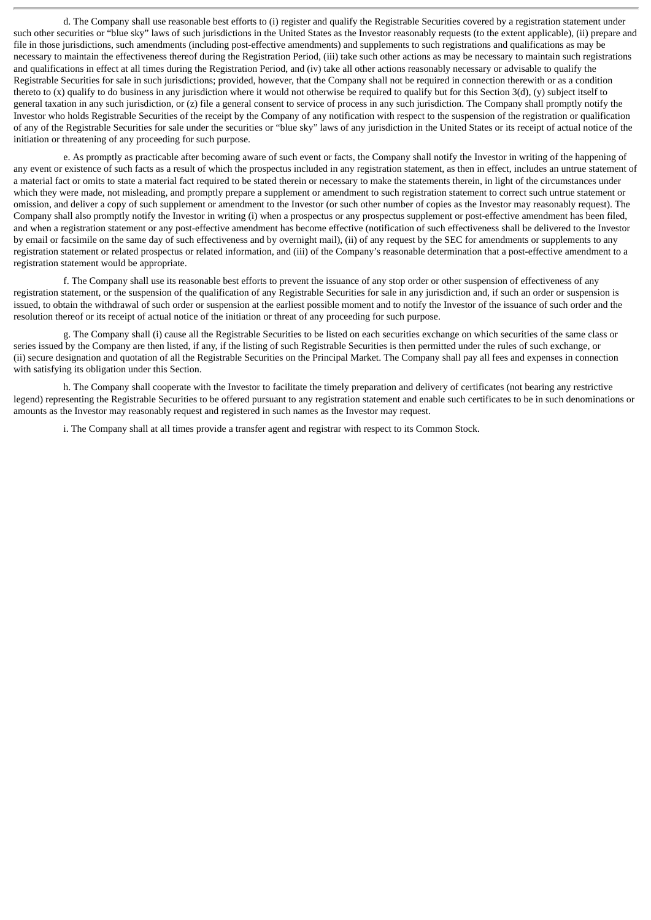d. The Company shall use reasonable best efforts to (i) register and qualify the Registrable Securities covered by a registration statement under such other securities or "blue sky" laws of such jurisdictions in the United States as the Investor reasonably requests (to the extent applicable), (ii) prepare and file in those jurisdictions, such amendments (including post-effective amendments) and supplements to such registrations and qualifications as may be necessary to maintain the effectiveness thereof during the Registration Period, (iii) take such other actions as may be necessary to maintain such registrations and qualifications in effect at all times during the Registration Period, and (iv) take all other actions reasonably necessary or advisable to qualify the Registrable Securities for sale in such jurisdictions; provided, however, that the Company shall not be required in connection therewith or as a condition thereto to (x) qualify to do business in any jurisdiction where it would not otherwise be required to qualify but for this Section 3(d), (y) subject itself to general taxation in any such jurisdiction, or (z) file a general consent to service of process in any such jurisdiction. The Company shall promptly notify the Investor who holds Registrable Securities of the receipt by the Company of any notification with respect to the suspension of the registration or qualification of any of the Registrable Securities for sale under the securities or "blue sky" laws of any jurisdiction in the United States or its receipt of actual notice of the initiation or threatening of any proceeding for such purpose.

e. As promptly as practicable after becoming aware of such event or facts, the Company shall notify the Investor in writing of the happening of any event or existence of such facts as a result of which the prospectus included in any registration statement, as then in effect, includes an untrue statement of a material fact or omits to state a material fact required to be stated therein or necessary to make the statements therein, in light of the circumstances under which they were made, not misleading, and promptly prepare a supplement or amendment to such registration statement to correct such untrue statement or omission, and deliver a copy of such supplement or amendment to the Investor (or such other number of copies as the Investor may reasonably request). The Company shall also promptly notify the Investor in writing (i) when a prospectus or any prospectus supplement or post-effective amendment has been filed, and when a registration statement or any post-effective amendment has become effective (notification of such effectiveness shall be delivered to the Investor by email or facsimile on the same day of such effectiveness and by overnight mail), (ii) of any request by the SEC for amendments or supplements to any registration statement or related prospectus or related information, and (iii) of the Company's reasonable determination that a post-effective amendment to a registration statement would be appropriate.

f. The Company shall use its reasonable best efforts to prevent the issuance of any stop order or other suspension of effectiveness of any registration statement, or the suspension of the qualification of any Registrable Securities for sale in any jurisdiction and, if such an order or suspension is issued, to obtain the withdrawal of such order or suspension at the earliest possible moment and to notify the Investor of the issuance of such order and the resolution thereof or its receipt of actual notice of the initiation or threat of any proceeding for such purpose.

g. The Company shall (i) cause all the Registrable Securities to be listed on each securities exchange on which securities of the same class or series issued by the Company are then listed, if any, if the listing of such Registrable Securities is then permitted under the rules of such exchange, or (ii) secure designation and quotation of all the Registrable Securities on the Principal Market. The Company shall pay all fees and expenses in connection with satisfying its obligation under this Section.

h. The Company shall cooperate with the Investor to facilitate the timely preparation and delivery of certificates (not bearing any restrictive legend) representing the Registrable Securities to be offered pursuant to any registration statement and enable such certificates to be in such denominations or amounts as the Investor may reasonably request and registered in such names as the Investor may request.

i. The Company shall at all times provide a transfer agent and registrar with respect to its Common Stock.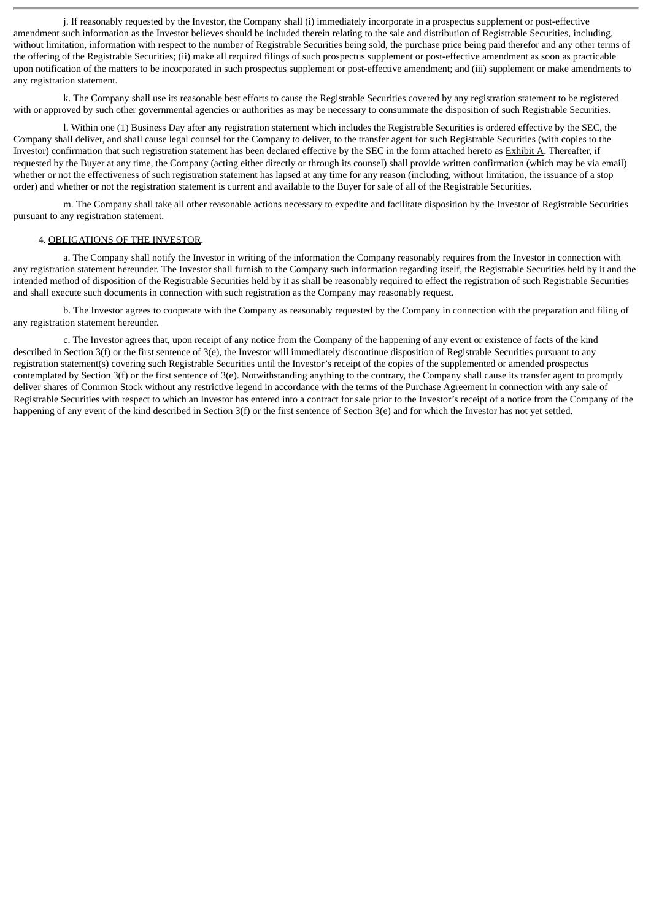j. If reasonably requested by the Investor, the Company shall (i) immediately incorporate in a prospectus supplement or post-effective amendment such information as the Investor believes should be included therein relating to the sale and distribution of Registrable Securities, including, without limitation, information with respect to the number of Registrable Securities being sold, the purchase price being paid therefor and any other terms of the offering of the Registrable Securities; (ii) make all required filings of such prospectus supplement or post-effective amendment as soon as practicable upon notification of the matters to be incorporated in such prospectus supplement or post-effective amendment; and (iii) supplement or make amendments to any registration statement.

k. The Company shall use its reasonable best efforts to cause the Registrable Securities covered by any registration statement to be registered with or approved by such other governmental agencies or authorities as may be necessary to consummate the disposition of such Registrable Securities.

l. Within one (1) Business Day after any registration statement which includes the Registrable Securities is ordered effective by the SEC, the Company shall deliver, and shall cause legal counsel for the Company to deliver, to the transfer agent for such Registrable Securities (with copies to the Investor) confirmation that such registration statement has been declared effective by the SEC in the form attached hereto as Exhibit A. Thereafter, if requested by the Buyer at any time, the Company (acting either directly or through its counsel) shall provide written confirmation (which may be via email) whether or not the effectiveness of such registration statement has lapsed at any time for any reason (including, without limitation, the issuance of a stop order) and whether or not the registration statement is current and available to the Buyer for sale of all of the Registrable Securities.

m. The Company shall take all other reasonable actions necessary to expedite and facilitate disposition by the Investor of Registrable Securities pursuant to any registration statement.

#### 4. OBLIGATIONS OF THE INVESTOR.

a. The Company shall notify the Investor in writing of the information the Company reasonably requires from the Investor in connection with any registration statement hereunder. The Investor shall furnish to the Company such information regarding itself, the Registrable Securities held by it and the intended method of disposition of the Registrable Securities held by it as shall be reasonably required to effect the registration of such Registrable Securities and shall execute such documents in connection with such registration as the Company may reasonably request.

b. The Investor agrees to cooperate with the Company as reasonably requested by the Company in connection with the preparation and filing of any registration statement hereunder.

c. The Investor agrees that, upon receipt of any notice from the Company of the happening of any event or existence of facts of the kind described in Section 3(f) or the first sentence of 3(e), the Investor will immediately discontinue disposition of Registrable Securities pursuant to any registration statement(s) covering such Registrable Securities until the Investor's receipt of the copies of the supplemented or amended prospectus contemplated by Section 3(f) or the first sentence of 3(e). Notwithstanding anything to the contrary, the Company shall cause its transfer agent to promptly deliver shares of Common Stock without any restrictive legend in accordance with the terms of the Purchase Agreement in connection with any sale of Registrable Securities with respect to which an Investor has entered into a contract for sale prior to the Investor's receipt of a notice from the Company of the happening of any event of the kind described in Section 3(f) or the first sentence of Section 3(e) and for which the Investor has not yet settled.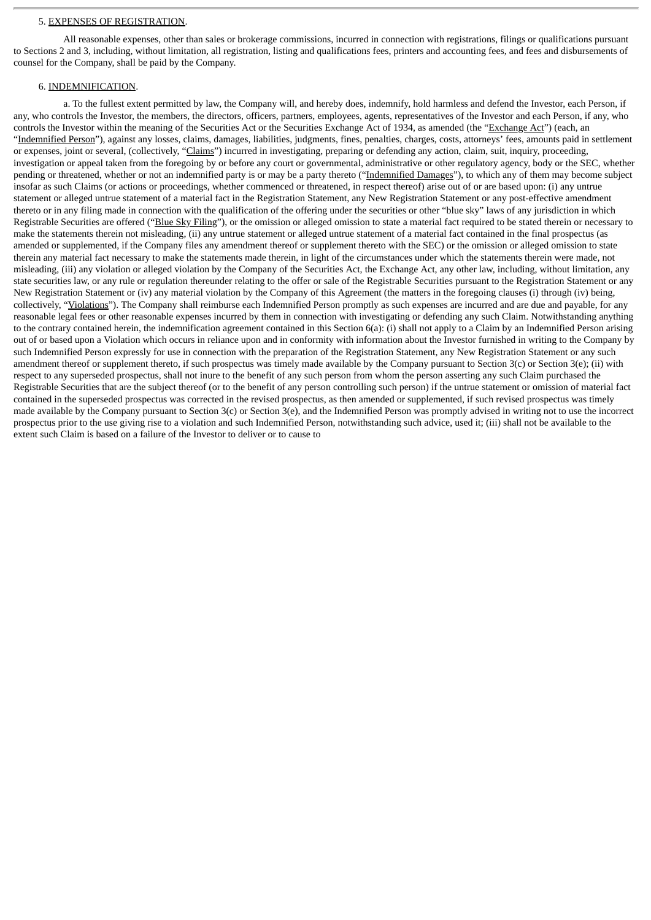#### 5. EXPENSES OF REGISTRATION.

All reasonable expenses, other than sales or brokerage commissions, incurred in connection with registrations, filings or qualifications pursuant to Sections 2 and 3, including, without limitation, all registration, listing and qualifications fees, printers and accounting fees, and fees and disbursements of counsel for the Company, shall be paid by the Company.

#### 6. INDEMNIFICATION.

a. To the fullest extent permitted by law, the Company will, and hereby does, indemnify, hold harmless and defend the Investor, each Person, if any, who controls the Investor, the members, the directors, officers, partners, employees, agents, representatives of the Investor and each Person, if any, who controls the Investor within the meaning of the Securities Act or the Securities Exchange Act of 1934, as amended (the "Exchange Act") (each, an "Indemnified Person"), against any losses, claims, damages, liabilities, judgments, fines, penalties, charges, costs, attorneys' fees, amounts paid in settlement or expenses, joint or several, (collectively, "Claims") incurred in investigating, preparing or defending any action, claim, suit, inquiry, proceeding, investigation or appeal taken from the foregoing by or before any court or governmental, administrative or other regulatory agency, body or the SEC, whether pending or threatened, whether or not an indemnified party is or may be a party thereto ("Indemnified Damages"), to which any of them may become subject insofar as such Claims (or actions or proceedings, whether commenced or threatened, in respect thereof) arise out of or are based upon: (i) any untrue statement or alleged untrue statement of a material fact in the Registration Statement, any New Registration Statement or any post-effective amendment thereto or in any filing made in connection with the qualification of the offering under the securities or other "blue sky" laws of any jurisdiction in which Registrable Securities are offered ("Blue Sky Filing"), or the omission or alleged omission to state a material fact required to be stated therein or necessary to make the statements therein not misleading, (ii) any untrue statement or alleged untrue statement of a material fact contained in the final prospectus (as amended or supplemented, if the Company files any amendment thereof or supplement thereto with the SEC) or the omission or alleged omission to state therein any material fact necessary to make the statements made therein, in light of the circumstances under which the statements therein were made, not misleading, (iii) any violation or alleged violation by the Company of the Securities Act, the Exchange Act, any other law, including, without limitation, any state securities law, or any rule or regulation thereunder relating to the offer or sale of the Registrable Securities pursuant to the Registration Statement or any New Registration Statement or (iv) any material violation by the Company of this Agreement (the matters in the foregoing clauses (i) through (iv) being, collectively, "Violations"). The Company shall reimburse each Indemnified Person promptly as such expenses are incurred and are due and payable, for any reasonable legal fees or other reasonable expenses incurred by them in connection with investigating or defending any such Claim. Notwithstanding anything to the contrary contained herein, the indemnification agreement contained in this Section 6(a): (i) shall not apply to a Claim by an Indemnified Person arising out of or based upon a Violation which occurs in reliance upon and in conformity with information about the Investor furnished in writing to the Company by such Indemnified Person expressly for use in connection with the preparation of the Registration Statement, any New Registration Statement or any such amendment thereof or supplement thereto, if such prospectus was timely made available by the Company pursuant to Section 3(c) or Section 3(e); (ii) with respect to any superseded prospectus, shall not inure to the benefit of any such person from whom the person asserting any such Claim purchased the Registrable Securities that are the subject thereof (or to the benefit of any person controlling such person) if the untrue statement or omission of material fact contained in the superseded prospectus was corrected in the revised prospectus, as then amended or supplemented, if such revised prospectus was timely made available by the Company pursuant to Section 3(c) or Section 3(e), and the Indemnified Person was promptly advised in writing not to use the incorrect prospectus prior to the use giving rise to a violation and such Indemnified Person, notwithstanding such advice, used it; (iii) shall not be available to the extent such Claim is based on a failure of the Investor to deliver or to cause to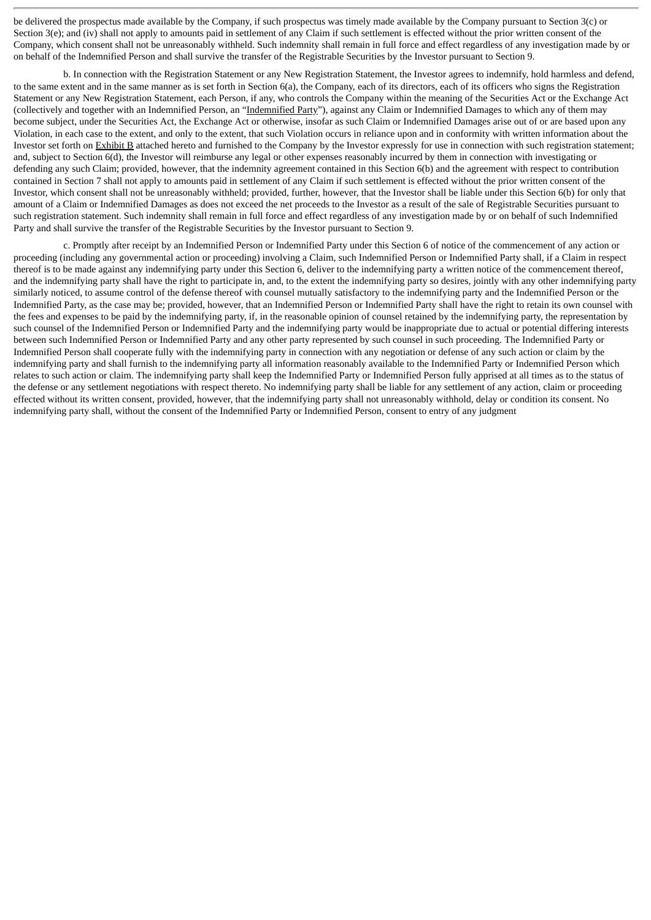be delivered the prospectus made available by the Company, if such prospectus was timely made available by the Company pursuant to Section 3(c) or Section 3(e); and (iv) shall not apply to amounts paid in settlement of any Claim if such settlement is effected without the prior written consent of the Company, which consent shall not be unreasonably withheld. Such indemnity shall remain in full force and effect regardless of any investigation made by or on behalf of the Indemnified Person and shall survive the transfer of the Registrable Securities by the Investor pursuant to Section 9.

b. In connection with the Registration Statement or any New Registration Statement, the Investor agrees to indemnify, hold harmless and defend, to the same extent and in the same manner as is set forth in Section 6(a), the Company, each of its directors, each of its officers who signs the Registration Statement or any New Registration Statement, each Person, if any, who controls the Company within the meaning of the Securities Act or the Exchange Act (collectively and together with an Indemnified Person, an "Indemnified Party"), against any Claim or Indemnified Damages to which any of them may become subject, under the Securities Act, the Exchange Act or otherwise, insofar as such Claim or Indemnified Damages arise out of or are based upon any Violation, in each case to the extent, and only to the extent, that such Violation occurs in reliance upon and in conformity with written information about the Investor set forth on Exhibit B attached hereto and furnished to the Company by the Investor expressly for use in connection with such registration statement; and, subject to Section 6(d), the Investor will reimburse any legal or other expenses reasonably incurred by them in connection with investigating or defending any such Claim; provided, however, that the indemnity agreement contained in this Section 6(b) and the agreement with respect to contribution contained in Section 7 shall not apply to amounts paid in settlement of any Claim if such settlement is effected without the prior written consent of the Investor, which consent shall not be unreasonably withheld; provided, further, however, that the Investor shall be liable under this Section 6(b) for only that amount of a Claim or Indemnified Damages as does not exceed the net proceeds to the Investor as a result of the sale of Registrable Securities pursuant to such registration statement. Such indemnity shall remain in full force and effect regardless of any investigation made by or on behalf of such Indemnified Party and shall survive the transfer of the Registrable Securities by the Investor pursuant to Section 9.

c. Promptly after receipt by an Indemnified Person or Indemnified Party under this Section 6 of notice of the commencement of any action or proceeding (including any governmental action or proceeding) involving a Claim, such Indemnified Person or Indemnified Party shall, if a Claim in respect thereof is to be made against any indemnifying party under this Section 6, deliver to the indemnifying party a written notice of the commencement thereof, and the indemnifying party shall have the right to participate in, and, to the extent the indemnifying party so desires, jointly with any other indemnifying party similarly noticed, to assume control of the defense thereof with counsel mutually satisfactory to the indemnifying party and the Indemnified Person or the Indemnified Party, as the case may be; provided, however, that an Indemnified Person or Indemnified Party shall have the right to retain its own counsel with the fees and expenses to be paid by the indemnifying party, if, in the reasonable opinion of counsel retained by the indemnifying party, the representation by such counsel of the Indemnified Person or Indemnified Party and the indemnifying party would be inappropriate due to actual or potential differing interests between such Indemnified Person or Indemnified Party and any other party represented by such counsel in such proceeding. The Indemnified Party or Indemnified Person shall cooperate fully with the indemnifying party in connection with any negotiation or defense of any such action or claim by the indemnifying party and shall furnish to the indemnifying party all information reasonably available to the Indemnified Party or Indemnified Person which relates to such action or claim. The indemnifying party shall keep the Indemnified Party or Indemnified Person fully apprised at all times as to the status of the defense or any settlement negotiations with respect thereto. No indemnifying party shall be liable for any settlement of any action, claim or proceeding effected without its written consent, provided, however, that the indemnifying party shall not unreasonably withhold, delay or condition its consent. No indemnifying party shall, without the consent of the Indemnified Party or Indemnified Person, consent to entry of any judgment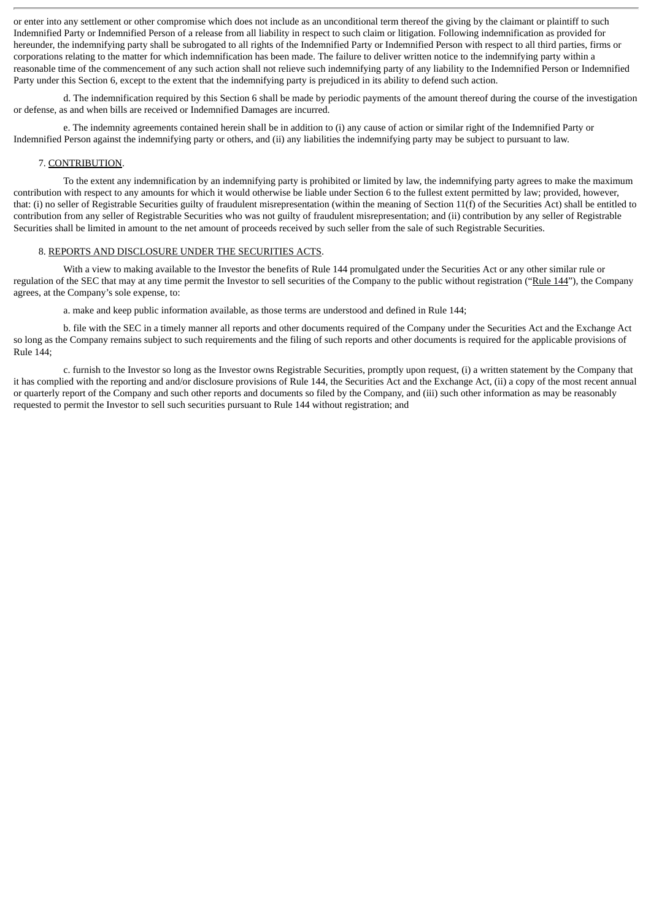or enter into any settlement or other compromise which does not include as an unconditional term thereof the giving by the claimant or plaintiff to such Indemnified Party or Indemnified Person of a release from all liability in respect to such claim or litigation. Following indemnification as provided for hereunder, the indemnifying party shall be subrogated to all rights of the Indemnified Party or Indemnified Person with respect to all third parties, firms or corporations relating to the matter for which indemnification has been made. The failure to deliver written notice to the indemnifying party within a reasonable time of the commencement of any such action shall not relieve such indemnifying party of any liability to the Indemnified Person or Indemnified Party under this Section 6, except to the extent that the indemnifying party is prejudiced in its ability to defend such action.

d. The indemnification required by this Section 6 shall be made by periodic payments of the amount thereof during the course of the investigation or defense, as and when bills are received or Indemnified Damages are incurred.

e. The indemnity agreements contained herein shall be in addition to (i) any cause of action or similar right of the Indemnified Party or Indemnified Person against the indemnifying party or others, and (ii) any liabilities the indemnifying party may be subject to pursuant to law.

# 7. CONTRIBUTION.

To the extent any indemnification by an indemnifying party is prohibited or limited by law, the indemnifying party agrees to make the maximum contribution with respect to any amounts for which it would otherwise be liable under Section 6 to the fullest extent permitted by law; provided, however, that: (i) no seller of Registrable Securities guilty of fraudulent misrepresentation (within the meaning of Section 11(f) of the Securities Act) shall be entitled to contribution from any seller of Registrable Securities who was not guilty of fraudulent misrepresentation; and (ii) contribution by any seller of Registrable Securities shall be limited in amount to the net amount of proceeds received by such seller from the sale of such Registrable Securities.

### 8. REPORTS AND DISCLOSURE UNDER THE SECURITIES ACTS.

With a view to making available to the Investor the benefits of Rule 144 promulgated under the Securities Act or any other similar rule or regulation of the SEC that may at any time permit the Investor to sell securities of the Company to the public without registration ("Rule 144"), the Company agrees, at the Company's sole expense, to:

a. make and keep public information available, as those terms are understood and defined in Rule 144;

b. file with the SEC in a timely manner all reports and other documents required of the Company under the Securities Act and the Exchange Act so long as the Company remains subject to such requirements and the filing of such reports and other documents is required for the applicable provisions of Rule 144;

c. furnish to the Investor so long as the Investor owns Registrable Securities, promptly upon request, (i) a written statement by the Company that it has complied with the reporting and and/or disclosure provisions of Rule 144, the Securities Act and the Exchange Act, (ii) a copy of the most recent annual or quarterly report of the Company and such other reports and documents so filed by the Company, and (iii) such other information as may be reasonably requested to permit the Investor to sell such securities pursuant to Rule 144 without registration; and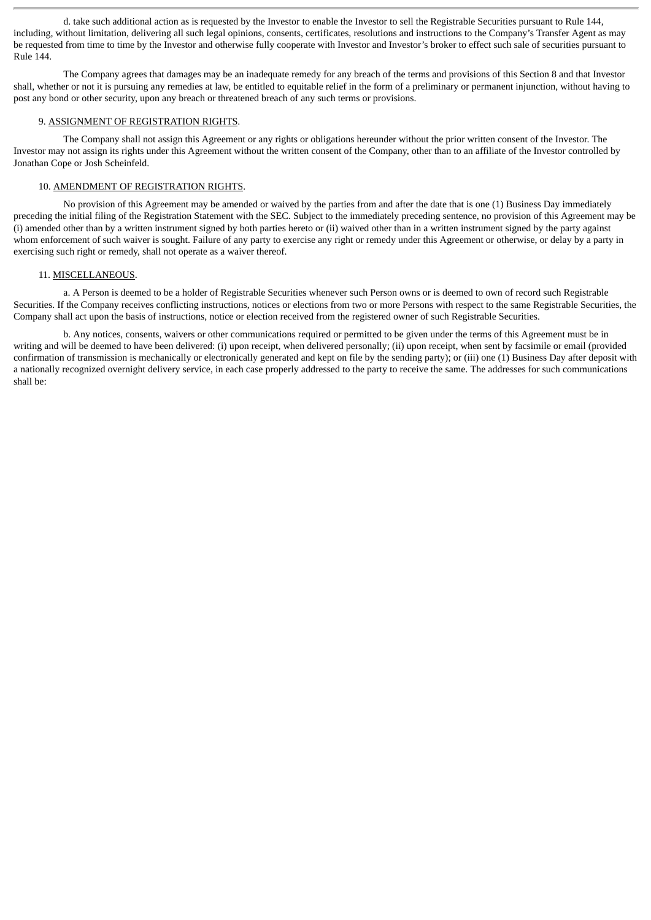d. take such additional action as is requested by the Investor to enable the Investor to sell the Registrable Securities pursuant to Rule 144, including, without limitation, delivering all such legal opinions, consents, certificates, resolutions and instructions to the Company's Transfer Agent as may be requested from time to time by the Investor and otherwise fully cooperate with Investor and Investor's broker to effect such sale of securities pursuant to Rule 144.

The Company agrees that damages may be an inadequate remedy for any breach of the terms and provisions of this Section 8 and that Investor shall, whether or not it is pursuing any remedies at law, be entitled to equitable relief in the form of a preliminary or permanent injunction, without having to post any bond or other security, upon any breach or threatened breach of any such terms or provisions.

# 9. ASSIGNMENT OF REGISTRATION RIGHTS.

The Company shall not assign this Agreement or any rights or obligations hereunder without the prior written consent of the Investor. The Investor may not assign its rights under this Agreement without the written consent of the Company, other than to an affiliate of the Investor controlled by Jonathan Cope or Josh Scheinfeld.

# 10. AMENDMENT OF REGISTRATION RIGHTS.

No provision of this Agreement may be amended or waived by the parties from and after the date that is one (1) Business Day immediately preceding the initial filing of the Registration Statement with the SEC. Subject to the immediately preceding sentence, no provision of this Agreement may be (i) amended other than by a written instrument signed by both parties hereto or (ii) waived other than in a written instrument signed by the party against whom enforcement of such waiver is sought. Failure of any party to exercise any right or remedy under this Agreement or otherwise, or delay by a party in exercising such right or remedy, shall not operate as a waiver thereof.

#### 11. MISCELLANEOUS.

a. A Person is deemed to be a holder of Registrable Securities whenever such Person owns or is deemed to own of record such Registrable Securities. If the Company receives conflicting instructions, notices or elections from two or more Persons with respect to the same Registrable Securities, the Company shall act upon the basis of instructions, notice or election received from the registered owner of such Registrable Securities.

b. Any notices, consents, waivers or other communications required or permitted to be given under the terms of this Agreement must be in writing and will be deemed to have been delivered: (i) upon receipt, when delivered personally; (ii) upon receipt, when sent by facsimile or email (provided confirmation of transmission is mechanically or electronically generated and kept on file by the sending party); or (iii) one (1) Business Day after deposit with a nationally recognized overnight delivery service, in each case properly addressed to the party to receive the same. The addresses for such communications shall be: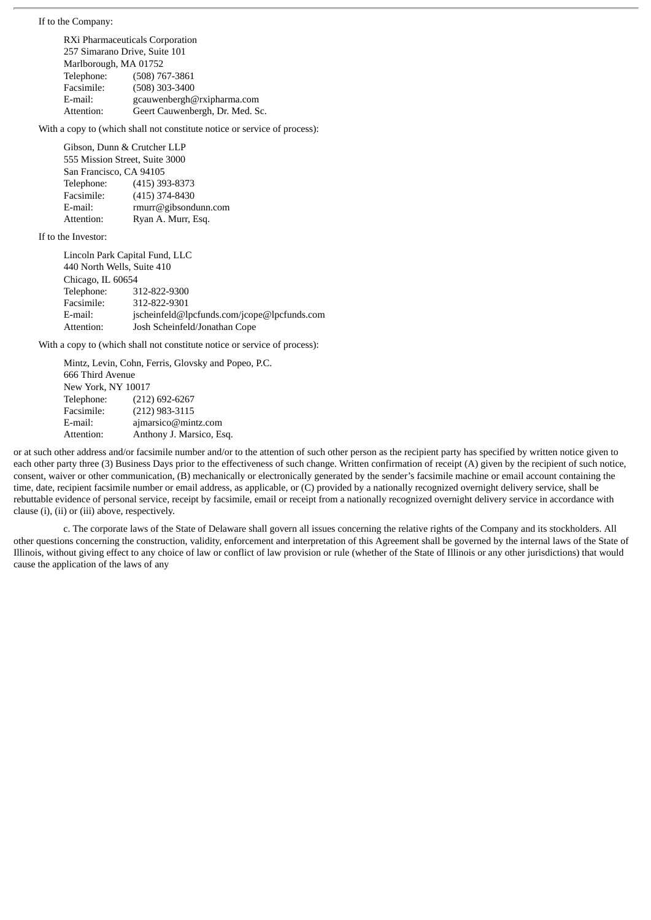If to the Company:

RXi Pharmaceuticals Corporation 257 Simarano Drive, Suite 101 Marlborough, MA 01752 Telephone: (508) 767-3861 Facsimile: (508) 303-3400 E-mail: gcauwenbergh@rxipharma.com Attention: Geert Cauwenbergh, Dr. Med. Sc.

With a copy to (which shall not constitute notice or service of process):

Gibson, Dunn & Crutcher LLP 555 Mission Street, Suite 3000 San Francisco, CA 94105 Telephone: (415) 393-8373 Facsimile: (415) 374-8430 E-mail: rmurr@gibsondunn.com Attention: Ryan A. Murr, Esq.

If to the Investor:

Lincoln Park Capital Fund, LLC 440 North Wells, Suite 410 Chicago, IL 60654 Telephone: 312-822-9300 Facsimile: 312-822-9301 E-mail: jscheinfeld@lpcfunds.com/jcope@lpcfunds.com Attention: Josh Scheinfeld/Jonathan Cope

With a copy to (which shall not constitute notice or service of process):

|                    | Mintz, Levin, Cohn, Ferris, Glovsky and Popeo, P.C. |
|--------------------|-----------------------------------------------------|
| 666 Third Avenue   |                                                     |
| New York, NY 10017 |                                                     |
| Telephone:         | $(212)$ 692-6267                                    |
| Facsimile:         | $(212)$ 983-3115                                    |
| E-mail:            | ajmarsico@mintz.com                                 |
| Attention:         | Anthony J. Marsico, Esq.                            |

or at such other address and/or facsimile number and/or to the attention of such other person as the recipient party has specified by written notice given to each other party three (3) Business Days prior to the effectiveness of such change. Written confirmation of receipt (A) given by the recipient of such notice, consent, waiver or other communication, (B) mechanically or electronically generated by the sender's facsimile machine or email account containing the time, date, recipient facsimile number or email address, as applicable, or (C) provided by a nationally recognized overnight delivery service, shall be rebuttable evidence of personal service, receipt by facsimile, email or receipt from a nationally recognized overnight delivery service in accordance with clause (i), (ii) or (iii) above, respectively.

c. The corporate laws of the State of Delaware shall govern all issues concerning the relative rights of the Company and its stockholders. All other questions concerning the construction, validity, enforcement and interpretation of this Agreement shall be governed by the internal laws of the State of Illinois, without giving effect to any choice of law or conflict of law provision or rule (whether of the State of Illinois or any other jurisdictions) that would cause the application of the laws of any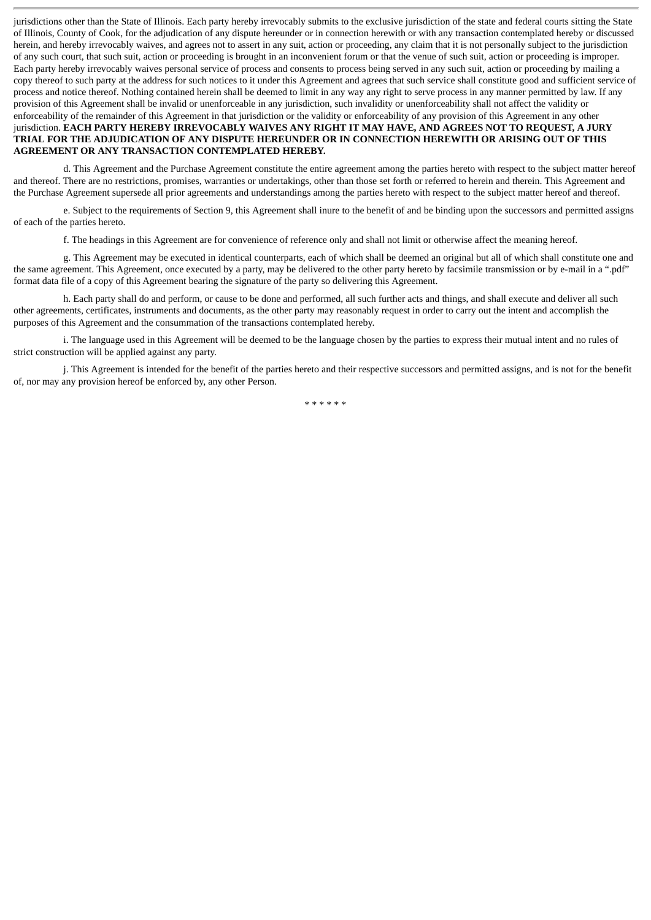jurisdictions other than the State of Illinois. Each party hereby irrevocably submits to the exclusive jurisdiction of the state and federal courts sitting the State of Illinois, County of Cook, for the adjudication of any dispute hereunder or in connection herewith or with any transaction contemplated hereby or discussed herein, and hereby irrevocably waives, and agrees not to assert in any suit, action or proceeding, any claim that it is not personally subject to the jurisdiction of any such court, that such suit, action or proceeding is brought in an inconvenient forum or that the venue of such suit, action or proceeding is improper. Each party hereby irrevocably waives personal service of process and consents to process being served in any such suit, action or proceeding by mailing a copy thereof to such party at the address for such notices to it under this Agreement and agrees that such service shall constitute good and sufficient service of process and notice thereof. Nothing contained herein shall be deemed to limit in any way any right to serve process in any manner permitted by law. If any provision of this Agreement shall be invalid or unenforceable in any jurisdiction, such invalidity or unenforceability shall not affect the validity or enforceability of the remainder of this Agreement in that jurisdiction or the validity or enforceability of any provision of this Agreement in any other jurisdiction. EACH PARTY HEREBY IRREVOCABLY WAIVES ANY RIGHT IT MAY HAVE, AND AGREES NOT TO REQUEST, A JURY **TRIAL FOR THE ADJUDICATION OF ANY DISPUTE HEREUNDER OR IN CONNECTION HEREWITH OR ARISING OUT OF THIS AGREEMENT OR ANY TRANSACTION CONTEMPLATED HEREBY.**

d. This Agreement and the Purchase Agreement constitute the entire agreement among the parties hereto with respect to the subject matter hereof and thereof. There are no restrictions, promises, warranties or undertakings, other than those set forth or referred to herein and therein. This Agreement and the Purchase Agreement supersede all prior agreements and understandings among the parties hereto with respect to the subject matter hereof and thereof.

e. Subject to the requirements of Section 9, this Agreement shall inure to the benefit of and be binding upon the successors and permitted assigns of each of the parties hereto.

f. The headings in this Agreement are for convenience of reference only and shall not limit or otherwise affect the meaning hereof.

g. This Agreement may be executed in identical counterparts, each of which shall be deemed an original but all of which shall constitute one and the same agreement. This Agreement, once executed by a party, may be delivered to the other party hereto by facsimile transmission or by e-mail in a ".pdf" format data file of a copy of this Agreement bearing the signature of the party so delivering this Agreement.

h. Each party shall do and perform, or cause to be done and performed, all such further acts and things, and shall execute and deliver all such other agreements, certificates, instruments and documents, as the other party may reasonably request in order to carry out the intent and accomplish the purposes of this Agreement and the consummation of the transactions contemplated hereby.

i. The language used in this Agreement will be deemed to be the language chosen by the parties to express their mutual intent and no rules of strict construction will be applied against any party.

j. This Agreement is intended for the benefit of the parties hereto and their respective successors and permitted assigns, and is not for the benefit of, nor may any provision hereof be enforced by, any other Person.

\* \* \* \* \* \*